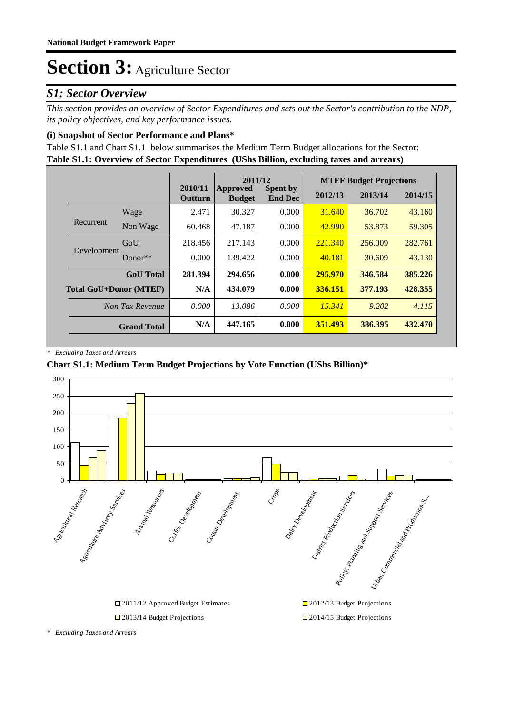### *S1: Sector Overview*

*This section provides an overview of Sector Expenditures and sets out the Sector's contribution to the NDP, its policy objectives, and key performance issues.* 

### **(i) Snapshot of Sector Performance and Plans\***

**Table S1.1: Overview of Sector Expenditures (UShs Billion, excluding taxes and arrears)** Table S1.1 and Chart S1.1 below summarises the Medium Term Budget allocations for the Sector:

|                               |                    | 2011/12                   |                           |                                   | <b>MTEF Budget Projections</b> |         |         |
|-------------------------------|--------------------|---------------------------|---------------------------|-----------------------------------|--------------------------------|---------|---------|
|                               |                    | 2010/11<br><b>Outturn</b> | Approved<br><b>Budget</b> | <b>Spent by</b><br><b>End Dec</b> | 2012/13                        | 2013/14 | 2014/15 |
|                               | Wage               | 2.471                     | 30.327                    | 0.000                             | 31.640                         | 36.702  | 43.160  |
| Recurrent                     | Non Wage           | 60.468                    | 47.187                    | 0.000                             | 42.990                         | 53.873  | 59.305  |
| Development                   | GoU                | 218.456                   | 217.143                   | 0.000                             | 221.340                        | 256,009 | 282.761 |
|                               | $Donor**$          | 0.000                     | 139.422                   | 0.000                             | 40.181                         | 30.609  | 43.130  |
|                               | <b>GoU</b> Total   | 281.394                   | 294.656                   | 0.000                             | 295.970                        | 346.584 | 385.226 |
| <b>Total GoU+Donor (MTEF)</b> |                    | N/A                       | 434.079                   | 0.000                             | 336.151                        | 377.193 | 428.355 |
|                               | Non Tax Revenue    | 0.000                     | 13.086                    | 0.000                             | 15.341                         | 9.202   | 4.115   |
|                               | <b>Grand Total</b> | N/A                       | 447.165                   | 0.000                             | 351.493                        | 386.395 | 432.470 |

*\* Excluding Taxes and Arrears*

### **Chart S1.1: Medium Term Budget Projections by Vote Function (UShs Billion)\***



*\* Excluding Taxes and Arrears*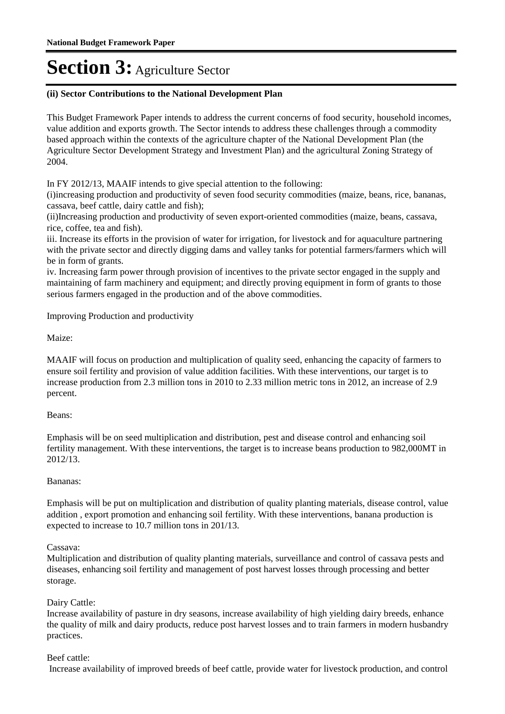#### **(ii) Sector Contributions to the National Development Plan**

This Budget Framework Paper intends to address the current concerns of food security, household incomes, value addition and exports growth. The Sector intends to address these challenges through a commodity based approach within the contexts of the agriculture chapter of the National Development Plan (the Agriculture Sector Development Strategy and Investment Plan) and the agricultural Zoning Strategy of 2004.

In FY 2012/13, MAAIF intends to give special attention to the following:

(i)increasing production and productivity of seven food security commodities (maize, beans, rice, bananas, cassava, beef cattle, dairy cattle and fish);

(ii) Increasing production and productivity of seven export-oriented commodities (maize, beans, cassava, rice, coffee, tea and fish).

iii. Increase its efforts in the provision of water for irrigation, for livestock and for aquaculture partnering with the private sector and directly digging dams and valley tanks for potential farmers/farmers which will be in form of grants.

iv. Increasing farm power through provision of incentives to the private sector engaged in the supply and maintaining of farm machinery and equipment; and directly proving equipment in form of grants to those serious farmers engaged in the production and of the above commodities.

Improving Production and productivity

Maize:

MAAIF will focus on production and multiplication of quality seed, enhancing the capacity of farmers to ensure soil fertility and provision of value addition facilities. With these interventions, our target is to increase production from 2.3 million tons in 2010 to 2.33 million metric tons in 2012, an increase of 2.9 percent.

### Beans:

Emphasis will be on seed multiplication and distribution, pest and disease control and enhancing soil fertility management. With these interventions, the target is to increase beans production to 982,000MT in 2012/13.

### Bananas:

Emphasis will be put on multiplication and distribution of quality planting materials, disease control, value addition , export promotion and enhancing soil fertility. With these interventions, banana production is expected to increase to 10.7 million tons in 201/13.

#### Cassava:

Multiplication and distribution of quality planting materials, surveillance and control of cassava pests and diseases, enhancing soil fertility and management of post harvest losses through processing and better storage.

### Dairy Cattle:

Increase availability of pasture in dry seasons, increase availability of high yielding dairy breeds, enhance the quality of milk and dairy products, reduce post harvest losses and to train farmers in modern husbandry practices.

### Beef cattle:

Increase availability of improved breeds of beef cattle, provide water for livestock production, and control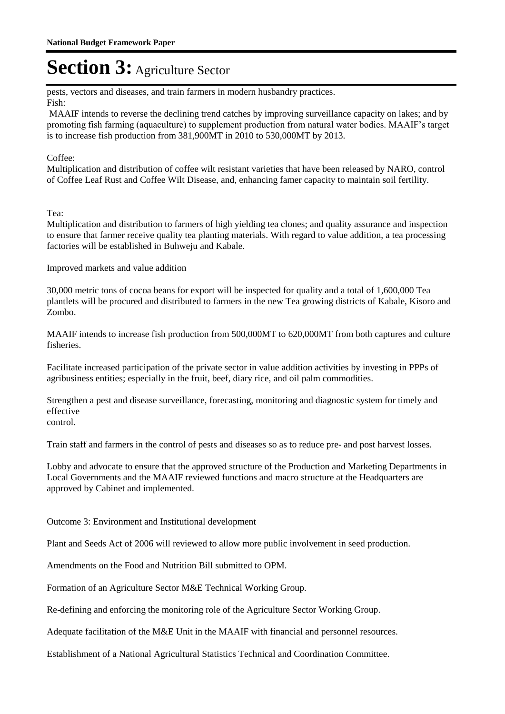pests, vectors and diseases, and train farmers in modern husbandry practices. Fish:

 MAAIF intends to reverse the declining trend catches by improving surveillance capacity on lakes; and by promoting fish farming (aquaculture) to supplement production from natural water bodies. MAAIF's target is to increase fish production from 381,900MT in 2010 to 530,000MT by 2013.

### Coffee:

Multiplication and distribution of coffee wilt resistant varieties that have been released by NARO, control of Coffee Leaf Rust and Coffee Wilt Disease, and, enhancing famer capacity to maintain soil fertility.

Tea:

Multiplication and distribution to farmers of high yielding tea clones; and quality assurance and inspection to ensure that farmer receive quality tea planting materials. With regard to value addition, a tea processing factories will be established in Buhweju and Kabale.

Improved markets and value addition

30,000 metric tons of cocoa beans for export will be inspected for quality and a total of 1,600,000 Tea plantlets will be procured and distributed to farmers in the new Tea growing districts of Kabale, Kisoro and Zombo.

MAAIF intends to increase fish production from 500,000MT to 620,000MT from both captures and culture fisheries.

Facilitate increased participation of the private sector in value addition activities by investing in PPPs of agribusiness entities; especially in the fruit, beef, diary rice, and oil palm commodities.

Strengthen a pest and disease surveillance, forecasting, monitoring and diagnostic system for timely and effective

Train staff and farmers in the control of pests and diseases so as to reduce pre- and post harvest losses.

Lobby and advocate to ensure that the approved structure of the Production and Marketing Departments in Local Governments and the MAAIF reviewed functions and macro structure at the Headquarters are approved by Cabinet and implemented.

Outcome 3: Environment and Institutional development

Plant and Seeds Act of 2006 will reviewed to allow more public involvement in seed production.

Amendments on the Food and Nutrition Bill submitted to OPM.

Formation of an Agriculture Sector M&E Technical Working Group.

Re-defining and enforcing the monitoring role of the Agriculture Sector Working Group.

Adequate facilitation of the M&E Unit in the MAAIF with financial and personnel resources.

Establishment of a National Agricultural Statistics Technical and Coordination Committee.

control.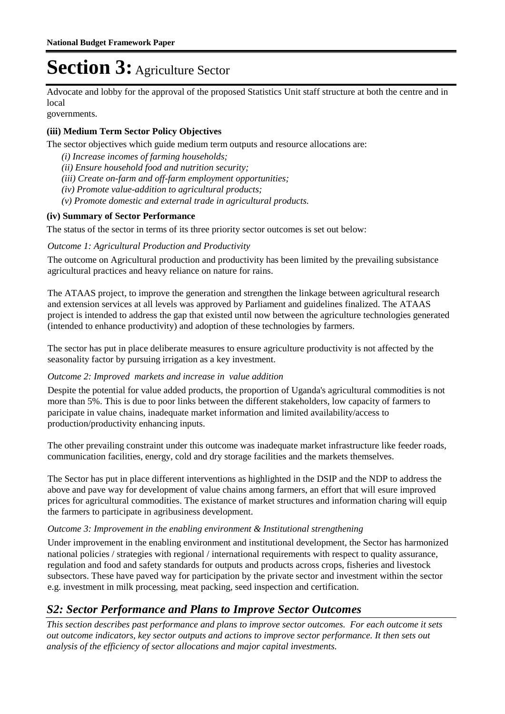Advocate and lobby for the approval of the proposed Statistics Unit staff structure at both the centre and in local

governments.

### **(iii) Medium Term Sector Policy Objectives**

The sector objectives which guide medium term outputs and resource allocations are:

- *(i) Increase incomes of farming households;*
- *(ii) Ensure household food and nutrition security;*
- *(iii) Create on-farm and off-farm employment opportunities;*
- *(iv) Promote value-addition to agricultural products;*
- *(v) Promote domestic and external trade in agricultural products.*

### **(iv) Summary of Sector Performance**

The status of the sector in terms of its three priority sector outcomes is set out below:

#### **Outcome 1: Agricultural Production and Productivity**

The outcome on Agricultural production and productivity has been limited by the prevailing subsistance agricultural practices and heavy reliance on nature for rains.

The ATAAS project, to improve the generation and strengthen the linkage between agricultural research and extension services at all levels was approved by Parliament and guidelines finalized. The ATAAS project is intended to address the gap that existed until now between the agriculture technologies generated (intended to enhance productivity) and adoption of these technologies by farmers.

The sector has put in place deliberate measures to ensure agriculture productivity is not affected by the seasonality factor by pursuing irrigation as a key investment.

#### Outcome 2: Improved markets and increase in value addition

Despite the potential for value added products, the proportion of Uganda's agricultural commodities is not more than 5%. This is due to poor links between the different stakeholders, low capacity of farmers to paricipate in value chains, inadequate market information and limited availability/access to production/productivity enhancing inputs.

The other prevailing constraint under this outcome was inadequate market infrastructure like feeder roads, communication facilities, energy, cold and dry storage facilities and the markets themselves.

The Sector has put in place different interventions as highlighted in the DSIP and the NDP to address the above and pave way for development of value chains among farmers, an effort that will esure improved prices for agricultural commodities. The existance of market structures and information charing will equip the farmers to participate in agribusiness development.

### Outcome 3: Improvement in the enabling environment & Institutional strengthening

Under improvement in the enabling environment and institutional development, the Sector has harmonized national policies / strategies with regional / international requirements with respect to quality assurance, regulation and food and safety standards for outputs and products across crops, fisheries and livestock subsectors. These have paved way for participation by the private sector and investment within the sector e.g. investment in milk processing, meat packing, seed inspection and certification.

### *S2: Sector Performance and Plans to Improve Sector Outcomes*

*This section describes past performance and plans to improve sector outcomes. For each outcome it sets out outcome indicators, key sector outputs and actions to improve sector performance. It then sets out analysis of the efficiency of sector allocations and major capital investments.*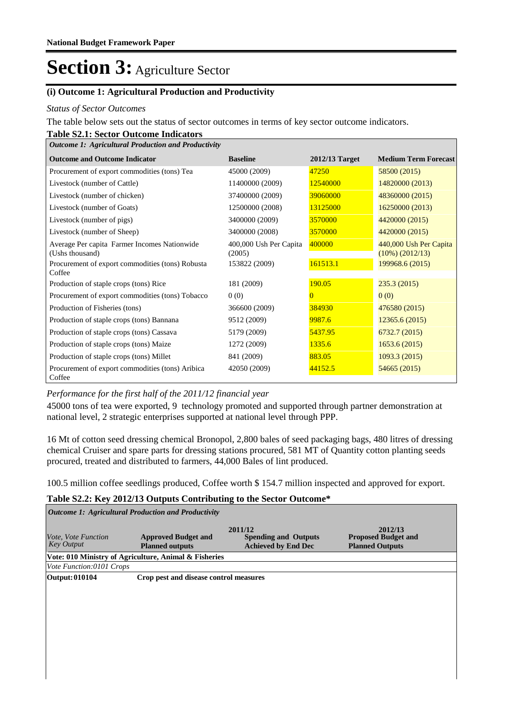### **(i) Outcome 1: Agricultural Production and Productivity**

#### *Status of Sector Outcomes*

The table below sets out the status of sector outcomes in terms of key sector outcome indicators.

#### **Table S2.1: Sector Outcome Indicators** *Outcome 1: Agricultural Production and Productivity*

| Ошсоте 1, Агнсинита 1 годисноп апа 1 годиснулу                  |                                  |                |                                              |  |  |  |  |
|-----------------------------------------------------------------|----------------------------------|----------------|----------------------------------------------|--|--|--|--|
| <b>Outcome and Outcome Indicator</b>                            | <b>Baseline</b>                  | 2012/13 Target | <b>Medium Term Forecast</b>                  |  |  |  |  |
| Procurement of export commodities (tons) Tea                    | 45000 (2009)                     | 47250          | 58500 (2015)                                 |  |  |  |  |
| Livestock (number of Cattle)                                    | 11400000 (2009)                  | 12540000       | 14820000 (2013)                              |  |  |  |  |
| Livestock (number of chicken)                                   | 37400000 (2009)                  | 39060000       | 48360000 (2015)                              |  |  |  |  |
| Livestock (number of Goats)                                     | 12500000 (2008)                  | 13125000       | 16250000 (2013)                              |  |  |  |  |
| Livestock (number of pigs)                                      | 3400000 (2009)                   | 3570000        | 4420000 (2015)                               |  |  |  |  |
| Livestock (number of Sheep)                                     | 3400000 (2008)                   | 3570000        | 4420000 (2015)                               |  |  |  |  |
| Average Per capita Farmer Incomes Nationwide<br>(Ushs thousand) | 400,000 Ush Per Capita<br>(2005) | 400000         | 440,000 Ush Per Capita<br>$(10\%) (2012/13)$ |  |  |  |  |
| Procurement of export commodities (tons) Robusta<br>Coffee      | 153822 (2009)                    | 161513.1       | 199968.6 (2015)                              |  |  |  |  |
| Production of staple crops (tons) Rice                          | 181 (2009)                       | 190.05         | 235.3(2015)                                  |  |  |  |  |
| Procurement of export commodities (tons) Tobacco                | 0(0)                             | 0              | 0(0)                                         |  |  |  |  |
| Production of Fisheries (tons)                                  | 366600 (2009)                    | 384930         | 476580 (2015)                                |  |  |  |  |
| Production of staple crops (tons) Bannana                       | 9512 (2009)                      | 9987.6         | 12365.6(2015)                                |  |  |  |  |
| Production of staple crops (tons) Cassava                       | 5179 (2009)                      | 5437.95        | 6732.7(2015)                                 |  |  |  |  |
| Production of staple crops (tons) Maize                         | 1272 (2009)                      | 1335.6         | 1653.6(2015)                                 |  |  |  |  |
| Production of staple crops (tons) Millet                        | 841 (2009)                       | 883.05         | 1093.3(2015)                                 |  |  |  |  |
| Procurement of export commodities (tons) Aribica<br>Coffee      | 42050 (2009)                     | 44152.5        | 54665 (2015)                                 |  |  |  |  |

### *Performance for the first half of the 2011/12 financial year*

45000 tons of tea were exported, 9 technology promoted and supported through partner demonstration at national level, 2 strategic enterprises supported at national level through PPP.

16 Mt of cotton seed dressing chemical Bronopol, 2,800 bales of seed packaging bags, 480 litres of dressing chemical Cruiser and spare parts for dressing stations procured, 581 MT of Quantity cotton planting seeds procured, treated and distributed to farmers, 44,000 Bales of lint produced.

100.5 million coffee seedlings produced, Coffee worth \$ 154.7 million inspected and approved for export.

#### **Table S2.2: Key 2012/13 Outputs Contributing to the Sector Outcome\***

| Outcome 1: Agricultural Production and Productivity |                                                       |                                                                      |                                                                 |  |  |  |
|-----------------------------------------------------|-------------------------------------------------------|----------------------------------------------------------------------|-----------------------------------------------------------------|--|--|--|
| <i>Vote, Vote Function</i><br><b>Key Output</b>     | <b>Approved Budget and</b><br><b>Planned outputs</b>  | 2011/12<br><b>Spending and Outputs</b><br><b>Achieved by End Dec</b> | 2012/13<br><b>Proposed Budget and</b><br><b>Planned Outputs</b> |  |  |  |
|                                                     | Vote: 010 Ministry of Agriculture, Animal & Fisheries |                                                                      |                                                                 |  |  |  |
| Vote Function:0101 Crops                            |                                                       |                                                                      |                                                                 |  |  |  |
| Output: 010104                                      | Crop pest and disease control measures                |                                                                      |                                                                 |  |  |  |
|                                                     |                                                       |                                                                      |                                                                 |  |  |  |
|                                                     |                                                       |                                                                      |                                                                 |  |  |  |
|                                                     |                                                       |                                                                      |                                                                 |  |  |  |
|                                                     |                                                       |                                                                      |                                                                 |  |  |  |
|                                                     |                                                       |                                                                      |                                                                 |  |  |  |
|                                                     |                                                       |                                                                      |                                                                 |  |  |  |
|                                                     |                                                       |                                                                      |                                                                 |  |  |  |
|                                                     |                                                       |                                                                      |                                                                 |  |  |  |
|                                                     |                                                       |                                                                      |                                                                 |  |  |  |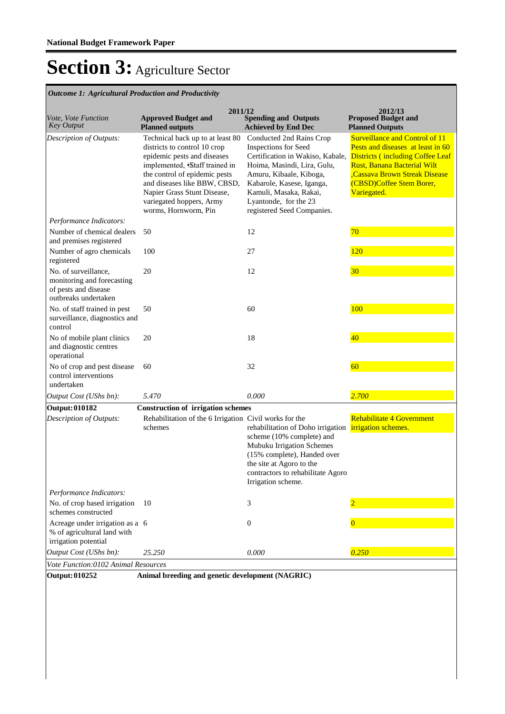| <b>Outcome 1: Agricultural Production and Productivity</b>                                         |                                                                                                                                                                                                                                                                                      |                                                                                                                                                                                                                                                              |                                                                                                                                                                                                                                        |
|----------------------------------------------------------------------------------------------------|--------------------------------------------------------------------------------------------------------------------------------------------------------------------------------------------------------------------------------------------------------------------------------------|--------------------------------------------------------------------------------------------------------------------------------------------------------------------------------------------------------------------------------------------------------------|----------------------------------------------------------------------------------------------------------------------------------------------------------------------------------------------------------------------------------------|
| Vote, Vote Function<br><b>Key Output</b>                                                           | 2011/12<br><b>Approved Budget and</b><br><b>Planned outputs</b>                                                                                                                                                                                                                      | <b>Spending and Outputs</b><br><b>Achieved by End Dec</b>                                                                                                                                                                                                    | 2012/13<br><b>Proposed Budget and</b><br><b>Planned Outputs</b>                                                                                                                                                                        |
| Description of Outputs:                                                                            | Technical back up to at least 80<br>districts to control 10 crop<br>epidemic pests and diseases<br>implemented, Staff trained in<br>the control of epidemic pests<br>and diseases like BBW, CBSD,<br>Napier Grass Stunt Disease,<br>variegated hoppers, Army<br>worms, Hornworm, Pin | Conducted 2nd Rains Crop<br>Inspections for Seed<br>Certification in Wakiso, Kabale,<br>Hoima, Masindi, Lira, Gulu,<br>Amuru, Kibaale, Kiboga,<br>Kabarole, Kasese, Iganga,<br>Kamuli, Masaka, Rakai,<br>Lyantonde, for the 23<br>registered Seed Companies. | <b>Surveillance and Control of 11</b><br>Pests and diseases at least in 60<br><b>Districts (including Coffee Leaf</b><br><b>Rust, Banana Bacterial Wilt</b><br>Cassava Brown Streak Disease<br>(CBSD)Coffee Stem Borer,<br>Variegated. |
| Performance Indicators:                                                                            |                                                                                                                                                                                                                                                                                      |                                                                                                                                                                                                                                                              |                                                                                                                                                                                                                                        |
| Number of chemical dealers<br>and premises registered                                              | 50                                                                                                                                                                                                                                                                                   | 12                                                                                                                                                                                                                                                           | 70                                                                                                                                                                                                                                     |
| Number of agro chemicals<br>registered                                                             | 100                                                                                                                                                                                                                                                                                  | 27                                                                                                                                                                                                                                                           | 120                                                                                                                                                                                                                                    |
| No. of surveillance,<br>monitoring and forecasting<br>of pests and disease<br>outbreaks undertaken | 20                                                                                                                                                                                                                                                                                   | 12                                                                                                                                                                                                                                                           | 30                                                                                                                                                                                                                                     |
| No. of staff trained in pest<br>surveillance, diagnostics and<br>control                           | 50                                                                                                                                                                                                                                                                                   | 60                                                                                                                                                                                                                                                           | 100                                                                                                                                                                                                                                    |
| No of mobile plant clinics<br>and diagnostic centres<br>operational                                | 20                                                                                                                                                                                                                                                                                   | 18                                                                                                                                                                                                                                                           | 40                                                                                                                                                                                                                                     |
| No of crop and pest disease<br>control interventions<br>undertaken                                 | 60                                                                                                                                                                                                                                                                                   | 32                                                                                                                                                                                                                                                           | 60                                                                                                                                                                                                                                     |
| Output Cost (UShs bn):                                                                             | 5.470                                                                                                                                                                                                                                                                                | 0.000                                                                                                                                                                                                                                                        | 2.700                                                                                                                                                                                                                                  |
| <b>Output: 010182</b>                                                                              | <b>Construction of irrigation schemes</b>                                                                                                                                                                                                                                            |                                                                                                                                                                                                                                                              |                                                                                                                                                                                                                                        |
| Description of Outputs:                                                                            | Rehabilitation of the 6 Irrigation Civil works for the<br>schemes                                                                                                                                                                                                                    | rehabilitation of Doho irrigation<br>scheme (10% complete) and<br>Mubuku Irrigation Schemes<br>(15% complete), Handed over<br>the site at Agoro to the<br>contractors to rehabilitate Agoro<br>Irrigation scheme.                                            | Rehabilitate 4 Government<br>irrigation schemes.                                                                                                                                                                                       |
| Performance Indicators:                                                                            |                                                                                                                                                                                                                                                                                      |                                                                                                                                                                                                                                                              |                                                                                                                                                                                                                                        |
| No. of crop based irrigation<br>schemes constructed                                                | 10                                                                                                                                                                                                                                                                                   | 3                                                                                                                                                                                                                                                            |                                                                                                                                                                                                                                        |
| Acreage under irrigation as a 6<br>% of agricultural land with<br>irrigation potential             |                                                                                                                                                                                                                                                                                      | $\boldsymbol{0}$                                                                                                                                                                                                                                             | $\bf{0}$                                                                                                                                                                                                                               |
| Output Cost (UShs bn):                                                                             | 25.250                                                                                                                                                                                                                                                                               | 0.000                                                                                                                                                                                                                                                        | 0.250                                                                                                                                                                                                                                  |
| Vote Function:0102 Animal Resources                                                                |                                                                                                                                                                                                                                                                                      |                                                                                                                                                                                                                                                              |                                                                                                                                                                                                                                        |

*Outcome 1: Agricultural Production and Productivity*

**Output: 010252 Animal breeding and genetic development (NAGRIC)**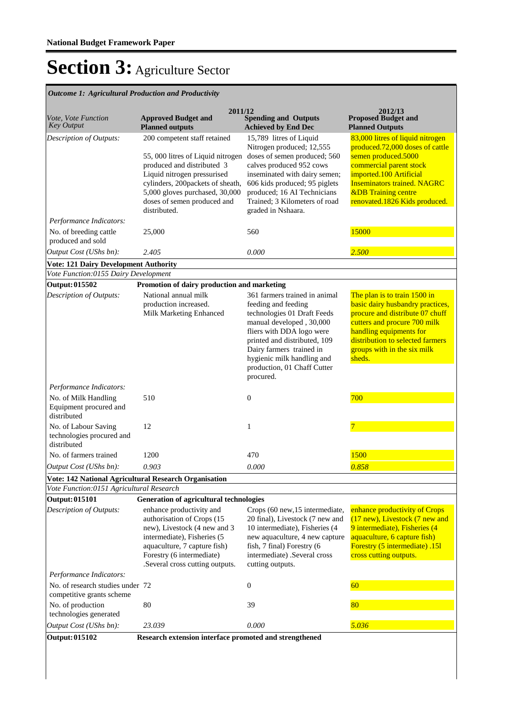| 2011/12<br>2012/13                                                                                       |                                                                                                                                                                                                                                                     |                                                                                                                                                                                                                                                                                    |                                                                                                                                                                                                                                                           |  |  |
|----------------------------------------------------------------------------------------------------------|-----------------------------------------------------------------------------------------------------------------------------------------------------------------------------------------------------------------------------------------------------|------------------------------------------------------------------------------------------------------------------------------------------------------------------------------------------------------------------------------------------------------------------------------------|-----------------------------------------------------------------------------------------------------------------------------------------------------------------------------------------------------------------------------------------------------------|--|--|
| Vote, Vote Function<br>Key Output                                                                        | <b>Approved Budget and</b><br><b>Planned outputs</b>                                                                                                                                                                                                | <b>Spending and Outputs</b><br><b>Achieved by End Dec</b>                                                                                                                                                                                                                          | <b>Proposed Budget and</b><br><b>Planned Outputs</b>                                                                                                                                                                                                      |  |  |
| Description of Outputs:                                                                                  | 200 competent staff retained<br>55, 000 litres of Liquid nitrogen<br>produced and distributed 3<br>Liquid nitrogen pressurised<br>cylinders, 200packets of sheath,<br>5,000 gloves purchased, 30,000<br>doses of semen produced and<br>distributed. | 15,789 litres of Liquid<br>Nitrogen produced; 12,555<br>doses of semen produced; 560<br>calves produced 952 cows<br>inseminated with dairy semen;<br>606 kids produced; 95 piglets<br>produced; 16 AI Technicians<br>Trained; 3 Kilometers of road<br>graded in Nshaara.           | 83,000 litres of liquid nitrogen<br>produced.72,000 doses of cattle<br>semen produced.5000<br>commercial parent stock<br>imported.100 Artificial<br><b>Inseminators trained. NAGRC</b><br><b>&amp;DB</b> Training centre<br>renovated.1826 Kids produced. |  |  |
| Performance Indicators:<br>No. of breeding cattle                                                        | 25,000                                                                                                                                                                                                                                              | 560                                                                                                                                                                                                                                                                                | 15000                                                                                                                                                                                                                                                     |  |  |
| produced and sold                                                                                        |                                                                                                                                                                                                                                                     |                                                                                                                                                                                                                                                                                    |                                                                                                                                                                                                                                                           |  |  |
| Output Cost (UShs bn):                                                                                   | 2.405                                                                                                                                                                                                                                               | 0.000                                                                                                                                                                                                                                                                              | 2.500                                                                                                                                                                                                                                                     |  |  |
| <b>Vote: 121 Dairy Development Authority</b>                                                             |                                                                                                                                                                                                                                                     |                                                                                                                                                                                                                                                                                    |                                                                                                                                                                                                                                                           |  |  |
| Vote Function:0155 Dairy Development                                                                     |                                                                                                                                                                                                                                                     |                                                                                                                                                                                                                                                                                    |                                                                                                                                                                                                                                                           |  |  |
| Output: 015502                                                                                           | Promotion of dairy production and marketing                                                                                                                                                                                                         |                                                                                                                                                                                                                                                                                    |                                                                                                                                                                                                                                                           |  |  |
| Description of Outputs:                                                                                  | National annual milk<br>production increased.<br>Milk Marketing Enhanced                                                                                                                                                                            | 361 farmers trained in animal<br>feeding and feeding<br>technologies 01 Draft Feeds<br>manual developed, 30,000<br>fliers with DDA logo were<br>printed and distributed, 109<br>Dairy farmers trained in<br>hygienic milk handling and<br>production, 01 Chaff Cutter<br>procured. | The plan is to train 1500 in<br>basic dairy husbandry practices,<br>procure and distribute 07 chuff<br>cutters and procure 700 milk<br>handling equipments for<br>distribution to selected farmers<br>groups with in the six milk<br>sheds.               |  |  |
| Performance Indicators:                                                                                  |                                                                                                                                                                                                                                                     |                                                                                                                                                                                                                                                                                    |                                                                                                                                                                                                                                                           |  |  |
| No. of Milk Handling<br>Equipment procured and<br>distributed                                            | 510                                                                                                                                                                                                                                                 | $\boldsymbol{0}$                                                                                                                                                                                                                                                                   | 700                                                                                                                                                                                                                                                       |  |  |
| No. of Labour Saving<br>technologies procured and<br>distributed                                         | 12                                                                                                                                                                                                                                                  | 1                                                                                                                                                                                                                                                                                  | 7                                                                                                                                                                                                                                                         |  |  |
| No. of farmers trained                                                                                   | 1200                                                                                                                                                                                                                                                | 470                                                                                                                                                                                                                                                                                | 1500                                                                                                                                                                                                                                                      |  |  |
| Output Cost (UShs bn):                                                                                   | 0.903                                                                                                                                                                                                                                               | 0.000                                                                                                                                                                                                                                                                              | 0.858                                                                                                                                                                                                                                                     |  |  |
| <b>Vote: 142 National Agricultural Research Organisation</b><br>Vote Function:0151 Agricultural Research |                                                                                                                                                                                                                                                     |                                                                                                                                                                                                                                                                                    |                                                                                                                                                                                                                                                           |  |  |
| <b>Output: 015101</b>                                                                                    | <b>Generation of agricultural technologies</b>                                                                                                                                                                                                      |                                                                                                                                                                                                                                                                                    |                                                                                                                                                                                                                                                           |  |  |
| <b>Description of Outputs:</b>                                                                           | enhance productivity and<br>authorisation of Crops (15<br>new), Livestock (4 new and 3<br>intermediate), Fisheries (5<br>aquaculture, 7 capture fish)<br>Forestry (6 intermediate)<br>.Several cross cutting outputs.                               | Crops (60 new, 15 intermediate,<br>20 final), Livestock (7 new and<br>10 intermediate), Fisheries (4<br>new aquaculture, 4 new capture<br>fish, 7 final) Forestry (6<br>intermediate) .Several cross<br>cutting outputs.                                                           | enhance productivity of Crops<br>(17 new), Livestock (7 new and<br>9 intermediate), Fisheries (4<br>aquaculture, 6 capture fish)<br>Forestry (5 intermediate) .151<br>cross cutting outputs.                                                              |  |  |
| Performance Indicators:                                                                                  |                                                                                                                                                                                                                                                     |                                                                                                                                                                                                                                                                                    |                                                                                                                                                                                                                                                           |  |  |
| No. of research studies under 72<br>competitive grants scheme                                            |                                                                                                                                                                                                                                                     | $\mathbf{0}$                                                                                                                                                                                                                                                                       | 60                                                                                                                                                                                                                                                        |  |  |
| No. of production<br>technologies generated                                                              | 80                                                                                                                                                                                                                                                  | 39                                                                                                                                                                                                                                                                                 | 80                                                                                                                                                                                                                                                        |  |  |
| Output Cost (UShs bn):                                                                                   | 23.039                                                                                                                                                                                                                                              | 0.000                                                                                                                                                                                                                                                                              | 5.036                                                                                                                                                                                                                                                     |  |  |
| <b>Output: 015102</b>                                                                                    | Research extension interface promoted and strengthened                                                                                                                                                                                              |                                                                                                                                                                                                                                                                                    |                                                                                                                                                                                                                                                           |  |  |

*Outcome 1: Agricultural Production and Productivity*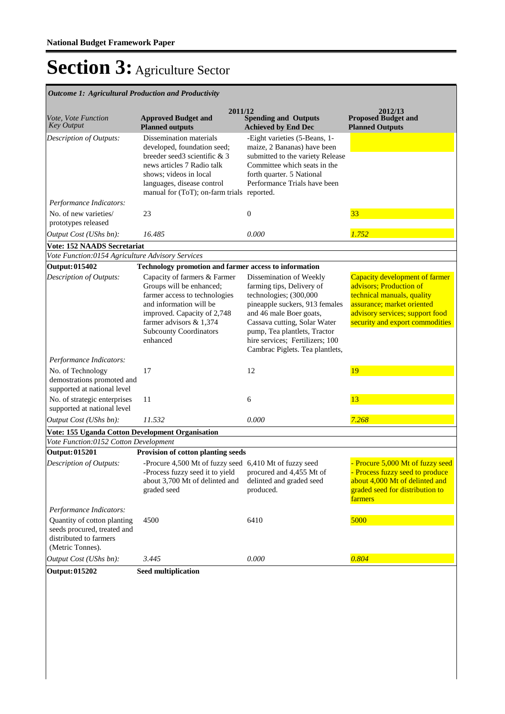| <b>Outcome 1: Agricultural Production and Productivity</b>                                               |                                                                                                                                                                                                                             |                                                                                                                                                                                                                                                                                   |                                                                                                                                                                                             |  |  |
|----------------------------------------------------------------------------------------------------------|-----------------------------------------------------------------------------------------------------------------------------------------------------------------------------------------------------------------------------|-----------------------------------------------------------------------------------------------------------------------------------------------------------------------------------------------------------------------------------------------------------------------------------|---------------------------------------------------------------------------------------------------------------------------------------------------------------------------------------------|--|--|
| Vote, Vote Function<br><b>Key Output</b>                                                                 | 2011/12<br><b>Approved Budget and</b><br><b>Planned outputs</b>                                                                                                                                                             | <b>Spending and Outputs</b><br><b>Achieved by End Dec</b>                                                                                                                                                                                                                         | 2012/13<br><b>Proposed Budget and</b><br><b>Planned Outputs</b>                                                                                                                             |  |  |
| Description of Outputs:                                                                                  | Dissemination materials<br>developed, foundation seed;<br>breeder seed3 scientific & 3<br>news articles 7 Radio talk<br>shows; videos in local<br>languages, disease control<br>manual for (ToT); on-farm trials reported.  | -Eight varieties (5-Beans, 1-<br>maize, 2 Bananas) have been<br>submitted to the variety Release<br>Committee which seats in the<br>forth quarter. 5 National<br>Performance Trials have been                                                                                     |                                                                                                                                                                                             |  |  |
| Performance Indicators:                                                                                  |                                                                                                                                                                                                                             |                                                                                                                                                                                                                                                                                   |                                                                                                                                                                                             |  |  |
| No. of new varieties/<br>prototypes released                                                             | 23                                                                                                                                                                                                                          | $\boldsymbol{0}$                                                                                                                                                                                                                                                                  | 33                                                                                                                                                                                          |  |  |
| Output Cost (UShs bn):                                                                                   | 16.485                                                                                                                                                                                                                      | 0.000                                                                                                                                                                                                                                                                             | 1.752                                                                                                                                                                                       |  |  |
| <b>Vote: 152 NAADS Secretariat</b>                                                                       |                                                                                                                                                                                                                             |                                                                                                                                                                                                                                                                                   |                                                                                                                                                                                             |  |  |
| Vote Function:0154 Agriculture Advisory Services                                                         |                                                                                                                                                                                                                             |                                                                                                                                                                                                                                                                                   |                                                                                                                                                                                             |  |  |
| Output: 015402                                                                                           | Technology promotion and farmer access to information                                                                                                                                                                       |                                                                                                                                                                                                                                                                                   |                                                                                                                                                                                             |  |  |
| Description of Outputs:                                                                                  | Capacity of farmers & Farmer<br>Groups will be enhanced;<br>farmer access to technologies<br>and information will be<br>improved. Capacity of 2,748<br>farmer advisors & 1,374<br><b>Subcounty Coordinators</b><br>enhanced | Dissemination of Weekly<br>farming tips, Delivery of<br>technologies; (300,000<br>pineapple suckers, 913 females<br>and 46 male Boer goats,<br>Cassava cutting, Solar Water<br>pump, Tea plantlets, Tractor<br>hire services; Fertilizers; 100<br>Cambrac Piglets. Tea plantlets, | Capacity development of farmer<br>advisors; Production of<br>technical manuals, quality<br>assurance; market oriented<br>advisory services; support food<br>security and export commodities |  |  |
| Performance Indicators:                                                                                  |                                                                                                                                                                                                                             |                                                                                                                                                                                                                                                                                   |                                                                                                                                                                                             |  |  |
| No. of Technology<br>demostrations promoted and<br>supported at national level                           | 17                                                                                                                                                                                                                          | 12                                                                                                                                                                                                                                                                                | 19                                                                                                                                                                                          |  |  |
| No. of strategic enterprises<br>supported at national level                                              | 11                                                                                                                                                                                                                          | 6                                                                                                                                                                                                                                                                                 | 13                                                                                                                                                                                          |  |  |
| Output Cost (UShs bn):                                                                                   | 11.532                                                                                                                                                                                                                      | 0.000                                                                                                                                                                                                                                                                             | 7.268                                                                                                                                                                                       |  |  |
| Vote: 155 Uganda Cotton Development Organisation                                                         |                                                                                                                                                                                                                             |                                                                                                                                                                                                                                                                                   |                                                                                                                                                                                             |  |  |
| Vote Function:0152 Cotton Development                                                                    |                                                                                                                                                                                                                             |                                                                                                                                                                                                                                                                                   |                                                                                                                                                                                             |  |  |
| <b>Output: 015201</b>                                                                                    | Provision of cotton planting seeds                                                                                                                                                                                          |                                                                                                                                                                                                                                                                                   |                                                                                                                                                                                             |  |  |
| Description of Outputs:<br>Performance Indicators:                                                       | -Procure 4,500 Mt of fuzzy seed 6,410 Mt of fuzzy seed<br>-Process fuzzy seed it to yield<br>about 3,700 Mt of delinted and<br>graded seed                                                                                  | procured and 4,455 Mt of<br>delinted and graded seed<br>produced.                                                                                                                                                                                                                 | - Procure 5,000 Mt of fuzzy seed<br>- Process fuzzy seed to produce<br>about 4,000 Mt of delinted and<br>graded seed for distribution to<br>farmers                                         |  |  |
| Quantity of cotton planting<br>seeds procured, treated and<br>distributed to farmers<br>(Metric Tonnes). | 4500                                                                                                                                                                                                                        | 6410                                                                                                                                                                                                                                                                              | 5000                                                                                                                                                                                        |  |  |
| Output Cost (UShs bn):                                                                                   | 3.445                                                                                                                                                                                                                       | 0.000                                                                                                                                                                                                                                                                             | 0.804                                                                                                                                                                                       |  |  |
| Output: 015202                                                                                           | <b>Seed multiplication</b>                                                                                                                                                                                                  |                                                                                                                                                                                                                                                                                   |                                                                                                                                                                                             |  |  |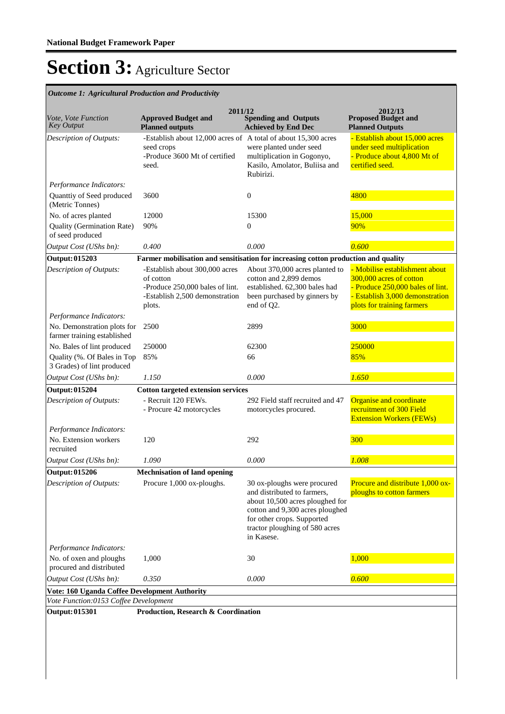| <b>Outcome 1: Agricultural Production and Productivity</b> |                                                                                                                            |                                                                                                                                                                                                                |                                                                                                                                                                |
|------------------------------------------------------------|----------------------------------------------------------------------------------------------------------------------------|----------------------------------------------------------------------------------------------------------------------------------------------------------------------------------------------------------------|----------------------------------------------------------------------------------------------------------------------------------------------------------------|
| Vote, Vote Function<br><b>Key Output</b>                   | 2011/12<br><b>Approved Budget and</b><br><b>Planned outputs</b>                                                            | <b>Spending and Outputs</b><br><b>Achieved by End Dec</b>                                                                                                                                                      | 2012/13<br><b>Proposed Budget and</b><br><b>Planned Outputs</b>                                                                                                |
| Description of Outputs:                                    | -Establish about 12,000 acres of A total of about 15,300 acres<br>seed crops<br>-Produce 3600 Mt of certified<br>seed.     | were planted under seed<br>multiplication in Gogonyo,<br>Kasilo, Amolator, Buliisa and<br>Rubirizi.                                                                                                            | - Establish about 15,000 acres<br>under seed multiplication<br>- Produce about 4,800 Mt of<br>certified seed.                                                  |
| Performance Indicators:                                    |                                                                                                                            |                                                                                                                                                                                                                |                                                                                                                                                                |
| Quanttiy of Seed produced<br>(Metric Tonnes)               | 3600                                                                                                                       | $\boldsymbol{0}$                                                                                                                                                                                               | 4800                                                                                                                                                           |
| No. of acres planted                                       | 12000                                                                                                                      | 15300                                                                                                                                                                                                          | 15,000                                                                                                                                                         |
| Quality (Germination Rate)<br>of seed produced             | 90%                                                                                                                        | $\mathbf{0}$                                                                                                                                                                                                   | 90%                                                                                                                                                            |
| Output Cost (UShs bn):                                     | 0.400                                                                                                                      | 0.000                                                                                                                                                                                                          | 0.600                                                                                                                                                          |
| Output: 015203                                             | Farmer mobilisation and sensitisation for increasing cotton production and quality                                         |                                                                                                                                                                                                                |                                                                                                                                                                |
| <b>Description of Outputs:</b>                             | -Establish about 300,000 acres<br>of cotton<br>-Produce 250,000 bales of lint.<br>-Establish 2,500 demonstration<br>plots. | About 370,000 acres planted to<br>cotton and 2,899 demos<br>established. 62,300 bales had<br>been purchased by ginners by<br>end of Q2.                                                                        | - Mobilise establishment about<br>300,000 acres of cotton<br>- Produce 250,000 bales of lint.<br>- Establish 3,000 demonstration<br>plots for training farmers |
| Performance Indicators:                                    |                                                                                                                            |                                                                                                                                                                                                                |                                                                                                                                                                |
| No. Demonstration plots for<br>farmer training established | 2500                                                                                                                       | 2899                                                                                                                                                                                                           | 3000                                                                                                                                                           |
| No. Bales of lint produced                                 | 250000                                                                                                                     | 62300                                                                                                                                                                                                          | 250000                                                                                                                                                         |
| Quality (%. Of Bales in Top<br>3 Grades) of lint produced  | 85%                                                                                                                        | 66                                                                                                                                                                                                             | 85%                                                                                                                                                            |
| Output Cost (UShs bn):                                     | 1.150                                                                                                                      | 0.000                                                                                                                                                                                                          | 1.650                                                                                                                                                          |
| <b>Output: 015204</b>                                      | <b>Cotton targeted extension services</b>                                                                                  |                                                                                                                                                                                                                |                                                                                                                                                                |
| Description of Outputs:                                    | - Recruit 120 FEWs.<br>- Procure 42 motorcycles                                                                            | 292 Field staff recruited and 47<br>motorcycles procured.                                                                                                                                                      | Organise and coordinate<br>recruitment of 300 Field<br><b>Extension Workers (FEWs)</b>                                                                         |
| Performance Indicators:                                    |                                                                                                                            |                                                                                                                                                                                                                |                                                                                                                                                                |
| No. Extension workers<br>recruited                         | 120                                                                                                                        | 292                                                                                                                                                                                                            | 300                                                                                                                                                            |
| Output Cost (UShs bn):                                     | 1.090                                                                                                                      | 0.000                                                                                                                                                                                                          | 1.008                                                                                                                                                          |
| <b>Output: 015206</b>                                      | <b>Mechnisation of land opening</b>                                                                                        |                                                                                                                                                                                                                |                                                                                                                                                                |
| Description of Outputs:                                    | Procure 1,000 ox-ploughs.                                                                                                  | 30 ox-ploughs were procured<br>and distributed to farmers,<br>about 10,500 acres ploughed for<br>cotton and 9,300 acres ploughed<br>for other crops. Supported<br>tractor ploughing of 580 acres<br>in Kasese. | Procure and distribute 1,000 ox-<br>ploughs to cotton farmers                                                                                                  |
| Performance Indicators:                                    |                                                                                                                            |                                                                                                                                                                                                                |                                                                                                                                                                |
| No. of oxen and ploughs<br>procured and distributed        | 1,000                                                                                                                      | 30                                                                                                                                                                                                             | 1,000                                                                                                                                                          |
| Output Cost (UShs bn):                                     | 0.350                                                                                                                      | 0.000                                                                                                                                                                                                          | 0.600                                                                                                                                                          |
| Vote: 160 Uganda Coffee Development Authority              |                                                                                                                            |                                                                                                                                                                                                                |                                                                                                                                                                |
| Vote Function:0153 Coffee Development                      |                                                                                                                            |                                                                                                                                                                                                                |                                                                                                                                                                |
| <b>Output: 015301</b>                                      | <b>Production, Research &amp; Coordination</b>                                                                             |                                                                                                                                                                                                                |                                                                                                                                                                |
|                                                            |                                                                                                                            |                                                                                                                                                                                                                |                                                                                                                                                                |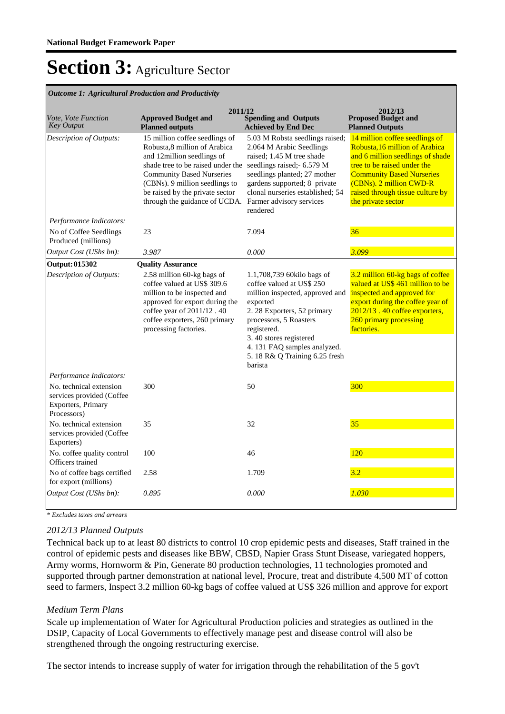#### *Outcome 1: Agricultural Production and Productivity*

| Vote, Vote Function<br><b>Key Output</b>                                                  | 2011/12<br><b>Approved Budget and</b><br><b>Planned outputs</b>                                                                                                                                                                                                              | <b>Spending and Outputs</b><br><b>Achieved by End Dec</b>                                                                                                                                                                                                                            | 2012/13<br><b>Proposed Budget and</b><br><b>Planned Outputs</b>                                                                                                                                                                                              |
|-------------------------------------------------------------------------------------------|------------------------------------------------------------------------------------------------------------------------------------------------------------------------------------------------------------------------------------------------------------------------------|--------------------------------------------------------------------------------------------------------------------------------------------------------------------------------------------------------------------------------------------------------------------------------------|--------------------------------------------------------------------------------------------------------------------------------------------------------------------------------------------------------------------------------------------------------------|
| Description of Outputs:                                                                   | 15 million coffee seedlings of<br>Robusta, 8 million of Arabica<br>and 12million seedlings of<br>shade tree to be raised under the<br><b>Community Based Nurseries</b><br>(CBNs). 9 million seedlings to<br>be raised by the private sector<br>through the guidance of UCDA. | 5.03 M Robsta seedlings raised;<br>2.064 M Arabic Seedlings<br>raised: 1.45 M tree shade<br>seedlings raised;- 6.579 M<br>seedlings planted; 27 mother<br>gardens supported; 8 private<br>clonal nurseries established; 54<br>Farmer advisory services<br>rendered                   | 14 million coffee seedlings of<br>Robusta, 16 million of Arabica<br>and 6 million seedlings of shade<br>tree to be raised under the<br><b>Community Based Nurseries</b><br>(CBNs). 2 million CWD-R<br>raised through tissue culture by<br>the private sector |
| Performance Indicators:                                                                   |                                                                                                                                                                                                                                                                              |                                                                                                                                                                                                                                                                                      |                                                                                                                                                                                                                                                              |
| No of Coffee Seedlings<br>Produced (millions)                                             | 23                                                                                                                                                                                                                                                                           | 7.094                                                                                                                                                                                                                                                                                | 36                                                                                                                                                                                                                                                           |
| Output Cost (UShs bn):                                                                    | 3.987                                                                                                                                                                                                                                                                        | 0.000                                                                                                                                                                                                                                                                                | 3.099                                                                                                                                                                                                                                                        |
| Output: 015302                                                                            | <b>Quality Assurance</b>                                                                                                                                                                                                                                                     |                                                                                                                                                                                                                                                                                      |                                                                                                                                                                                                                                                              |
| Description of Outputs:                                                                   | 2.58 million 60-kg bags of<br>coffee valued at US\$ 309.6<br>million to be inspected and<br>approved for export during the<br>coffee year of 2011/12.40<br>coffee exporters, 260 primary<br>processing factories.                                                            | 1.1,708,739 60kilo bags of<br>coffee valued at US\$ 250<br>million inspected, approved and<br>exported<br>2. 28 Exporters, 52 primary<br>processors, 5 Roasters<br>registered.<br>3.40 stores registered<br>4. 131 FAQ samples analyzed.<br>5.18 R& Q Training 6.25 fresh<br>barista | 3.2 million 60-kg bags of coffee<br>valued at US\$ 461 million to be<br>inspected and approved for<br>export during the coffee year of<br>2012/13.40 coffee exporters,<br>260 primary processing<br>factories.                                               |
| Performance Indicators:                                                                   |                                                                                                                                                                                                                                                                              |                                                                                                                                                                                                                                                                                      |                                                                                                                                                                                                                                                              |
| No. technical extension<br>services provided (Coffee<br>Exporters, Primary<br>Processors) | 300                                                                                                                                                                                                                                                                          | 50                                                                                                                                                                                                                                                                                   | 300                                                                                                                                                                                                                                                          |
| No. technical extension<br>services provided (Coffee<br>Exporters)                        | 35                                                                                                                                                                                                                                                                           | 32                                                                                                                                                                                                                                                                                   | 35                                                                                                                                                                                                                                                           |
| No. coffee quality control<br>Officers trained                                            | 100                                                                                                                                                                                                                                                                          | 46                                                                                                                                                                                                                                                                                   | 120                                                                                                                                                                                                                                                          |
| No of coffee bags certified<br>for export (millions)                                      | 2.58                                                                                                                                                                                                                                                                         | 1.709                                                                                                                                                                                                                                                                                | 3.2                                                                                                                                                                                                                                                          |
| Output Cost (UShs bn):                                                                    | 0.895                                                                                                                                                                                                                                                                        | 0.000                                                                                                                                                                                                                                                                                | 1.030                                                                                                                                                                                                                                                        |

*\* Excludes taxes and arrears*

### *2012/13 Planned Outputs*

Technical back up to at least 80 districts to control 10 crop epidemic pests and diseases, Staff trained in the control of epidemic pests and diseases like BBW, CBSD, Napier Grass Stunt Disease, variegated hoppers, Army worms, Hornworm & Pin, Generate 80 production technologies, 11 technologies promoted and supported through partner demonstration at national level, Procure, treat and distribute 4,500 MT of cotton seed to farmers, Inspect 3.2 million 60-kg bags of coffee valued at US\$ 326 million and approve for export

#### *Medium Term Plans*

Scale up implementation of Water for Agricultural Production policies and strategies as outlined in the DSIP, Capacity of Local Governments to effectively manage pest and disease control will also be strengthened through the ongoing restructuring exercise.

The sector intends to increase supply of water for irrigation through the rehabilitation of the 5 gov't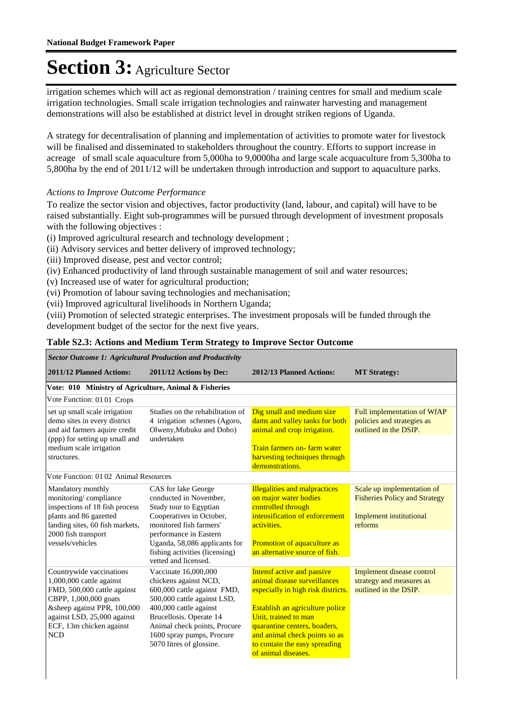irrigation schemes which will act as regional demonstration / training centres for small and medium scale irrigation technologies. Small scale irrigation technologies and rainwater harvesting and management demonstrations will also be established at district level in drought striken regions of Uganda.

A strategy for decentralisation of planning and implementation of activities to promote water for livestock will be finalised and disseminated to stakeholders throughout the country. Efforts to support increase in acreage of small scale aquaculture from 5,000ha to 9,0000ha and large scale acquaculture from 5,300ha to 5,800ha by the end of 2011/12 will be undertaken through introduction and support to aquaculture parks.

*Actions to Improve Outcome Performance*

To realize the sector vision and objectives, factor productivity (land, labour, and capital) will have to be raised substantially. Eight sub-programmes will be pursued through development of investment proposals with the following objectives :

(i) Improved agricultural research and technology development ;

(ii) Advisory services and better delivery of improved technology;

(iii) Improved disease, pest and vector control;

(iv) Enhanced productivity of land through sustainable management of soil and water resources;

(v) Increased use of water for agricultural production;

(vi) Promotion of labour saving technologies and mechanisation;

(vii) Improved agricultural livelihoods in Northern Uganda;

(viii) Promotion of selected strategic enterprises. The investment proposals will be funded through the development budget of the sector for the next five years.

#### **Table S2.3: Actions and Medium Term Strategy to Improve Sector Outcome**

*Sector Outcome 1: Agricultural Production and Productivity*

| 2011/12 Planned Actions:                                                                                                                                                                                             | 2011/12 Actions by Dec:                                                                                                                                                                                                                                   | 2012/13 Planned Actions:                                                                                                                                                                                                                                                             | <b>MT Strategy:</b>                                                                                             |
|----------------------------------------------------------------------------------------------------------------------------------------------------------------------------------------------------------------------|-----------------------------------------------------------------------------------------------------------------------------------------------------------------------------------------------------------------------------------------------------------|--------------------------------------------------------------------------------------------------------------------------------------------------------------------------------------------------------------------------------------------------------------------------------------|-----------------------------------------------------------------------------------------------------------------|
| Vote: 010 Ministry of Agriculture, Animal & Fisheries                                                                                                                                                                |                                                                                                                                                                                                                                                           |                                                                                                                                                                                                                                                                                      |                                                                                                                 |
| Vote Function: 0101 Crops                                                                                                                                                                                            |                                                                                                                                                                                                                                                           |                                                                                                                                                                                                                                                                                      |                                                                                                                 |
| set up small scale irrigation<br>demo sites in every district<br>and aid farmers aquire credit<br>(ppp) for setting up small and<br>medium scale irrigation<br>structures.                                           | Studies on the rehabilitation of<br>4 irrigation schemes (Agoro,<br>Olweny, Mubuku and Doho)<br>undertaken                                                                                                                                                | Dig small and medium size<br>dams and valley tanks for both<br>animal and crop irrigation.<br>Train farmers on- farm water<br>harvesting techniques through<br>demonstrations.                                                                                                       | Full implementation of WfAP<br>policies and strategies as<br>outlined in the DSIP.                              |
| Vote Function: 0102 Animal Resources                                                                                                                                                                                 |                                                                                                                                                                                                                                                           |                                                                                                                                                                                                                                                                                      |                                                                                                                 |
| Mandatory monthly<br>monitoring/compliance<br>inspections of 18 fish process<br>plants and 86 gazetted<br>landing sites, 60 fish markets,<br>2000 fish transport<br>vessels/vehicles                                 | CAS for lake George<br>conducted in November.<br>Study tour to Egyptian<br>Cooperatives in October,<br>monitored fish farmers'<br>performance in Eastern<br>Uganda, 58,086 applicants for<br>fishing activities (licensing)<br>vetted and licensed.       | <b>Illegalities and malpractices</b><br>on major water bodies<br>controlled through<br>intensification of enforcement<br>activities.<br>Promotion of aquaculture as<br>an alternative source of fish.                                                                                | Scale up implementation of<br><b>Fisheries Policy and Strategy</b><br><b>Implement institutional</b><br>reforms |
| Countrywide vaccinations<br>1,000,000 cattle against<br>FMD, 500,000 cattle against<br>CBPP, 1,000,000 goats<br>&sheep against PPR, 100,000<br>against LSD, 25,000 against<br>ECF, 13m chicken against<br><b>NCD</b> | Vaccinate 16,000,000<br>chickens against NCD,<br>600,000 cattle against FMD,<br>500,000 cattle against LSD,<br>400,000 cattle against<br>Brucellosis. Operate 14<br>Animal check points, Procure<br>1600 spray pumps, Procure<br>5070 litres of glossine. | Intensf active and passive<br>animal disease surveillances<br>especially in high risk districts.<br>Establish an agriculture police<br>Unit, trained to man<br>quarantine centers, boaders,<br>and animal check points so as<br>to contain the easy spreading<br>of animal diseases. | <b>Implement disease control</b><br>strategy and measures as<br>outlined in the DSIP.                           |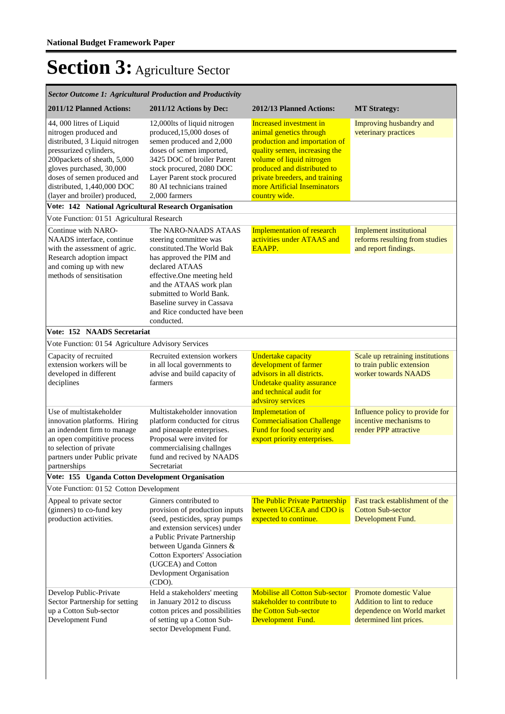| <b>Sector Outcome 1: Agricultural Production and Productivity</b>                                                                                                                                                                                                                                                               |                                                                                                                                                                                                                                                                                             |                                                                                                                                                                                                                                                                            |                                                                                                                      |  |  |
|---------------------------------------------------------------------------------------------------------------------------------------------------------------------------------------------------------------------------------------------------------------------------------------------------------------------------------|---------------------------------------------------------------------------------------------------------------------------------------------------------------------------------------------------------------------------------------------------------------------------------------------|----------------------------------------------------------------------------------------------------------------------------------------------------------------------------------------------------------------------------------------------------------------------------|----------------------------------------------------------------------------------------------------------------------|--|--|
| 2011/12 Planned Actions:                                                                                                                                                                                                                                                                                                        | 2011/12 Actions by Dec:                                                                                                                                                                                                                                                                     | 2012/13 Planned Actions:                                                                                                                                                                                                                                                   | <b>MT Strategy:</b>                                                                                                  |  |  |
| 44, 000 litres of Liquid<br>nitrogen produced and<br>distributed, 3 Liquid nitrogen<br>pressurized cylinders,<br>200packets of sheath, 5,000<br>gloves purchased, 30,000<br>doses of semen produced and<br>distributed, 1,440,000 DOC<br>(layer and broiler) produced,<br>Vote: 142 National Agricultural Research Organisation | 12,000lts of liquid nitrogen<br>produced, 15,000 doses of<br>semen produced and 2,000<br>doses of semen imported,<br>3425 DOC of broiler Parent<br>stock procured, 2080 DOC<br>Layer Parent stock procured<br>80 AI technicians trained<br>2,000 farmers                                    | <b>Increased investment in</b><br>animal genetics through<br>production and importation of<br>quality semen, increasing the<br>volume of liquid nitrogen<br>produced and distributed to<br>private breeders, and training<br>more Artificial Inseminators<br>country wide. | Improving husbandry and<br>veterinary practices                                                                      |  |  |
| Vote Function: 01 51 Agricultural Research                                                                                                                                                                                                                                                                                      |                                                                                                                                                                                                                                                                                             |                                                                                                                                                                                                                                                                            |                                                                                                                      |  |  |
| Continue with NARO-<br>NAADS interface, continue<br>with the assessment of agric.<br>Research adoption impact<br>and coming up with new<br>methods of sensitisation                                                                                                                                                             | The NARO-NAADS ATAAS<br>steering committee was<br>constituted. The World Bak<br>has approved the PIM and<br>declared ATAAS<br>effective.One meeting held<br>and the ATAAS work plan<br>submitted to World Bank.<br>Baseline survey in Cassava<br>and Rice conducted have been<br>conducted. | <b>Implementation of research</b><br>activities under ATAAS and<br>EAAPP.                                                                                                                                                                                                  | <b>Implement institutional</b><br>reforms resulting from studies<br>and report findings.                             |  |  |
| Vote: 152 NAADS Secretariat                                                                                                                                                                                                                                                                                                     |                                                                                                                                                                                                                                                                                             |                                                                                                                                                                                                                                                                            |                                                                                                                      |  |  |
| Vote Function: 01 54 Agriculture Advisory Services                                                                                                                                                                                                                                                                              |                                                                                                                                                                                                                                                                                             |                                                                                                                                                                                                                                                                            |                                                                                                                      |  |  |
| Capacity of recruited<br>extension workers will be<br>developed in different<br>deciplines                                                                                                                                                                                                                                      | Recruited extension workers<br>in all local governments to<br>advise and build capacity of<br>farmers                                                                                                                                                                                       | <b>Undertake capacity</b><br>development of farmer<br>advisors in all districts.<br><b>Undetake quality assurance</b><br>and technical audit for<br>advsiroy services                                                                                                      | Scale up retraining institutions<br>to train public extension<br>worker towards NAADS                                |  |  |
| Use of multistakeholder<br>innovation platforms. Hiring<br>an indendent firm to manage<br>an open compititive process<br>to selection of private<br>partners under Public private<br>partnerships                                                                                                                               | Multistakeholder innovation<br>platform conducted for citrus<br>and pineaaple enterprises.<br>Proposal were invited for<br>commercialising challnges<br>fund and recived by NAADS<br>Secretariat                                                                                            | <b>Implemetation of</b><br><b>Commecialisation Challenge</b><br>Fund for food security and<br>export priority enterprises.                                                                                                                                                 | Influence policy to provide for<br>incentive mechanisms to<br>render PPP attractive                                  |  |  |
| Vote: 155 Uganda Cotton Development Organisation                                                                                                                                                                                                                                                                                |                                                                                                                                                                                                                                                                                             |                                                                                                                                                                                                                                                                            |                                                                                                                      |  |  |
| Vote Function: 01 52 Cotton Development                                                                                                                                                                                                                                                                                         |                                                                                                                                                                                                                                                                                             |                                                                                                                                                                                                                                                                            |                                                                                                                      |  |  |
| Appeal to private sector<br>(ginners) to co-fund key<br>production activities.                                                                                                                                                                                                                                                  | Ginners contributed to<br>provision of production inputs<br>(seed, pesticides, spray pumps<br>and extension services) under<br>a Public Private Partnership<br>between Uganda Ginners &<br><b>Cotton Exporters' Association</b><br>(UGCEA) and Cotton<br>Devlopment Organisation<br>(CDO).  | The Public Private Partnership<br>between UGCEA and CDO is<br>expected to continue.                                                                                                                                                                                        | Fast track establishment of the<br><b>Cotton Sub-sector</b><br>Development Fund.                                     |  |  |
| Develop Public-Private<br>Sector Partnership for setting<br>up a Cotton Sub-sector<br>Development Fund                                                                                                                                                                                                                          | Held a stakeholders' meeting<br>in January 2012 to discuss<br>cotton prices and possibilities<br>of setting up a Cotton Sub-<br>sector Development Fund.                                                                                                                                    | <b>Mobilise all Cotton Sub-sector</b><br>stakeholder to contribute to<br>the Cotton Sub-sector<br>Development Fund.                                                                                                                                                        | <b>Promote domestic Value</b><br>Addition to lint to reduce<br>dependence on World market<br>determined lint prices. |  |  |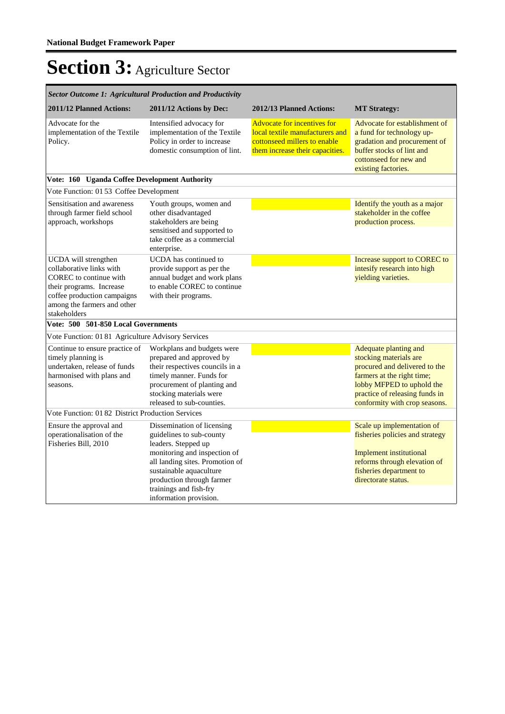| <b>Sector Outcome 1: Agricultural Production and Productivity</b>                                                                                                                    |                                                                                                                                                                                                                                                              |                                                                                                                                          |                                                                                                                                                                                                                |  |  |
|--------------------------------------------------------------------------------------------------------------------------------------------------------------------------------------|--------------------------------------------------------------------------------------------------------------------------------------------------------------------------------------------------------------------------------------------------------------|------------------------------------------------------------------------------------------------------------------------------------------|----------------------------------------------------------------------------------------------------------------------------------------------------------------------------------------------------------------|--|--|
| 2011/12 Planned Actions:                                                                                                                                                             | 2011/12 Actions by Dec:                                                                                                                                                                                                                                      | 2012/13 Planned Actions:                                                                                                                 | <b>MT Strategy:</b>                                                                                                                                                                                            |  |  |
| Advocate for the<br>implementation of the Textile<br>Policy.                                                                                                                         | Intensified advocacy for<br>implementation of the Textile<br>Policy in order to increase<br>domestic consumption of lint.                                                                                                                                    | <b>Advocate for incentives for</b><br>local textile manufacturers and<br>cottonseed millers to enable<br>them increase their capacities. | Advocate for establishment of<br>a fund for technology up-<br>gradation and procurement of<br>buffer stocks of lint and<br>cottonseed for new and<br>existing factories.                                       |  |  |
| Vote: 160 Uganda Coffee Development Authority                                                                                                                                        |                                                                                                                                                                                                                                                              |                                                                                                                                          |                                                                                                                                                                                                                |  |  |
| Vote Function: 01 53 Coffee Development                                                                                                                                              |                                                                                                                                                                                                                                                              |                                                                                                                                          |                                                                                                                                                                                                                |  |  |
| Sensitisation and awareness<br>through farmer field school<br>approach, workshops                                                                                                    | Youth groups, women and<br>other disadvantaged<br>stakeholders are being<br>sensitised and supported to<br>take coffee as a commercial<br>enterprise.                                                                                                        |                                                                                                                                          | Identify the youth as a major<br>stakeholder in the coffee<br>production process.                                                                                                                              |  |  |
| UCDA will strengthen<br>collaborative links with<br>COREC to continue with<br>their programs. Increase<br>coffee production campaigns<br>among the farmers and other<br>stakeholders | UCDA has continued to<br>provide support as per the<br>annual budget and work plans<br>to enable COREC to continue<br>with their programs.                                                                                                                   |                                                                                                                                          | Increase support to COREC to<br>intesify research into high<br>yielding varieties.                                                                                                                             |  |  |
| Vote: 500 501-850 Local Governments                                                                                                                                                  |                                                                                                                                                                                                                                                              |                                                                                                                                          |                                                                                                                                                                                                                |  |  |
| Vote Function: 01 81 Agriculture Advisory Services                                                                                                                                   |                                                                                                                                                                                                                                                              |                                                                                                                                          |                                                                                                                                                                                                                |  |  |
| Continue to ensure practice of<br>timely planning is<br>undertaken, release of funds<br>harmonised with plans and<br>seasons.                                                        | Workplans and budgets were<br>prepared and approved by<br>their respectives councils in a<br>timely manner. Funds for<br>procurement of planting and<br>stocking materials were<br>released to sub-counties.                                                 |                                                                                                                                          | Adequate planting and<br>stocking materials are<br>procured and delivered to the<br>farmers at the right time;<br>lobby MFPED to uphold the<br>practice of releasing funds in<br>conformity with crop seasons. |  |  |
| Vote Function: 01 82 District Production Services                                                                                                                                    |                                                                                                                                                                                                                                                              |                                                                                                                                          |                                                                                                                                                                                                                |  |  |
| Ensure the approval and<br>operationalisation of the<br>Fisheries Bill, 2010                                                                                                         | Dissemination of licensing<br>guidelines to sub-county<br>leaders. Stepped up<br>monitoring and inspection of<br>all landing sites. Promotion of<br>sustainable aquaculture<br>production through farmer<br>trainings and fish-fry<br>information provision. |                                                                                                                                          | Scale up implementation of<br>fisheries policies and strategy<br><b>Implement institutional</b><br>reforms through elevation of<br>fisheries department to<br>directorate status.                              |  |  |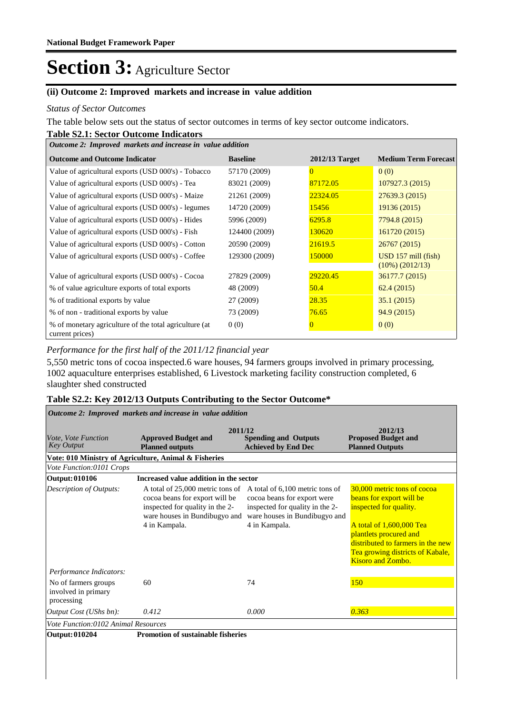#### **(ii) Outcome 2: Improved markets and increase in value addition**

#### *Status of Sector Outcomes*

The table below sets out the status of sector outcomes in terms of key sector outcome indicators.

### **Table S2.1: Sector Outcome Indicators**

| Outcome 2: Improved markets and increase in value addition                |                 |                  |                                  |  |  |  |
|---------------------------------------------------------------------------|-----------------|------------------|----------------------------------|--|--|--|
| <b>Outcome and Outcome Indicator</b>                                      | <b>Baseline</b> | $2012/13$ Target | <b>Medium Term Forecast</b>      |  |  |  |
| Value of agricultural exports (USD 000's) - Tobacco                       | 57170 (2009)    | 0                | 0(0)                             |  |  |  |
| Value of agricultural exports (USD 000's) - Tea                           | 83021 (2009)    | 87172.05         | 107927.3 (2015)                  |  |  |  |
| Value of agricultural exports (USD 000's) - Maize                         | 21261 (2009)    | 22324.05         | 27639.3 (2015)                   |  |  |  |
| Value of agricultural exports (USD 000's) - legumes                       | 14720 (2009)    | 15456            | 19136 (2015)                     |  |  |  |
| Value of agricultural exports (USD 000's) - Hides                         | 5996 (2009)     | 6295.8           | 7794.8 (2015)                    |  |  |  |
| Value of agricultural exports (USD 000's) - Fish                          | 124400 (2009)   | 130620           | 161720 (2015)                    |  |  |  |
| Value of agricultural exports (USD 000's) - Cotton                        | 20590 (2009)    | 21619.5          | 26767 (2015)                     |  |  |  |
| Value of agricultural exports (USD 000's) - Coffee                        | 129300 (2009)   | 150000           | $\overline{USD}$ 157 mill (fish) |  |  |  |
|                                                                           |                 |                  | $(10\%) (2012/13)$               |  |  |  |
| Value of agricultural exports (USD 000's) - Cocoa                         | 27829 (2009)    | 29220.45         | 36177.7 (2015)                   |  |  |  |
| % of value agriculture exports of total exports                           | 48 (2009)       | 50.4             | 62.4(2015)                       |  |  |  |
| % of traditional exports by value                                         | 27 (2009)       | 28.35            | 35.1(2015)                       |  |  |  |
| % of non - traditional exports by value                                   | 73 (2009)       | 76.65            | 94.9(2015)                       |  |  |  |
| % of monetary agriculture of the total agriculture (at<br>current prices) | 0(0)            |                  | 0(0)                             |  |  |  |

*Performance for the first half of the 2011/12 financial year*

5,550 metric tons of cocoa inspected.6 ware houses, 94 farmers groups involved in primary processing, 1002 aquaculture enterprises established, 6 Livestock marketing facility construction completed, 6 slaughter shed constructed

#### **Table S2.2: Key 2012/13 Outputs Contributing to the Sector Outcome\***

| Outcome 2: Improved markets and increase in value addition |                                                                                                                                                         |                                                                                                                                                     |                                                                                                                                                                                                                                       |  |  |  |  |
|------------------------------------------------------------|---------------------------------------------------------------------------------------------------------------------------------------------------------|-----------------------------------------------------------------------------------------------------------------------------------------------------|---------------------------------------------------------------------------------------------------------------------------------------------------------------------------------------------------------------------------------------|--|--|--|--|
| Vote, Vote Function<br><b>Key Output</b>                   | 2011/12<br><b>Approved Budget and</b><br><b>Planned outputs</b>                                                                                         | <b>Spending and Outputs</b><br><b>Achieved by End Dec</b>                                                                                           | 2012/13<br><b>Proposed Budget and</b><br><b>Planned Outputs</b>                                                                                                                                                                       |  |  |  |  |
|                                                            | Vote: 010 Ministry of Agriculture, Animal & Fisheries                                                                                                   |                                                                                                                                                     |                                                                                                                                                                                                                                       |  |  |  |  |
| Vote Function:0101 Crops                                   |                                                                                                                                                         |                                                                                                                                                     |                                                                                                                                                                                                                                       |  |  |  |  |
| Output: 010106                                             | Increased value addition in the sector                                                                                                                  |                                                                                                                                                     |                                                                                                                                                                                                                                       |  |  |  |  |
| <b>Description of Outputs:</b>                             | A total of 25,000 metric tons of<br>cocoa beans for export will be<br>inspected for quality in the 2-<br>ware houses in Bundibugyo and<br>4 in Kampala. | A total of 6,100 metric tons of<br>cocoa beans for export were<br>inspected for quality in the 2-<br>ware houses in Bundibugyo and<br>4 in Kampala. | 30,000 metric tons of cocoa<br>beans for export will be<br>inspected for quality.<br>A total of 1,600,000 Tea<br>plantlets procured and<br>distributed to farmers in the new<br>Tea growing districts of Kabale,<br>Kisoro and Zombo. |  |  |  |  |
| Performance Indicators:                                    |                                                                                                                                                         |                                                                                                                                                     |                                                                                                                                                                                                                                       |  |  |  |  |
| No of farmers groups<br>involved in primary<br>processing  | 60                                                                                                                                                      | 74                                                                                                                                                  | <b>150</b>                                                                                                                                                                                                                            |  |  |  |  |
| Output Cost (UShs bn):                                     | 0.412                                                                                                                                                   | 0.000                                                                                                                                               | 0.363                                                                                                                                                                                                                                 |  |  |  |  |
| Vote Function:0102 Animal Resources                        |                                                                                                                                                         |                                                                                                                                                     |                                                                                                                                                                                                                                       |  |  |  |  |
| Output: 010204                                             | <b>Promotion of sustainable fisheries</b>                                                                                                               |                                                                                                                                                     |                                                                                                                                                                                                                                       |  |  |  |  |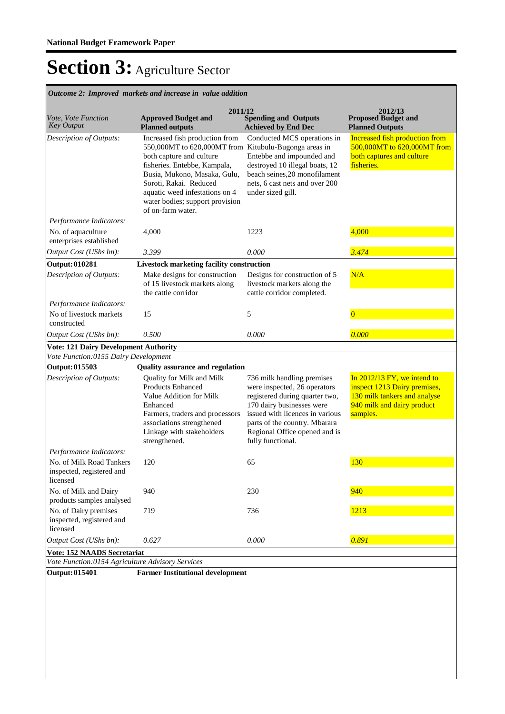**Spending and Outputs Achieved by End Dec Approved Budget and Planned outputs Proposed Budget and Planned Outputs 2011/12** *Vote, Vote Function Key Output* **2012/13** *Outcome 2: Improved markets and increase in value addition* Increased fish production from 550,000MT to 620,000MT from Kitubulu-Bugonga areas in both capture and culture fisheries. Entebbe, Kampala, Busia, Mukono, Masaka, Gulu, Soroti, Rakai. Reduced aquatic weed infestations on 4 water bodies; support provision of on-farm water. Conducted MCS operations in Entebbe and impounded and destroyed 10 illegal boats, 12 beach seines,20 monofilament nets, 6 cast nets and over 200 under sized gill. Increased fish production from 500,000MT to 620,000MT from both captures and culture fisheries. *Output Cost (UShs bn): 3.399 0.000 3.474 Description of Outputs: Performance Indicators:* No. of aquaculture enterprises established 4,000 1223 4,000 **Output: 010281 Livestock marketing facility construction** Make designs for construction of 15 livestock markets along the cattle corridor Designs for construction of 5 livestock markets along the cattle corridor completed. N/A *Output Cost (UShs bn): 0.500 0.000 0.000 Description of Outputs: Performance Indicators:* No of livestock markets constructed  $15$  5 0 **Vote: 121 Dairy Development Authority** *Vote Function:0155 Dairy Development* **Output: 015503 Quality assurance and regulation** Quality for Milk and Milk Products Enhanced Value Addition for Milk Enhanced Farmers, traders and processors associations strengthened Linkage with stakeholders strengthened. 736 milk handling premises were inspected, 26 operators registered during quarter two, 170 dairy businesses were issued with licences in various parts of the country. Mbarara Regional Office opened and is fully functional. In 2012/13 FY, we intend to inspect 1213 Dairy premises, 130 milk tankers and analyse 940 milk and dairy product samples. *Output Cost (UShs bn): 0.627 0.000 0.891 Description of Outputs: Performance Indicators:* No. of Milk Road Tankers inspected, registered and licensed 120 65 130 No. of Milk and Dairy products samples analysed 940 230 230 940 No. of Dairy premises inspected, registered and licensed 719 736 736 1<mark>1213</mark> **Vote: 152 NAADS Secretariat** *Vote Function:0154 Agriculture Advisory Services*

**Output: 015401 Farmer Institutional development**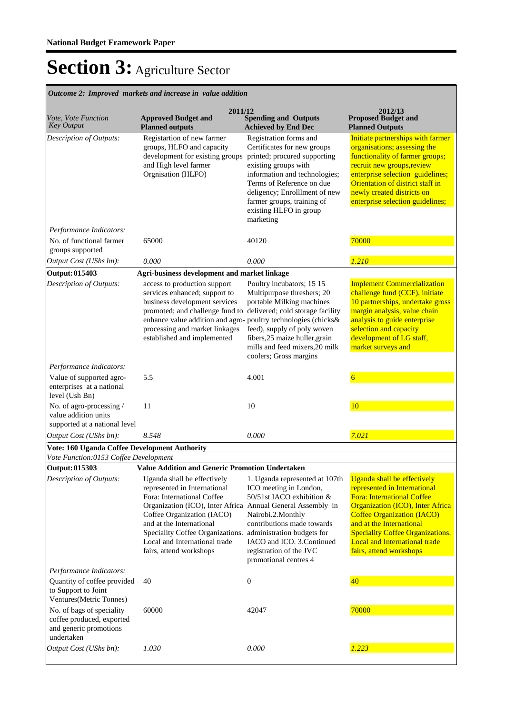**Spending and Outputs Achieved by End Dec Approved Budget and Planned outputs Proposed Budget and Planned Outputs 2011/12** *Vote, Vote Function Key Output* **2012/13** *Outcome 2: Improved markets and increase in value addition* Registartion of new farmer groups, HLFO and capacity development for existing groups and High level farmer Orgnisation (HLFO) Registration forms and Certificates for new groups printed; procured supporting existing groups with information and technologies; Terms of Reference on due deligency; Enrolllment of new farmer groups, training of existing HLFO in group marketing Initiate partnerships with farmer organisations; assessing the functionality of farmer groups; recruit new groups,review enterprise selection guidelines; Orientation of district staff in newly created districts on enterprise selection guidelines; *Output Cost (UShs bn): 0.000 0.000 1.210 Description of Outputs: Performance Indicators:* No. of functional farmer groups supported 65000 40120 40120 <mark>70000</mark> **Output: 015403 Agri-business development and market linkage** access to production support services enhanced; support to business development services promoted; and challenge fund to enhance value addition and agro-poultry technologies (chicks& processing and market linkages established and implemented Poultry incubators; 15 15 Multipurpose threshers; 20 portable Milking machines delivered; cold storage facility feed), supply of poly woven fibers,25 maize huller,grain mills and feed mixers,20 milk coolers; Gross margins Implement Commercialization challenge fund (CCF), initiate 10 partnerships, undertake gross margin analysis, value chain analysis to guide enterprise selection and capacity development of LG staff, market surveys and *Output Cost (UShs bn): 8.548 0.000 7.021 Description of Outputs: Performance Indicators:* Value of supported agroenterprises at a national level (Ush Bn) 5.5 4.001 6 No. of agro-processing / value addition units supported at a national level 11 10 10 10 **Vote: 160 Uganda Coffee Development Authority** *Vote Function:0153 Coffee Development* **Output: 015303 Value Addition and Generic Promotion Undertaken** Uganda shall be effectively represented in International Fora: International Coffee Organization (ICO), Inter Africa Annual General Assembly in Coffee Organization (IACO) and at the International Speciality Coffee Organizations. Local and International trade fairs, attend workshops 1. Uganda represented at 107th ICO meeting in London, 50/51st IACO exhibition & Nairobi.2.Monthly contributions made towards administration budgets for IACO and ICO. 3.Continued registration of the JVC promotional centres 4 Uganda shall be effectively represented in International Fora: International Coffee Organization (ICO), Inter Africa Coffee Organization (IACO) and at the International Speciality Coffee Organizations. Local and International trade fairs, attend workshops *Output Cost (UShs bn): 1.030 0.000 1.223 Description of Outputs: Performance Indicators:* Quantity of coffee provided to Support to Joint Ventures(Metric Tonnes) 40 0 40 No. of bags of speciality coffee produced, exported and generic promotions undertaken 60000 42047 70000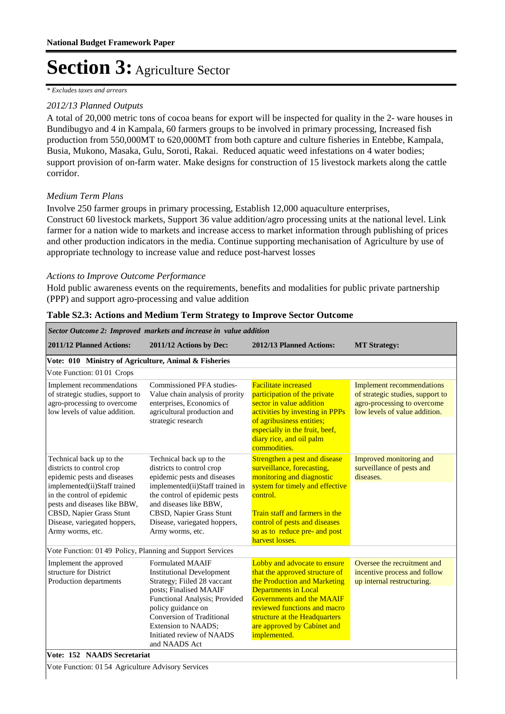*\* Excludes taxes and arrears*

### *2012/13 Planned Outputs*

A total of 20,000 metric tons of cocoa beans for export will be inspected for quality in the 2- ware houses in Bundibugyo and 4 in Kampala, 60 farmers groups to be involved in primary processing, Increased fish production from 550,000MT to 620,000MT from both capture and culture fisheries in Entebbe, Kampala, Busia, Mukono, Masaka, Gulu, Soroti, Rakai. Reduced aquatic weed infestations on 4 water bodies; support provision of on-farm water. Make designs for construction of 15 livestock markets along the cattle corridor.

### *Medium Term Plans*

Involve 250 farmer groups in primary processing, Establish 12,000 aquaculture enterprises, Construct 60 livestock markets, Support 36 value addition/agro processing units at the national level. Link farmer for a nation wide to markets and increase access to market information through publishing of prices and other production indicators in the media. Continue supporting mechanisation of Agriculture by use of appropriate technology to increase value and reduce post-harvest losses

#### *Actions to Improve Outcome Performance*

Hold public awareness events on the requirements, benefits and modalities for public private partnership (PPP) and support agro-processing and value addition

| Sector Outcome 2: Improved markets and increase in value addition                                                                                                                                                                                                  |                                                                                                                                                                                                                                                                               |                                                                                                                                                                                                                                                                                   |                                                                                                                                      |  |  |  |  |
|--------------------------------------------------------------------------------------------------------------------------------------------------------------------------------------------------------------------------------------------------------------------|-------------------------------------------------------------------------------------------------------------------------------------------------------------------------------------------------------------------------------------------------------------------------------|-----------------------------------------------------------------------------------------------------------------------------------------------------------------------------------------------------------------------------------------------------------------------------------|--------------------------------------------------------------------------------------------------------------------------------------|--|--|--|--|
| 2011/12 Planned Actions:                                                                                                                                                                                                                                           | 2011/12 Actions by Dec:                                                                                                                                                                                                                                                       | 2012/13 Planned Actions:                                                                                                                                                                                                                                                          | <b>MT Strategy:</b>                                                                                                                  |  |  |  |  |
| Vote: 010 Ministry of Agriculture, Animal & Fisheries                                                                                                                                                                                                              |                                                                                                                                                                                                                                                                               |                                                                                                                                                                                                                                                                                   |                                                                                                                                      |  |  |  |  |
| Vote Function: 01 01 Crops                                                                                                                                                                                                                                         |                                                                                                                                                                                                                                                                               |                                                                                                                                                                                                                                                                                   |                                                                                                                                      |  |  |  |  |
| Implement recommendations<br>of strategic studies, support to<br>agro-processing to overcome<br>low levels of value addition.                                                                                                                                      | Commissioned PFA studies-<br>Value chain analysis of prority<br>enterprises, Economics of<br>agricultural production and<br>strategic research                                                                                                                                | <b>Facilitate increased</b><br>participation of the private<br>sector in value addition<br>activities by investing in PPPs<br>of agribusiness entities;<br>especially in the fruit, beef,<br>diary rice, and oil palm<br>commodities.                                             | <b>Implement recommendations</b><br>of strategic studies, support to<br>agro-processing to overcome<br>low levels of value addition. |  |  |  |  |
| Technical back up to the<br>districts to control crop<br>epidemic pests and diseases<br>implemented(ii)Staff trained<br>in the control of epidemic<br>pests and diseases like BBW,<br>CBSD, Napier Grass Stunt<br>Disease, variegated hoppers,<br>Army worms, etc. | Technical back up to the<br>districts to control crop<br>epidemic pests and diseases<br>implemented(ii)Staff trained in<br>the control of epidemic pests<br>and diseases like BBW,<br>CBSD, Napier Grass Stunt<br>Disease, variegated hoppers,<br>Army worms, etc.            | Strengthen a pest and disease<br>surveillance, forecasting,<br>monitoring and diagnostic<br>system for timely and effective<br>control.<br>Train staff and farmers in the<br>control of pests and diseases<br>so as to reduce pre- and post<br>harvest losses.                    | Improved monitoring and<br>surveillance of pests and<br>diseases.                                                                    |  |  |  |  |
| Vote Function: 01 49 Policy, Planning and Support Services                                                                                                                                                                                                         |                                                                                                                                                                                                                                                                               |                                                                                                                                                                                                                                                                                   |                                                                                                                                      |  |  |  |  |
| Implement the approved<br>structure for District<br>Production departments                                                                                                                                                                                         | <b>Formulated MAAIF</b><br><b>Institutional Development</b><br>Strategy; Fiiled 28 vaccant<br>posts; Finalised MAAIF<br>Functional Analysis; Provided<br>policy guidance on<br>Conversion of Traditional<br>Extension to NAADS;<br>Initiated review of NAADS<br>and NAADS Act | Lobby and advocate to ensure<br>that the approved structure of<br>the Production and Marketing<br><b>Departments in Local</b><br><b>Governments and the MAAIF</b><br>reviewed functions and macro<br>structure at the Headquarters<br>are approved by Cabinet and<br>implemented. | Oversee the recruitment and<br>incentive process and follow<br>up internal restructuring.                                            |  |  |  |  |
| Vote: 152 NAADS Secretariat                                                                                                                                                                                                                                        |                                                                                                                                                                                                                                                                               |                                                                                                                                                                                                                                                                                   |                                                                                                                                      |  |  |  |  |

#### **Table S2.3: Actions and Medium Term Strategy to Improve Sector Outcome**

Vote Function: 01 54 Agriculture Advisory Services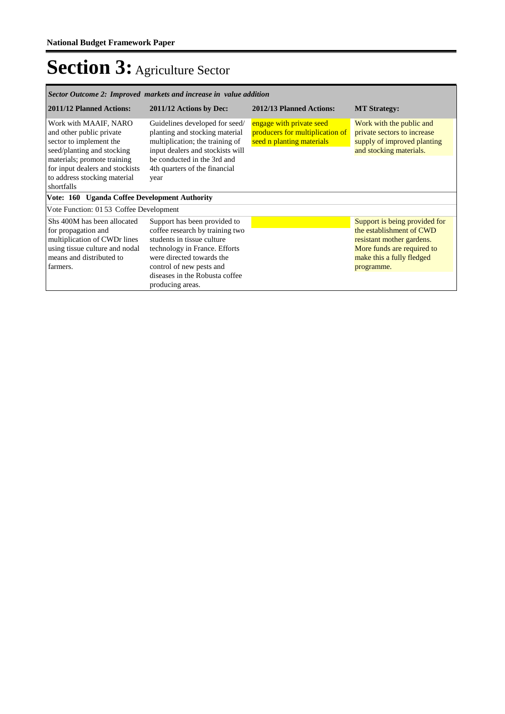| Sector Outcome 2: Improved markets and increase in value addition                                                                                                                                                          |                                                                                                                                                                                                                                               |                                                                                          |                                                                                                                                                                 |  |  |  |  |
|----------------------------------------------------------------------------------------------------------------------------------------------------------------------------------------------------------------------------|-----------------------------------------------------------------------------------------------------------------------------------------------------------------------------------------------------------------------------------------------|------------------------------------------------------------------------------------------|-----------------------------------------------------------------------------------------------------------------------------------------------------------------|--|--|--|--|
| 2011/12 Planned Actions:                                                                                                                                                                                                   | 2011/12 Actions by Dec:                                                                                                                                                                                                                       | 2012/13 Planned Actions:                                                                 | <b>MT Strategy:</b>                                                                                                                                             |  |  |  |  |
| Work with MAAIF, NARO<br>and other public private<br>sector to implement the<br>seed/planting and stocking<br>materials; promote training<br>for input dealers and stockists<br>to address stocking material<br>shortfalls | Guidelines developed for seed/<br>planting and stocking material<br>multiplication; the training of<br>input dealers and stockists will<br>be conducted in the 3rd and<br>4th quarters of the financial<br>year                               | engage with private seed<br>producers for multiplication of<br>seed n planting materials | Work with the public and<br>private sectors to increase<br>supply of improved planting<br>and stocking materials.                                               |  |  |  |  |
| Vote: 160 Uganda Coffee Development Authority                                                                                                                                                                              |                                                                                                                                                                                                                                               |                                                                                          |                                                                                                                                                                 |  |  |  |  |
| Vote Function: 01 53 Coffee Development                                                                                                                                                                                    |                                                                                                                                                                                                                                               |                                                                                          |                                                                                                                                                                 |  |  |  |  |
| Shs 400M has been allocated<br>for propagation and<br>multiplication of CWDr lines<br>using tissue culture and nodal<br>means and distributed to<br>farmers.                                                               | Support has been provided to<br>coffee research by training two<br>students in tissue culture<br>technology in France. Efforts<br>were directed towards the<br>control of new pests and<br>diseases in the Robusta coffee<br>producing areas. |                                                                                          | Support is being provided for<br>the establishment of CWD<br>resistant mother gardens.<br>More funds are required to<br>make this a fully fledged<br>programme. |  |  |  |  |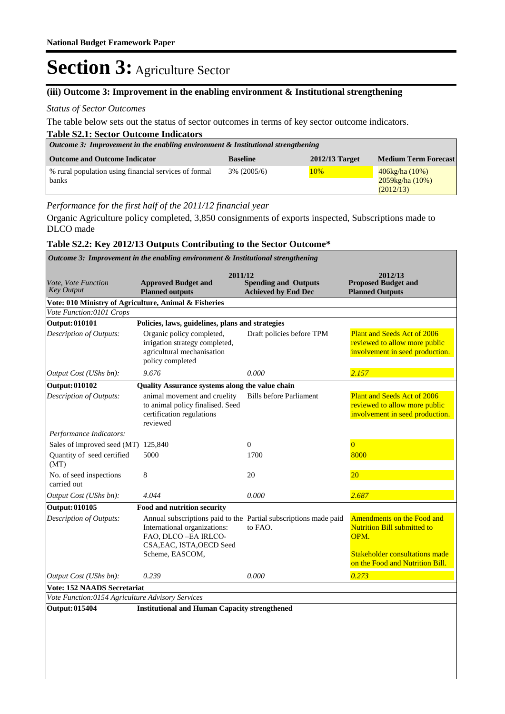#### **(iii) Outcome 3: Improvement in the enabling environment & Institutional strengthening**

#### *Status of Sector Outcomes*

The table below sets out the status of sector outcomes in terms of key sector outcome indicators.

| <b>Table S2.1: Sector Outcome Indicators</b>                                                               |                |     |                                                          |  |  |  |  |
|------------------------------------------------------------------------------------------------------------|----------------|-----|----------------------------------------------------------|--|--|--|--|
| <i>Outcome 3: Improvement in the enabling environment &amp; Institutional strengthening</i>                |                |     |                                                          |  |  |  |  |
| <b>Medium Term Forecast</b><br><b>Outcome and Outcome Indicator</b><br>$2012/13$ Target<br><b>Baseline</b> |                |     |                                                          |  |  |  |  |
| % rural population using financial services of formal<br>banks                                             | $3\%$ (2005/6) | 10% | $406\text{kg/ha} (10\%)$<br>2059kg/ha (10%)<br>(2012/13) |  |  |  |  |

*Performance for the first half of the 2011/12 financial year*

Organic Agriculture policy completed, 3,850 consignments of exports inspected, Subscriptions made to DLCO made

#### **Table S2.2: Key 2012/13 Outputs Contributing to the Sector Outcome\***

|                                                       | Outcome 3: Improvement in the enabling environment & Institutional strengthening                                                                                        |                                                           |                                                                                                                                                      |  |  |
|-------------------------------------------------------|-------------------------------------------------------------------------------------------------------------------------------------------------------------------------|-----------------------------------------------------------|------------------------------------------------------------------------------------------------------------------------------------------------------|--|--|
| Vote, Vote Function<br><b>Key Output</b>              | 2011/12<br><b>Approved Budget and</b><br><b>Planned outputs</b>                                                                                                         | <b>Spending and Outputs</b><br><b>Achieved by End Dec</b> | 2012/13<br><b>Proposed Budget and</b><br><b>Planned Outputs</b>                                                                                      |  |  |
| Vote: 010 Ministry of Agriculture, Animal & Fisheries |                                                                                                                                                                         |                                                           |                                                                                                                                                      |  |  |
| Vote Function:0101 Crops                              |                                                                                                                                                                         |                                                           |                                                                                                                                                      |  |  |
| <b>Output: 010101</b>                                 | Policies, laws, guidelines, plans and strategies                                                                                                                        |                                                           |                                                                                                                                                      |  |  |
| <b>Description of Outputs:</b>                        | Organic policy completed,<br>irrigation strategy completed,<br>agricultural mechanisation<br>policy completed                                                           | Draft policies before TPM                                 | Plant and Seeds Act of 2006<br>reviewed to allow more public<br>involvement in seed production.                                                      |  |  |
| Output Cost (UShs bn):                                | 9.676                                                                                                                                                                   | 0.000                                                     | 2.157                                                                                                                                                |  |  |
| <b>Output: 010102</b>                                 | Quality Assurance systems along the value chain                                                                                                                         |                                                           |                                                                                                                                                      |  |  |
| Description of Outputs:                               | animal movement and cruelity<br>to animal policy finalised. Seed<br>certification regulations<br>reviewed                                                               | <b>Bills before Parliament</b>                            | <b>Plant and Seeds Act of 2006</b><br>reviewed to allow more public<br>involvement in seed production.                                               |  |  |
| Performance Indicators:                               |                                                                                                                                                                         |                                                           |                                                                                                                                                      |  |  |
| Sales of improved seed (MT) 125,840                   |                                                                                                                                                                         | $\overline{0}$                                            | $\overline{0}$                                                                                                                                       |  |  |
| Quantity of seed certified<br>(MT)                    | 5000                                                                                                                                                                    | 1700                                                      | 8000                                                                                                                                                 |  |  |
| No. of seed inspections<br>carried out                | 8                                                                                                                                                                       | 20                                                        | <b>20</b>                                                                                                                                            |  |  |
| Output Cost (UShs bn):                                | 4.044                                                                                                                                                                   | 0.000                                                     | 2.687                                                                                                                                                |  |  |
| <b>Output: 010105</b>                                 | Food and nutrition security                                                                                                                                             |                                                           |                                                                                                                                                      |  |  |
| Description of Outputs:                               | Annual subscriptions paid to the Partial subscriptions made paid<br>International organizations:<br>FAO, DLCO-EA IRLCO-<br>CSA, EAC, ISTA, OECD Seed<br>Scheme, EASCOM, | to FAO.                                                   | Amendments on the Food and<br><b>Nutrition Bill submitted to</b><br>OPM.<br><b>Stakeholder consultations made</b><br>on the Food and Nutrition Bill. |  |  |
| Output Cost (UShs bn):                                | 0.239                                                                                                                                                                   | 0.000                                                     | 0.273                                                                                                                                                |  |  |
| <b>Vote: 152 NAADS Secretariat</b>                    |                                                                                                                                                                         |                                                           |                                                                                                                                                      |  |  |
| Vote Function:0154 Agriculture Advisory Services      |                                                                                                                                                                         |                                                           |                                                                                                                                                      |  |  |
| <b>Output: 015404</b>                                 | <b>Institutional and Human Capacity strengthened</b>                                                                                                                    |                                                           |                                                                                                                                                      |  |  |
|                                                       |                                                                                                                                                                         |                                                           |                                                                                                                                                      |  |  |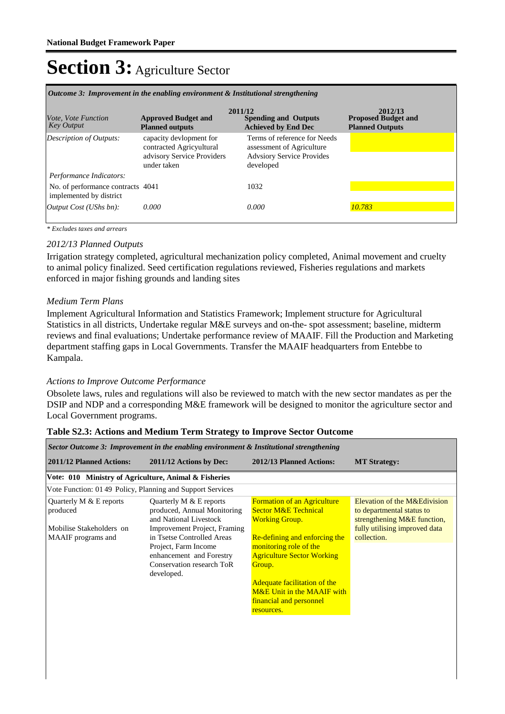|                                                              |                                                                                                  | 2011/12                                                                                                    | 2012/13                                              |
|--------------------------------------------------------------|--------------------------------------------------------------------------------------------------|------------------------------------------------------------------------------------------------------------|------------------------------------------------------|
| <i>Vote, Vote Function</i><br><b>Key Output</b>              | <b>Approved Budget and</b><br><b>Planned outputs</b>                                             | <b>Spending and Outputs</b><br><b>Achieved by End Dec</b>                                                  | <b>Proposed Budget and</b><br><b>Planned Outputs</b> |
| Description of Outputs:                                      | capacity devlopment for<br>contracted Agricyultural<br>advisory Service Providers<br>under taken | Terms of reference for Needs<br>assessment of Agriculture<br><b>Advsiory Service Provides</b><br>developed |                                                      |
| Performance Indicators:                                      |                                                                                                  |                                                                                                            |                                                      |
| No. of performance contracts 4041<br>implemented by district |                                                                                                  | 1032                                                                                                       |                                                      |
| [Output Cost (UShs bn):                                      | 0.000                                                                                            | 0.000                                                                                                      | 10.783                                               |

*Outcome 3: Improvement in the enabling environment & Institutional strengthening*

*\* Excludes taxes and arrears*

#### *2012/13 Planned Outputs*

Irrigation strategy completed, agricultural mechanization policy completed, Animal movement and cruelty to animal policy finalized. Seed certification regulations reviewed, Fisheries regulations and markets enforced in major fishing grounds and landing sites

#### *Medium Term Plans*

Implement Agricultural Information and Statistics Framework; Implement structure for Agricultural Statistics in all districts, Undertake regular M&E surveys and on-the- spot assessment; baseline, midterm reviews and final evaluations; Undertake performance review of MAAIF. Fill the Production and Marketing department staffing gaps in Local Governments. Transfer the MAAIF headquarters from Entebbe to Kampala.

#### *Actions to Improve Outcome Performance*

Obsolete laws, rules and regulations will also be reviewed to match with the new sector mandates as per the DSIP and NDP and a corresponding M&E framework will be designed to monitor the agriculture sector and Local Government programs.

| Sector Outcome 3: Improvement in the enabling environment & Institutional strengthening        |                                                                                                                                                                                                                                                 |                                                                                                                                                                                                                                                                                                                        |                                                                                                                                          |  |  |  |  |
|------------------------------------------------------------------------------------------------|-------------------------------------------------------------------------------------------------------------------------------------------------------------------------------------------------------------------------------------------------|------------------------------------------------------------------------------------------------------------------------------------------------------------------------------------------------------------------------------------------------------------------------------------------------------------------------|------------------------------------------------------------------------------------------------------------------------------------------|--|--|--|--|
| <b>2011/12 Planned Actions:</b>                                                                | 2011/12 Actions by Dec:                                                                                                                                                                                                                         | 2012/13 Planned Actions:                                                                                                                                                                                                                                                                                               | <b>MT Strategy:</b>                                                                                                                      |  |  |  |  |
| Vote: 010 Ministry of Agriculture, Animal & Fisheries                                          |                                                                                                                                                                                                                                                 |                                                                                                                                                                                                                                                                                                                        |                                                                                                                                          |  |  |  |  |
| Vote Function: 0149 Policy, Planning and Support Services                                      |                                                                                                                                                                                                                                                 |                                                                                                                                                                                                                                                                                                                        |                                                                                                                                          |  |  |  |  |
| Quarterly M $&$ E reports<br>produced<br>Mobilise Stakeholders on<br><b>MAAIF</b> programs and | Quarterly M $&$ E reports<br>produced, Annual Monitoring<br>and National Livestock<br>Improvement Project, Framing<br>in Tsetse Controlled Areas<br>Project, Farm Income<br>enhancement and Forestry<br>Conservation research ToR<br>developed. | <b>Formation of an Agriculture</b><br><b>Sector M&amp;E Technical</b><br><b>Working Group.</b><br>Re-defining and enforcing the<br>monitoring role of the<br><b>Agriculture Sector Working</b><br>Group.<br><b>Adequate facilitation of the</b><br>M&E Unit in the MAAIF with<br>financial and personnel<br>resources. | Elevation of the M&Edivision<br>to departmental status to<br>strengthening M&E function,<br>fully utilising improved data<br>collection. |  |  |  |  |

#### **Table S2.3: Actions and Medium Term Strategy to Improve Sector Outcome**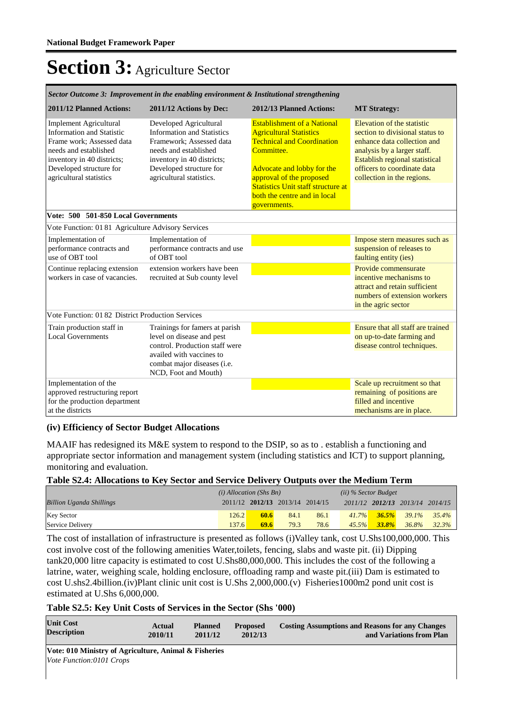| Sector Outcome 3: Improvement in the enabling environment & Institutional strengthening                                                                                                                     |                                                                                                                                                                                                       |                                                                                                                                                                                                                                                                                |                                                                                                                                                                                                                                   |  |  |  |  |  |
|-------------------------------------------------------------------------------------------------------------------------------------------------------------------------------------------------------------|-------------------------------------------------------------------------------------------------------------------------------------------------------------------------------------------------------|--------------------------------------------------------------------------------------------------------------------------------------------------------------------------------------------------------------------------------------------------------------------------------|-----------------------------------------------------------------------------------------------------------------------------------------------------------------------------------------------------------------------------------|--|--|--|--|--|
| 2011/12 Planned Actions:                                                                                                                                                                                    | 2011/12 Actions by Dec:                                                                                                                                                                               | 2012/13 Planned Actions:                                                                                                                                                                                                                                                       | <b>MT</b> Strategy:                                                                                                                                                                                                               |  |  |  |  |  |
| <b>Implement Agricultural</b><br><b>Information and Statistic</b><br>Frame work: Assessed data<br>needs and established<br>inventory in 40 districts;<br>Developed structure for<br>agricultural statistics | Developed Agricultural<br><b>Information and Statistics</b><br>Framework: Assessed data<br>needs and established<br>inventory in 40 districts;<br>Developed structure for<br>agricultural statistics. | <b>Establishment of a National</b><br><b>Agricultural Statistics</b><br><b>Technical and Coordination</b><br>Committee.<br>Advocate and lobby for the<br>approval of the proposed<br><b>Statistics Unit staff structure at</b><br>both the centre and in local<br>governments. | Elevation of the statistic<br>section to divisional status to<br>enhance data collection and<br>analysis by a larger staff.<br><b>Establish regional statistical</b><br>officers to coordinate data<br>collection in the regions. |  |  |  |  |  |
| Vote: 500 501-850 Local Governments                                                                                                                                                                         |                                                                                                                                                                                                       |                                                                                                                                                                                                                                                                                |                                                                                                                                                                                                                                   |  |  |  |  |  |
| Vote Function: 01 81 Agriculture Advisory Services                                                                                                                                                          |                                                                                                                                                                                                       |                                                                                                                                                                                                                                                                                |                                                                                                                                                                                                                                   |  |  |  |  |  |
| Implementation of<br>performance contracts and<br>use of OBT tool                                                                                                                                           | Implementation of<br>performance contracts and use<br>of OBT tool                                                                                                                                     |                                                                                                                                                                                                                                                                                | Impose stern measures such as<br>suspension of releases to<br>faulting entity (ies)                                                                                                                                               |  |  |  |  |  |
| Continue replacing extension<br>workers in case of vacancies.                                                                                                                                               | extension workers have been<br>recruited at Sub county level                                                                                                                                          |                                                                                                                                                                                                                                                                                | Provide commensurate<br>incentive mechanisms to<br>attract and retain sufficient<br>numbers of extension workers<br>in the agric sector                                                                                           |  |  |  |  |  |
| Vote Function: 01 82 District Production Services                                                                                                                                                           |                                                                                                                                                                                                       |                                                                                                                                                                                                                                                                                |                                                                                                                                                                                                                                   |  |  |  |  |  |
| Train production staff in<br><b>Local Governments</b>                                                                                                                                                       | Trainings for famers at parish<br>level on disease and pest<br>control. Production staff were                                                                                                         |                                                                                                                                                                                                                                                                                | Ensure that all staff are trained<br>on up-to-date farming and<br>disease control techniques.                                                                                                                                     |  |  |  |  |  |
|                                                                                                                                                                                                             | availed with vaccines to<br>combat major diseases (i.e.<br>NCD, Foot and Mouth)                                                                                                                       |                                                                                                                                                                                                                                                                                |                                                                                                                                                                                                                                   |  |  |  |  |  |
| Implementation of the<br>approved restructuring report<br>for the production department<br>at the districts                                                                                                 |                                                                                                                                                                                                       |                                                                                                                                                                                                                                                                                | Scale up recruitment so that<br>remaining of positions are<br>filled and incentive<br>mechanisms are in place.                                                                                                                    |  |  |  |  |  |

#### *Sector Outcome 3: Improvement in the enabling environment & Institutional strengthening*

#### **(iv) Efficiency of Sector Budget Allocations**

MAAIF has redesigned its M&E system to respond to the DSIP, so as to . establish a functioning and appropriate sector information and management system (including statistics and ICT) to support planning, monitoring and evaluation.

#### **Table S2.4: Allocations to Key Sector and Service Delivery Outputs over the Medium Term**

|                                 | $(i)$ Allocation (Shs Bn) |                                 |      |      | $(ii)$ % Sector Budget |          |                                 |          |
|---------------------------------|---------------------------|---------------------------------|------|------|------------------------|----------|---------------------------------|----------|
| <b>Billion Uganda Shillings</b> |                           | 2011/12 2012/13 2013/14 2014/15 |      |      |                        |          | 2011/12 2012/13 2013/14 2014/15 |          |
| <b>Key Sector</b>               | 126.2                     | 60.6                            | 84.1 | 86.1 | $41.7\%$               | 36.5%    | $39.1\%$                        | $35.4\%$ |
| Service Delivery                | 137.6                     | 69.6                            | 79.3 | 78.6 | $45.5\%$               | $33.8\%$ | 36.8%                           | 32.3%    |

The cost of installation of infrastructure is presented as follows (i)Valley tank, cost U.Shs100,000,000. This cost involve cost of the following amenities Water,toilets, fencing, slabs and waste pit. (ii) Dipping tank20,000 litre capacity is estimated to cost U.Shs80,000,000. This includes the cost of the following a latrine, water, weighing scale, holding enclosure, offloading ramp and waste pit.(iii) Dam is estimated to cost U.shs2.4billion.(iv)Plant clinic unit cost is U.Shs 2,000,000.(v) Fisheries1000m2 pond unit cost is estimated at U.Shs 6,000,000.

#### **Table S2.5: Key Unit Costs of Services in the Sector (Shs '000)**

| <b>Unit Cost</b>   | Actual  | <b>Planned</b> | <b>Proposed</b> | <b>Costing Assumptions and Reasons for any Changes</b> |
|--------------------|---------|----------------|-----------------|--------------------------------------------------------|
| <b>Description</b> | 2010/11 | 2011/12        | 2012/13         | and Variations from Plan                               |

**Vote: 010 Ministry of Agriculture, Animal & Fisheries** *Vote Function:0101 Crops*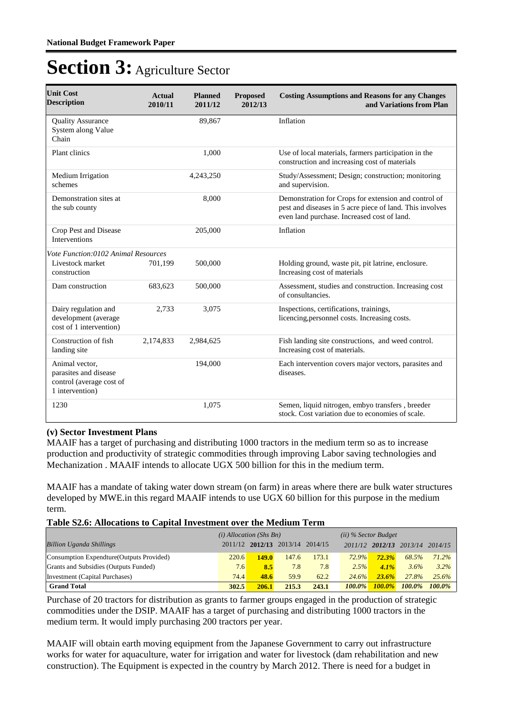| <b>Unit Cost</b><br><b>Description</b>                                                 | <b>Actual</b><br>2010/11 | <b>Planned</b><br>2011/12 | <b>Proposed</b><br>2012/13 | <b>Costing Assumptions and Reasons for any Changes</b><br>and Variations from Plan                                                                              |
|----------------------------------------------------------------------------------------|--------------------------|---------------------------|----------------------------|-----------------------------------------------------------------------------------------------------------------------------------------------------------------|
| <b>Quality Assurance</b><br>System along Value<br>Chain                                |                          | 89,867                    |                            | Inflation                                                                                                                                                       |
| Plant clinics                                                                          |                          | 1,000                     |                            | Use of local materials, farmers participation in the<br>construction and increasing cost of materials                                                           |
| Medium Irrigation<br>schemes                                                           |                          | 4,243,250                 |                            | Study/Assessment; Design; construction; monitoring<br>and supervision.                                                                                          |
| Demonstration sites at<br>the sub county                                               |                          | 8,000                     |                            | Demonstration for Crops for extension and control of<br>pest and diseases in 5 acre piece of land. This involves<br>even land purchase. Increased cost of land. |
| Crop Pest and Disease<br><b>Interventions</b>                                          |                          | 205,000                   |                            | Inflation                                                                                                                                                       |
| Vote Function:0102 Animal Resources                                                    |                          |                           |                            |                                                                                                                                                                 |
| Livestock market<br>construction                                                       | 701,199                  | 500,000                   |                            | Holding ground, waste pit, pit latrine, enclosure.<br>Increasing cost of materials                                                                              |
| Dam construction                                                                       | 683,623                  | 500,000                   |                            | Assessment, studies and construction. Increasing cost<br>of consultancies.                                                                                      |
| Dairy regulation and<br>development (average<br>cost of 1 intervention)                | 2,733                    | 3,075                     |                            | Inspections, certifications, trainings,<br>licencing, personnel costs. Increasing costs.                                                                        |
| Construction of fish<br>landing site                                                   | 2,174,833                | 2,984,625                 |                            | Fish landing site constructions, and weed control.<br>Increasing cost of materials.                                                                             |
| Animal vector,<br>parasites and disease<br>control (average cost of<br>1 intervention) |                          | 194,000                   |                            | Each intervention covers major vectors, parasites and<br>diseases.                                                                                              |
| 1230                                                                                   |                          | 1,075                     |                            | Semen, liquid nitrogen, embyo transfers, breeder<br>stock. Cost variation due to economies of scale.                                                            |

#### **(v) Sector Investment Plans**

MAAIF has a target of purchasing and distributing 1000 tractors in the medium term so as to increase production and productivity of strategic commodities through improving Labor saving technologies and Mechanization . MAAIF intends to allocate UGX 500 billion for this in the medium term.

MAAIF has a mandate of taking water down stream (on farm) in areas where there are bulk water structures developed by MWE.in this regard MAAIF intends to use UGX 60 billion for this purpose in the medium term.

#### **Table S2.6: Allocations to Capital Investment over the Medium Term**

|                                           | $(i)$ Allocation (Shs Bn) |       |                                 | $(ii)$ % Sector Budget |           |               |                                 |           |
|-------------------------------------------|---------------------------|-------|---------------------------------|------------------------|-----------|---------------|---------------------------------|-----------|
| <b>Billion Uganda Shillings</b>           |                           |       | 2011/12 2012/13 2013/14 2014/15 |                        |           |               | 2011/12 2012/13 2013/14 2014/15 |           |
| Consumption Expendture (Outputs Provided) | 220.6                     | 149.0 | 147.6                           | 173.1                  | 72.9%     | 72.3%         | 68.5%                           | $71.2\%$  |
| Grants and Subsidies (Outputs Funded)     | 7.6                       | 8.5   | 7.8                             | 7.8                    | 2.5%      | $4.1\%$       | 3.6%                            | $3.2\%$   |
| Investment (Capital Purchases)            | 74.4                      | 48.6  | 59.9                            | 62.2                   | 24.6%     | 23.6%         | 27.8%                           | $25.6\%$  |
| <b>Grand Total</b>                        | 302.5                     | 206.1 | 215.3                           | 243.1                  | $100.0\%$ | <b>100.0%</b> | 100.0%                          | $100.0\%$ |

Purchase of 20 tractors for distribution as grants to farmer groups engaged in the production of strategic commodities under the DSIP. MAAIF has a target of purchasing and distributing 1000 tractors in the medium term. It would imply purchasing 200 tractors per year.

MAAIF will obtain earth moving equipment from the Japanese Government to carry out infrastructure works for water for aquaculture, water for irrigation and water for livestock (dam rehabilitation and new construction). The Equipment is expected in the country by March 2012. There is need for a budget in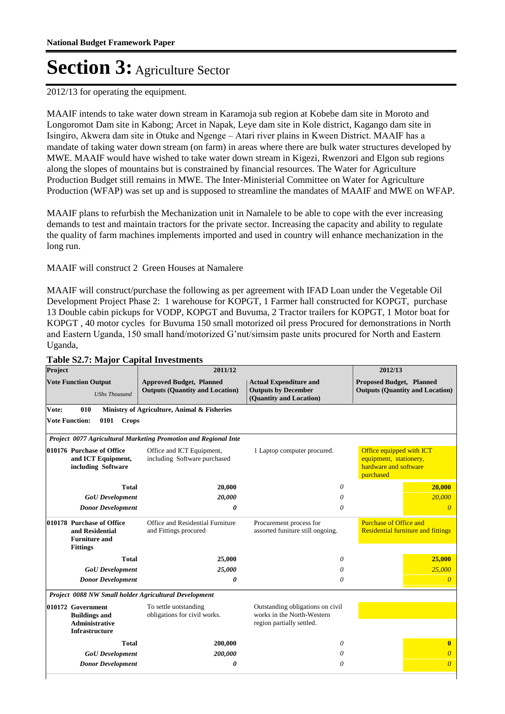2012/13 for operating the equipment.

MAAIF intends to take water down stream in Karamoja sub region at Kobebe dam site in Moroto and Longoromot Dam site in Kabong; Arcet in Napak, Leye dam site in Kole district, Kagango dam site in Isingiro, Akwera dam site in Otuke and Ngenge – Atari river plains in Kween District. MAAIF has a mandate of taking water down stream (on farm) in areas where there are bulk water structures developed by MWE. MAAIF would have wished to take water down stream in Kigezi, Rwenzori and Elgon sub regions along the slopes of mountains but is constrained by financial resources. The Water for Agriculture Production Budget still remains in MWE. The Inter-Ministerial Committee on Water for Agriculture Production (WFAP) was set up and is supposed to streamline the mandates of MAAIF and MWE on WFAP.

MAAIF plans to refurbish the Mechanization unit in Namalele to be able to cope with the ever increasing demands to test and maintain tractors for the private sector. Increasing the capacity and ability to regulate the quality of farm machines implements imported and used in country will enhance mechanization in the long run.

### MAAIF will construct 2 Green Houses at Namalere

MAAIF will construct/purchase the following as per agreement with IFAD Loan under the Vegetable Oil Development Project Phase 2: 1 warehouse for KOPGT, 1 Farmer hall constructed for KOPGT, purchase 13 Double cabin pickups for VODP, KOPGT and Buvuma, 2 Tractor trailers for KOPGT, 1 Motor boat for KOPGT , 40 motor cycles for Buvuma 150 small motorized oil press Procured for demonstrations in North and Eastern Uganda, 150 small hand/motorized G'nut/simsim paste units procured for North and Eastern Uganda,

| Project                                                                                 | 2011/12                                                                   |                                                                                             | 2012/13                                                                                  |
|-----------------------------------------------------------------------------------------|---------------------------------------------------------------------------|---------------------------------------------------------------------------------------------|------------------------------------------------------------------------------------------|
| <b>Vote Function Output</b><br><b>UShs Thousand</b>                                     | <b>Approved Budget, Planned</b><br><b>Outputs (Quantity and Location)</b> | <b>Actual Expenditure and</b><br><b>Outputs by December</b><br>(Quantity and Location)      | <b>Proposed Budget, Planned</b><br><b>Outputs (Quantity and Location)</b>                |
| Vote:<br>010                                                                            | Ministry of Agriculture, Animal & Fisheries                               |                                                                                             |                                                                                          |
| <b>Vote Function:</b><br>0101<br><b>Crops</b>                                           |                                                                           |                                                                                             |                                                                                          |
|                                                                                         | Project 0077 Agricultural Marketing Promotion and Regional Inte           |                                                                                             |                                                                                          |
| 010176 Purchase of Office<br>and ICT Equipment,<br>including Software                   | Office and ICT Equipment,<br>including Software purchased                 | 1 Laptop computer procured.                                                                 | Office equipped with ICT<br>equipment, stationery,<br>hardware and software<br>purchased |
| <b>Total</b>                                                                            | 20,000                                                                    | 0                                                                                           | 20,000                                                                                   |
| <b>GoU</b> Development                                                                  | 20,000                                                                    | 0                                                                                           | 20,000                                                                                   |
| <b>Donor Development</b>                                                                | 0                                                                         | $\theta$                                                                                    | $\overline{\theta}$                                                                      |
| 010178 Purchase of Office<br>and Residential<br><b>Furniture and</b><br><b>Fittings</b> | Office and Residential Furniture<br>and Fittings procured                 | Procurement process for<br>assorted funiture still ongoing.                                 | <b>Purchase of Office and</b><br><b>Residential furniture and fittings</b>               |
| <b>Total</b>                                                                            | 25,000                                                                    | 0                                                                                           | 25,000                                                                                   |
| <b>GoU</b> Development                                                                  | 25,000                                                                    | $\theta$                                                                                    | 25,000                                                                                   |
| <b>Donor Development</b>                                                                | 0                                                                         | $\theta$                                                                                    | $\theta$                                                                                 |
| Project 0088 NW Small holder Agricultural Development                                   |                                                                           |                                                                                             |                                                                                          |
| 010172 Government<br><b>Buildings and</b><br><b>Administrative</b><br>Infrastructure    | To settle uotstanding<br>obligations for civil works.                     | Outstanding obligations on civil<br>works in the North-Western<br>region partially settled. |                                                                                          |
| <b>Total</b>                                                                            | 200,000                                                                   | 0                                                                                           | $\mathbf{0}$                                                                             |
| <b>GoU</b> Development                                                                  | 200,000                                                                   | 0                                                                                           | $\theta$                                                                                 |
| <b>Donor Development</b>                                                                | 0                                                                         | $\theta$                                                                                    | $\overline{\theta}$                                                                      |
|                                                                                         |                                                                           |                                                                                             |                                                                                          |

### **Table S2.7: Major Capital Investments**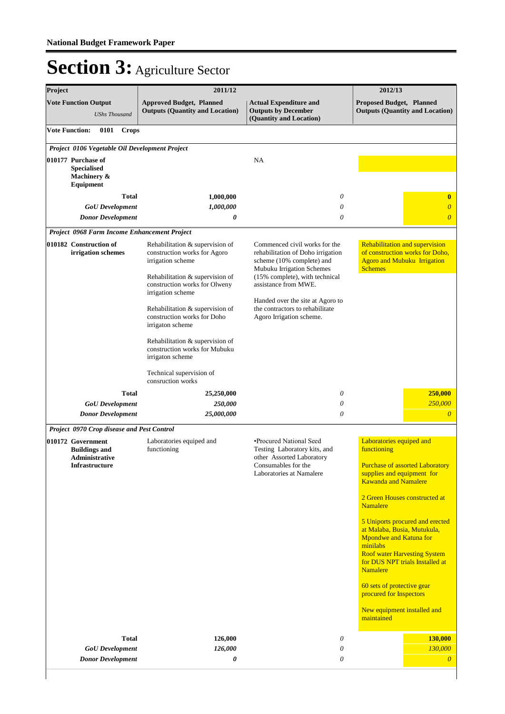| Project |                                                                      | 2011/12                                                                                                                 |                                                                                                                                                                | 2012/13                                                                                                                                                                                                  |
|---------|----------------------------------------------------------------------|-------------------------------------------------------------------------------------------------------------------------|----------------------------------------------------------------------------------------------------------------------------------------------------------------|----------------------------------------------------------------------------------------------------------------------------------------------------------------------------------------------------------|
|         | <b>Vote Function Output</b><br><b>UShs Thousand</b>                  | <b>Approved Budget, Planned</b><br><b>Outputs (Quantity and Location)</b>                                               | <b>Actual Expenditure and</b><br><b>Outputs by December</b><br>(Quantity and Location)                                                                         | <b>Proposed Budget, Planned</b><br><b>Outputs (Quantity and Location)</b>                                                                                                                                |
|         | <b>Vote Function:</b><br>0101<br><b>Crops</b>                        |                                                                                                                         |                                                                                                                                                                |                                                                                                                                                                                                          |
|         | Project 0106 Vegetable Oil Development Project                       |                                                                                                                         |                                                                                                                                                                |                                                                                                                                                                                                          |
|         | 010177 Purchase of<br><b>Specialised</b><br>Machinery &<br>Equipment |                                                                                                                         | NA                                                                                                                                                             |                                                                                                                                                                                                          |
|         | <b>Total</b>                                                         | 1,000,000                                                                                                               | 0                                                                                                                                                              | $\bf{0}$                                                                                                                                                                                                 |
|         | <b>GoU</b> Development                                               | 1,000,000                                                                                                               | 0                                                                                                                                                              | $\overline{0}$                                                                                                                                                                                           |
|         | <b>Donor Development</b>                                             | 0                                                                                                                       | $\theta$                                                                                                                                                       | $\overline{\theta}$                                                                                                                                                                                      |
|         | Project 0968 Farm Income Enhancement Project                         |                                                                                                                         |                                                                                                                                                                |                                                                                                                                                                                                          |
|         | 010182 Construction of<br>irrigation schemes                         | Rehabilitation & supervision of<br>construction works for Agoro<br>irrigation scheme<br>Rehabilitation & supervision of | Commenced civil works for the<br>rehabilitation of Doho irrigation<br>scheme (10% complete) and<br>Mubuku Irrigation Schemes<br>(15% complete), with technical | Rehabilitation and supervision<br>of construction works for Doho,<br><b>Agoro and Mubuku Irrigation</b><br><b>Schemes</b>                                                                                |
|         |                                                                      | construction works for Olweny<br>irrigation scheme                                                                      | assistance from MWE.                                                                                                                                           |                                                                                                                                                                                                          |
|         |                                                                      | Rehabilitation & supervision of<br>construction works for Doho<br>irrigaton scheme                                      | Handed over the site at Agoro to<br>the contractors to rehabilitate<br>Agoro Irrigation scheme.                                                                |                                                                                                                                                                                                          |
|         |                                                                      | Rehabilitation & supervision of<br>construction works for Mubuku<br>irrigaton scheme                                    |                                                                                                                                                                |                                                                                                                                                                                                          |
|         |                                                                      | Technical supervision of<br>consruction works                                                                           |                                                                                                                                                                |                                                                                                                                                                                                          |
|         | Total                                                                | 25,250,000                                                                                                              | 0                                                                                                                                                              | 250,000                                                                                                                                                                                                  |
|         | <b>GoU</b> Development                                               | 250,000                                                                                                                 | 0                                                                                                                                                              | 250,000                                                                                                                                                                                                  |
|         | <b>Donor Development</b>                                             | 25,000,000                                                                                                              | $\theta$                                                                                                                                                       | $\overline{\theta}$                                                                                                                                                                                      |
|         | Project 0970 Crop disease and Pest Control                           |                                                                                                                         |                                                                                                                                                                |                                                                                                                                                                                                          |
|         | 010172 Government<br><b>Buildings and</b>                            | Laboratories equiped and<br>functioning                                                                                 | •Procured National Seed<br>Testing Laboratory kits, and                                                                                                        | Laboratories equiped and<br>functioning                                                                                                                                                                  |
|         | Administrative<br><b>Infrastructure</b>                              |                                                                                                                         | other Assorted Laboratory<br>Consumables for the<br>Laboratories at Namalere                                                                                   | <b>Purchase of assorted Laboratory</b><br>supplies and equipment for<br><b>Kawanda and Namalere</b>                                                                                                      |
|         |                                                                      |                                                                                                                         |                                                                                                                                                                | 2 Green Houses constructed at<br><b>Namalere</b>                                                                                                                                                         |
|         |                                                                      |                                                                                                                         |                                                                                                                                                                | 5 Uniports procured and erected<br>at Malaba, Busia, Mutukula,<br><b>Mpondwe and Katuna for</b><br>minilabs<br><b>Roof water Harvesting System</b><br>for DUS NPT trials Installed at<br><b>Namalere</b> |
|         |                                                                      |                                                                                                                         |                                                                                                                                                                | 60 sets of protective gear<br>procured for Inspectors                                                                                                                                                    |
|         |                                                                      |                                                                                                                         |                                                                                                                                                                | New equipment installed and<br>maintained                                                                                                                                                                |
|         | <b>Total</b>                                                         | 126,000                                                                                                                 | 0                                                                                                                                                              | 130,000                                                                                                                                                                                                  |
|         | <b>GoU</b> Development                                               | 126,000                                                                                                                 | 0                                                                                                                                                              | 130,000                                                                                                                                                                                                  |
|         | <b>Donor Development</b>                                             | 0                                                                                                                       | $\theta$                                                                                                                                                       | $\overline{\theta}$                                                                                                                                                                                      |
|         |                                                                      |                                                                                                                         |                                                                                                                                                                |                                                                                                                                                                                                          |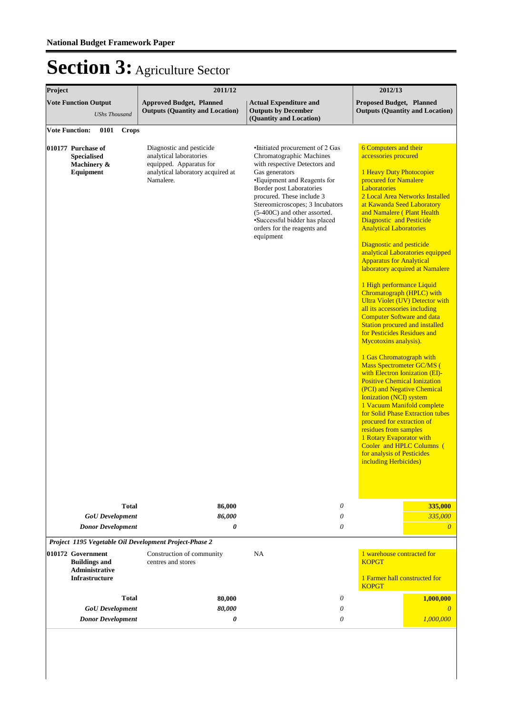| Project                                                                                     | 2011/12                                                                                                                          |                                                                                                                                                                                                                                                                                                                                                               | 2012/13                                                                                                                                                                                                                                                                                                                                                                                                                                                                                                                                                                                                                                                                                                                                                                                                                                                                                                                                                                                                                                                                                                                                                           |
|---------------------------------------------------------------------------------------------|----------------------------------------------------------------------------------------------------------------------------------|---------------------------------------------------------------------------------------------------------------------------------------------------------------------------------------------------------------------------------------------------------------------------------------------------------------------------------------------------------------|-------------------------------------------------------------------------------------------------------------------------------------------------------------------------------------------------------------------------------------------------------------------------------------------------------------------------------------------------------------------------------------------------------------------------------------------------------------------------------------------------------------------------------------------------------------------------------------------------------------------------------------------------------------------------------------------------------------------------------------------------------------------------------------------------------------------------------------------------------------------------------------------------------------------------------------------------------------------------------------------------------------------------------------------------------------------------------------------------------------------------------------------------------------------|
| <b>Vote Function Output</b><br><b>UShs Thousand</b>                                         | <b>Approved Budget, Planned</b><br><b>Outputs (Quantity and Location)</b>                                                        | <b>Actual Expenditure and</b><br><b>Outputs by December</b><br>(Quantity and Location)                                                                                                                                                                                                                                                                        | <b>Proposed Budget, Planned</b><br><b>Outputs (Quantity and Location)</b>                                                                                                                                                                                                                                                                                                                                                                                                                                                                                                                                                                                                                                                                                                                                                                                                                                                                                                                                                                                                                                                                                         |
| <b>Vote Function:</b><br>0101<br><b>Crops</b>                                               |                                                                                                                                  |                                                                                                                                                                                                                                                                                                                                                               |                                                                                                                                                                                                                                                                                                                                                                                                                                                                                                                                                                                                                                                                                                                                                                                                                                                                                                                                                                                                                                                                                                                                                                   |
| 010177 Purchase of<br><b>Specialised</b><br>Machinery &<br>Equipment                        | Diagnostic and pesticide<br>analytical laboratories<br>equipped. Apparatus for<br>analytical laboratory acquired at<br>Namalere. | •Initiated procurement of 2 Gas<br>Chromatographic Machines<br>with respective Detectors and<br>Gas generators<br>•Equipment and Reagents for<br><b>Border post Laboratories</b><br>procured. These include 3<br>Stereomicroscopes; 3 Incubators<br>(5-400C) and other assorted.<br>•Successful bidder has placed<br>orders for the reagents and<br>equipment | <b>6 Computers and their</b><br>accessories procured<br>1 Heavy Duty Photocopier<br>procured for Namalere<br><b>Laboratories</b><br>2 Local Area Networks Installed<br>at Kawanda Seed Laboratory<br>and Namalere (Plant Health<br>Diagnostic and Pesticide<br><b>Analytical Laboratories</b><br>Diagnostic and pesticide<br>analytical Laboratories equipped<br><b>Apparatus for Analytical</b><br>laboratory acquired at Namalere<br>1 High performance Liquid<br>Chromatograph (HPLC) with<br><b>Ultra Violet (UV) Detector with</b><br>all its accessories including<br><b>Computer Software and data</b><br><b>Station procured and installed</b><br>for Pesticides Residues and<br>Mycotoxins analysis).<br>1 Gas Chromatograph with<br><b>Mass Spectrometer GC/MS (</b><br>with Electron Ionization (EI)-<br><b>Positive Chemical Ionization</b><br>(PCI) and Negative Chemical<br><b>Ionization (NCI) system</b><br>1 Vacuum Manifold complete<br>for Solid Phase Extraction tubes<br>procured for extraction of<br>residues from samples<br>1 Rotary Evaporator with<br>Cooler and HPLC Columns (<br>for analysis of Pesticides<br>including Herbicides) |
| <b>Total</b>                                                                                | 86,000                                                                                                                           | 0                                                                                                                                                                                                                                                                                                                                                             | 335,000                                                                                                                                                                                                                                                                                                                                                                                                                                                                                                                                                                                                                                                                                                                                                                                                                                                                                                                                                                                                                                                                                                                                                           |
| <b>GoU</b> Development                                                                      | 86,000                                                                                                                           | 0                                                                                                                                                                                                                                                                                                                                                             | 335,000                                                                                                                                                                                                                                                                                                                                                                                                                                                                                                                                                                                                                                                                                                                                                                                                                                                                                                                                                                                                                                                                                                                                                           |
| <b>Donor Development</b>                                                                    | 0                                                                                                                                | 0                                                                                                                                                                                                                                                                                                                                                             | $\theta$                                                                                                                                                                                                                                                                                                                                                                                                                                                                                                                                                                                                                                                                                                                                                                                                                                                                                                                                                                                                                                                                                                                                                          |
| Project 1195 Vegetable Oil Development Project-Phase 2                                      |                                                                                                                                  |                                                                                                                                                                                                                                                                                                                                                               |                                                                                                                                                                                                                                                                                                                                                                                                                                                                                                                                                                                                                                                                                                                                                                                                                                                                                                                                                                                                                                                                                                                                                                   |
| 010172 Government<br><b>Buildings and</b><br><b>Administrative</b><br><b>Infrastructure</b> | Construction of community<br>centres and stores                                                                                  | NA                                                                                                                                                                                                                                                                                                                                                            | 1 warehouse contracted for<br><b>KOPGT</b><br>1 Farmer hall constructed for                                                                                                                                                                                                                                                                                                                                                                                                                                                                                                                                                                                                                                                                                                                                                                                                                                                                                                                                                                                                                                                                                       |
|                                                                                             |                                                                                                                                  |                                                                                                                                                                                                                                                                                                                                                               | <b>KOPGT</b>                                                                                                                                                                                                                                                                                                                                                                                                                                                                                                                                                                                                                                                                                                                                                                                                                                                                                                                                                                                                                                                                                                                                                      |
| <b>Total</b><br><b>GoU</b> Development                                                      | 80,000<br>80,000                                                                                                                 | 0<br>0                                                                                                                                                                                                                                                                                                                                                        | 1,000,000<br>$\theta$                                                                                                                                                                                                                                                                                                                                                                                                                                                                                                                                                                                                                                                                                                                                                                                                                                                                                                                                                                                                                                                                                                                                             |
| <b>Donor Development</b>                                                                    | 0                                                                                                                                | 0                                                                                                                                                                                                                                                                                                                                                             | 1,000,000                                                                                                                                                                                                                                                                                                                                                                                                                                                                                                                                                                                                                                                                                                                                                                                                                                                                                                                                                                                                                                                                                                                                                         |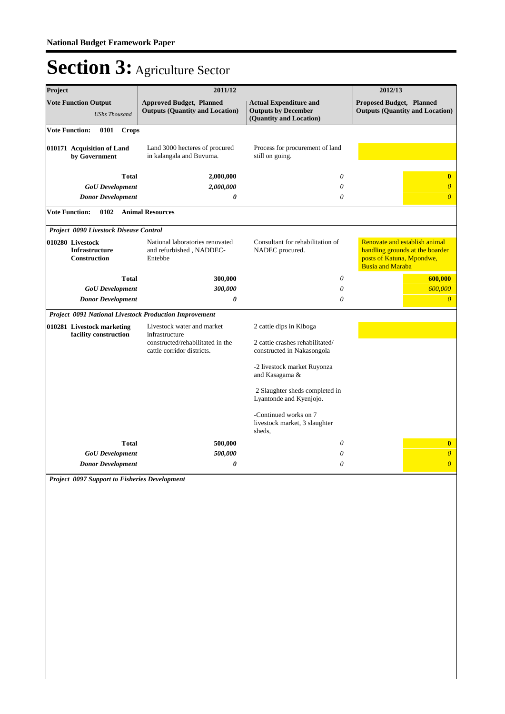| Project                                                          | 2011/12                                                                   |                                                                                        | 2012/13                                                                                                                  |  |
|------------------------------------------------------------------|---------------------------------------------------------------------------|----------------------------------------------------------------------------------------|--------------------------------------------------------------------------------------------------------------------------|--|
| <b>Vote Function Output</b><br><b>UShs Thousand</b>              | <b>Approved Budget, Planned</b><br><b>Outputs (Quantity and Location)</b> | <b>Actual Expenditure and</b><br><b>Outputs by December</b><br>(Quantity and Location) | <b>Proposed Budget, Planned</b><br><b>Outputs (Quantity and Location)</b>                                                |  |
| <b>Vote Function:</b><br>0101<br><b>Crops</b>                    |                                                                           |                                                                                        |                                                                                                                          |  |
| 010171 Acquisition of Land<br>by Government                      | Land 3000 hecteres of procured<br>in kalangala and Buvuma.                | Process for procurement of land<br>still on going.                                     |                                                                                                                          |  |
| <b>Total</b>                                                     | 2,000,000                                                                 | 0                                                                                      | $\bf{0}$                                                                                                                 |  |
| <b>GoU</b> Development                                           | 2,000,000                                                                 | 0                                                                                      | $\overline{\theta}$                                                                                                      |  |
| <b>Donor Development</b>                                         | $\boldsymbol{\theta}$                                                     | 0                                                                                      | $\overline{0}$                                                                                                           |  |
| <b>Vote Function:</b><br>0102                                    | <b>Animal Resources</b>                                                   |                                                                                        |                                                                                                                          |  |
| Project 0090 Livestock Disease Control                           |                                                                           |                                                                                        |                                                                                                                          |  |
| 010280 Livestock<br><b>Infrastructure</b><br><b>Construction</b> | National laboratories renovated<br>and refurbished, NADDEC-<br>Entebbe    | Consultant for rehabilitation of<br>NADEC procured.                                    | Renovate and establish animal<br>handling grounds at the boarder<br>posts of Katuna, Mpondwe,<br><b>Busia and Maraba</b> |  |
| <b>Total</b>                                                     | 300,000                                                                   | 0                                                                                      | 600,000                                                                                                                  |  |
| <b>GoU</b> Development                                           | 300,000                                                                   | 0                                                                                      | 600,000                                                                                                                  |  |
| <b>Donor Development</b>                                         | $\boldsymbol{\theta}$                                                     | $\theta$                                                                               | $\overline{\theta}$                                                                                                      |  |
| Project 0091 National Livestock Production Improvement           |                                                                           |                                                                                        |                                                                                                                          |  |
| 010281 Livestock marketing                                       | Livestock water and market<br>infrastructure                              | 2 cattle dips in Kiboga                                                                |                                                                                                                          |  |
| facility construction                                            | constructed/rehabilitated in the<br>cattle corridor districts.            | 2 cattle crashes rehabilitated/<br>constructed in Nakasongola                          |                                                                                                                          |  |
|                                                                  |                                                                           | -2 livestock market Ruyonza<br>and Kasagama &                                          |                                                                                                                          |  |
|                                                                  |                                                                           | 2 Slaughter sheds completed in<br>Lyantonde and Kyenjojo.                              |                                                                                                                          |  |
|                                                                  |                                                                           | -Continued works on 7<br>livestock market, 3 slaughter<br>sheds.                       |                                                                                                                          |  |
| <b>Total</b>                                                     | 500,000                                                                   | 0                                                                                      | $\bf{0}$                                                                                                                 |  |
| <b>GoU</b> Development                                           | 500,000                                                                   | 0                                                                                      | $\overline{\theta}$                                                                                                      |  |
| <b>Donor Development</b>                                         | $\boldsymbol{\theta}$                                                     | 0                                                                                      | $\overline{\theta}$                                                                                                      |  |

*Project 0097 Support to Fisheries Development*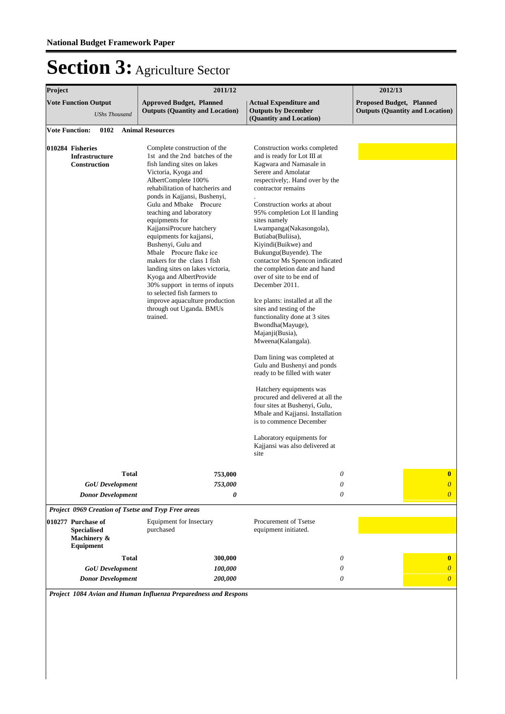| Project                                                                                                                   | 2011/12                                                                                                                                                                                                                                                                                                                                                                                                                                                                                                                                                                                                                                  |                                                                                                                                                                                                                                                                                                                                                                                                                                                                                                                                                                                                                                                                                                                                                                                                                                                                                                                                                                             | 2012/13                         |                                                            |  |
|---------------------------------------------------------------------------------------------------------------------------|------------------------------------------------------------------------------------------------------------------------------------------------------------------------------------------------------------------------------------------------------------------------------------------------------------------------------------------------------------------------------------------------------------------------------------------------------------------------------------------------------------------------------------------------------------------------------------------------------------------------------------------|-----------------------------------------------------------------------------------------------------------------------------------------------------------------------------------------------------------------------------------------------------------------------------------------------------------------------------------------------------------------------------------------------------------------------------------------------------------------------------------------------------------------------------------------------------------------------------------------------------------------------------------------------------------------------------------------------------------------------------------------------------------------------------------------------------------------------------------------------------------------------------------------------------------------------------------------------------------------------------|---------------------------------|------------------------------------------------------------|--|
| <b>Vote Function Output</b><br><b>UShs Thousand</b>                                                                       | <b>Approved Budget, Planned</b><br><b>Outputs (Quantity and Location)</b>                                                                                                                                                                                                                                                                                                                                                                                                                                                                                                                                                                | <b>Actual Expenditure and</b><br><b>Outputs by December</b><br>(Quantity and Location)                                                                                                                                                                                                                                                                                                                                                                                                                                                                                                                                                                                                                                                                                                                                                                                                                                                                                      | <b>Proposed Budget, Planned</b> | <b>Outputs (Quantity and Location)</b>                     |  |
| <b>Vote Function:</b><br>0102                                                                                             | <b>Animal Resources</b>                                                                                                                                                                                                                                                                                                                                                                                                                                                                                                                                                                                                                  |                                                                                                                                                                                                                                                                                                                                                                                                                                                                                                                                                                                                                                                                                                                                                                                                                                                                                                                                                                             |                                 |                                                            |  |
| 010284 Fisheries<br><b>Infrastructure</b><br>Construction                                                                 | Complete construction of the<br>1st and the 2nd batches of the<br>fish landing sites on lakes<br>Victoria, Kyoga and<br>AlbertComplete 100%<br>rehabilitation of hatcherirs and<br>ponds in Kajjansi, Bushenyi,<br>Gulu and Mbake Procure<br>teaching and laboratory<br>equipments for<br>KajjansiProcure hatchery<br>equipments for kajjansi,<br>Bushenyi, Gulu and<br>Mbale Procure flake ice<br>makers for the class 1 fish<br>landing sites on lakes victoria,<br>Kyoga and AlbertProvide<br>30% support in terms of inputs<br>to selected fish farmers to<br>improve aquaculture production<br>through out Uganda. BMUs<br>trained. | Construction works completed<br>and is ready for Lot III at<br>Kagwara and Namasale in<br>Serere and Amolatar<br>respectively;. Hand over by the<br>contractor remains<br>Construction works at about<br>95% completion Lot II landing<br>sites namely<br>Lwampanga(Nakasongola),<br>Butiaba(Buliisa),<br>Kiyindi(Buikwe) and<br>Bukungu(Buyende). The<br>contactor Ms Spencon indicated<br>the completion date and hand<br>over of site to be end of<br>December 2011.<br>Ice plants: installed at all the<br>sites and testing of the<br>functionality done at 3 sites<br>Bwondha(Mayuge),<br>Majanji(Busia),<br>Mweena(Kalangala).<br>Dam lining was completed at<br>Gulu and Bushenyi and ponds<br>ready to be filled with water<br>Hatchery equipments was<br>procured and delivered at all the<br>four sites at Bushenyi, Gulu,<br>Mbale and Kajjansi. Installation<br>is to commence December<br>Laboratory equipments for<br>Kajjansi was also delivered at<br>site |                                 |                                                            |  |
| <b>Total</b><br><b>GoU</b> Development<br><b>Donor Development</b><br>Project 0969 Creation of Tsetse and Tryp Free areas | 753,000<br>753,000<br>0                                                                                                                                                                                                                                                                                                                                                                                                                                                                                                                                                                                                                  | 0<br>0<br>$\theta$                                                                                                                                                                                                                                                                                                                                                                                                                                                                                                                                                                                                                                                                                                                                                                                                                                                                                                                                                          |                                 | $\bf{0}$<br>$\boldsymbol{\theta}$<br>$\boldsymbol{\theta}$ |  |
| 010277 Purchase of<br><b>Specialised</b><br>Machinery &<br>Equipment                                                      | Equipment for Insectary<br>purchased                                                                                                                                                                                                                                                                                                                                                                                                                                                                                                                                                                                                     | Procurement of Tsetse<br>equipment initiated.                                                                                                                                                                                                                                                                                                                                                                                                                                                                                                                                                                                                                                                                                                                                                                                                                                                                                                                               |                                 |                                                            |  |
| <b>Total</b><br><b>GoU</b> Development<br><b>Donor Development</b>                                                        | 300,000<br>100,000<br>200,000                                                                                                                                                                                                                                                                                                                                                                                                                                                                                                                                                                                                            | 0<br>0<br>0                                                                                                                                                                                                                                                                                                                                                                                                                                                                                                                                                                                                                                                                                                                                                                                                                                                                                                                                                                 |                                 | $\bf{0}$<br>$\overline{0}$<br>$\boldsymbol{0}$             |  |

*Project 1084 Avian and Human Influenza Preparedness and Respons*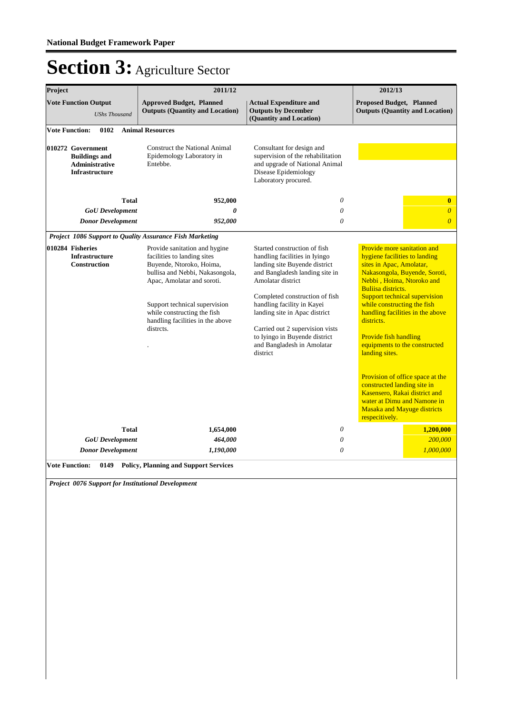| Project                                                                                                               | 2011/12                                                                                                                                                                                                                                                                    |                                                                                                                                                                                                                                                                                                                                                                      | 2012/13                                                                                                                                                                                                                                                                                                                                                                                                                                                                                                                                                               |
|-----------------------------------------------------------------------------------------------------------------------|----------------------------------------------------------------------------------------------------------------------------------------------------------------------------------------------------------------------------------------------------------------------------|----------------------------------------------------------------------------------------------------------------------------------------------------------------------------------------------------------------------------------------------------------------------------------------------------------------------------------------------------------------------|-----------------------------------------------------------------------------------------------------------------------------------------------------------------------------------------------------------------------------------------------------------------------------------------------------------------------------------------------------------------------------------------------------------------------------------------------------------------------------------------------------------------------------------------------------------------------|
| <b>Vote Function Output</b><br><b>UShs Thousand</b>                                                                   | <b>Approved Budget, Planned</b><br><b>Outputs (Quantity and Location)</b>                                                                                                                                                                                                  | <b>Actual Expenditure and</b><br><b>Outputs by December</b><br>(Quantity and Location)                                                                                                                                                                                                                                                                               | <b>Proposed Budget, Planned</b><br><b>Outputs (Quantity and Location)</b>                                                                                                                                                                                                                                                                                                                                                                                                                                                                                             |
| <b>Vote Function:</b><br>0102                                                                                         | <b>Animal Resources</b>                                                                                                                                                                                                                                                    |                                                                                                                                                                                                                                                                                                                                                                      |                                                                                                                                                                                                                                                                                                                                                                                                                                                                                                                                                                       |
| 010272 Government<br><b>Buildings and</b><br>Administrative<br><b>Infrastructure</b>                                  | Construct the National Animal<br>Epidemology Laboratory in<br>Entebbe.                                                                                                                                                                                                     | Consultant for design and<br>supervision of the rehabilitation<br>and upgrade of National Animal<br>Disease Epidemiology<br>Laboratory procured.                                                                                                                                                                                                                     |                                                                                                                                                                                                                                                                                                                                                                                                                                                                                                                                                                       |
| Total                                                                                                                 | 952,000                                                                                                                                                                                                                                                                    | 0                                                                                                                                                                                                                                                                                                                                                                    | $\bf{0}$                                                                                                                                                                                                                                                                                                                                                                                                                                                                                                                                                              |
| <b>GoU</b> Development                                                                                                | $\theta$                                                                                                                                                                                                                                                                   | 0                                                                                                                                                                                                                                                                                                                                                                    | $\boldsymbol{\theta}$                                                                                                                                                                                                                                                                                                                                                                                                                                                                                                                                                 |
| <b>Donor Development</b>                                                                                              | 952,000                                                                                                                                                                                                                                                                    | 0                                                                                                                                                                                                                                                                                                                                                                    | $\overline{0}$                                                                                                                                                                                                                                                                                                                                                                                                                                                                                                                                                        |
| Project 1086 Support to Quality Assurance Fish Marketing<br>010284 Fisheries<br><b>Infrastructure</b><br>Construction | Provide sanitation and hygine<br>facilities to landing sites<br>Buyende, Ntoroko, Hoima,<br>bullisa and Nebbi, Nakasongola,<br>Apac, Amolatar and soroti.<br>Support technical supervision<br>while constructing the fish<br>handling facilities in the above<br>distrcts. | Started construction of fish<br>handling facilities in Iyingo<br>landing site Buyende district<br>and Bangladesh landing site in<br>Amolatar district<br>Completed construction of fish<br>handling facility in Kayei<br>landing site in Apac district<br>Carried out 2 supervision vists<br>to Iyingo in Buyende district<br>and Bangladesh in Amolatar<br>district | Provide more sanitation and<br>hygiene facilities to landing<br>sites in Apac, Amolatar,<br>Nakasongola, Buyende, Soroti,<br>Nebbi, Hoima, Ntoroko and<br>Buliisa districts.<br>Support technical supervision<br>while constructing the fish<br>handling facilities in the above<br>districts.<br>Provide fish handling<br>equipments to the constructed<br>landing sites.<br>Provision of office space at the<br>constructed landing site in<br>Kasensero, Rakai district and<br>water at Dimu and Namone in<br><b>Masaka and Mayuge districts</b><br>respecitively. |
| <b>Total</b><br><b>GoU</b> Development                                                                                | 1,654,000<br>464,000                                                                                                                                                                                                                                                       | 0<br>0                                                                                                                                                                                                                                                                                                                                                               | 1,200,000<br>200,000                                                                                                                                                                                                                                                                                                                                                                                                                                                                                                                                                  |
| <b>Donor Development</b>                                                                                              | 1,190,000                                                                                                                                                                                                                                                                  | 0                                                                                                                                                                                                                                                                                                                                                                    | 1,000,000                                                                                                                                                                                                                                                                                                                                                                                                                                                                                                                                                             |
| <b>Vote Function:</b>                                                                                                 | 0149 Policy, Planning and Support Services                                                                                                                                                                                                                                 |                                                                                                                                                                                                                                                                                                                                                                      |                                                                                                                                                                                                                                                                                                                                                                                                                                                                                                                                                                       |
| Project 0076 Support for Institutional Development                                                                    |                                                                                                                                                                                                                                                                            |                                                                                                                                                                                                                                                                                                                                                                      |                                                                                                                                                                                                                                                                                                                                                                                                                                                                                                                                                                       |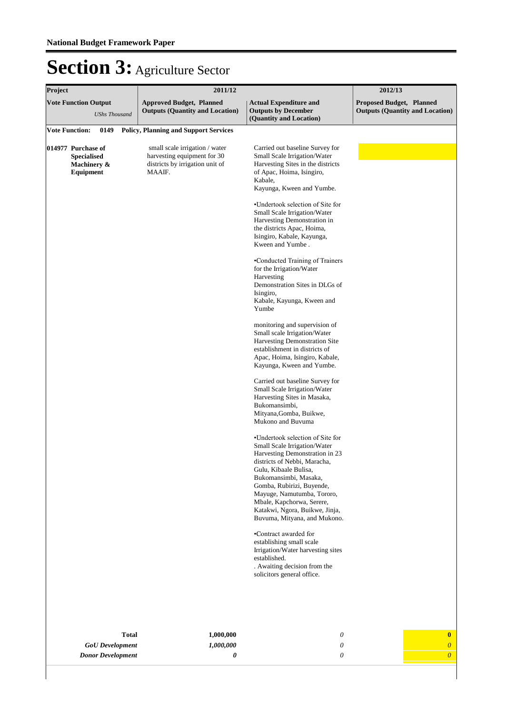| Project |                                                                      |                                                    |              | 2011/12                                                                                                    |                                                                                                                                                                                                                                                                                                                                                                                                                                                                                                                                                                                                                                                                                                                                                                                                                                                                                                                                                                                                                                                                                                                                                                                                                                                                                                             | 2012/13                         |                                        |
|---------|----------------------------------------------------------------------|----------------------------------------------------|--------------|------------------------------------------------------------------------------------------------------------|-------------------------------------------------------------------------------------------------------------------------------------------------------------------------------------------------------------------------------------------------------------------------------------------------------------------------------------------------------------------------------------------------------------------------------------------------------------------------------------------------------------------------------------------------------------------------------------------------------------------------------------------------------------------------------------------------------------------------------------------------------------------------------------------------------------------------------------------------------------------------------------------------------------------------------------------------------------------------------------------------------------------------------------------------------------------------------------------------------------------------------------------------------------------------------------------------------------------------------------------------------------------------------------------------------------|---------------------------------|----------------------------------------|
|         | <b>Vote Function Output</b>                                          | <b>UShs Thousand</b>                               |              | <b>Approved Budget, Planned</b><br><b>Outputs (Quantity and Location)</b>                                  | <b>Actual Expenditure and</b><br><b>Outputs by December</b><br>(Quantity and Location)                                                                                                                                                                                                                                                                                                                                                                                                                                                                                                                                                                                                                                                                                                                                                                                                                                                                                                                                                                                                                                                                                                                                                                                                                      | <b>Proposed Budget, Planned</b> | <b>Outputs (Quantity and Location)</b> |
|         | <b>Vote Function:</b>                                                | 0149                                               |              | <b>Policy, Planning and Support Services</b>                                                               |                                                                                                                                                                                                                                                                                                                                                                                                                                                                                                                                                                                                                                                                                                                                                                                                                                                                                                                                                                                                                                                                                                                                                                                                                                                                                                             |                                 |                                        |
|         | 014977 Purchase of<br><b>Specialised</b><br>Machinery &<br>Equipment |                                                    |              | small scale irrigation / water<br>harvesting equipment for 30<br>districts by irrigation unit of<br>MAAIF. | Carried out baseline Survey for<br>Small Scale Irrigation/Water<br>Harvesting Sites in the districts<br>of Apac, Hoima, Isingiro,<br>Kabale,<br>Kayunga, Kween and Yumbe.<br>•Undertook selection of Site for<br>Small Scale Irrigation/Water<br>Harvesting Demonstration in<br>the districts Apac, Hoima,<br>Isingiro, Kabale, Kayunga,<br>Kween and Yumbe.<br>•Conducted Training of Trainers<br>for the Irrigation/Water<br>Harvesting<br>Demonstration Sites in DLGs of<br>Isingiro,<br>Kabale, Kayunga, Kween and<br>Yumbe<br>monitoring and supervision of<br>Small scale Irrigation/Water<br>Harvesting Demonstration Site<br>establishment in districts of<br>Apac, Hoima, Isingiro, Kabale,<br>Kayunga, Kween and Yumbe.<br>Carried out baseline Survey for<br>Small Scale Irrigation/Water<br>Harvesting Sites in Masaka,<br>Bukomansimbi,<br>Mityana, Gomba, Buikwe,<br>Mukono and Buvuma<br>•Undertook selection of Site for<br>Small Scale Irrigation/Water<br>Harvesting Demonstration in 23<br>districts of Nebbi, Maracha,<br>Gulu, Kibaale Bulisa,<br>Bukomansimbi, Masaka,<br>Gomba, Rubirizi, Buyende,<br>Mayuge, Namutumba, Tororo,<br>Mbale, Kapchorwa, Serere,<br>Katakwi, Ngora, Buikwe, Jinja,<br>Buvuma, Mityana, and Mukono.<br>•Contract awarded for<br>establishing small scale |                                 |                                        |
|         |                                                                      |                                                    |              |                                                                                                            | Irrigation/Water harvesting sites<br>established.<br>. Awaiting decision from the<br>solicitors general office.                                                                                                                                                                                                                                                                                                                                                                                                                                                                                                                                                                                                                                                                                                                                                                                                                                                                                                                                                                                                                                                                                                                                                                                             |                                 |                                        |
|         |                                                                      |                                                    |              |                                                                                                            |                                                                                                                                                                                                                                                                                                                                                                                                                                                                                                                                                                                                                                                                                                                                                                                                                                                                                                                                                                                                                                                                                                                                                                                                                                                                                                             |                                 |                                        |
|         |                                                                      |                                                    | <b>Total</b> | 1,000,000                                                                                                  | 0<br>0                                                                                                                                                                                                                                                                                                                                                                                                                                                                                                                                                                                                                                                                                                                                                                                                                                                                                                                                                                                                                                                                                                                                                                                                                                                                                                      |                                 | $\bf{0}$<br>$\boldsymbol{\theta}$      |
|         |                                                                      | <b>GoU</b> Development<br><b>Donor Development</b> |              | 1,000,000<br>0                                                                                             | 0                                                                                                                                                                                                                                                                                                                                                                                                                                                                                                                                                                                                                                                                                                                                                                                                                                                                                                                                                                                                                                                                                                                                                                                                                                                                                                           |                                 | $\boldsymbol{\theta}$                  |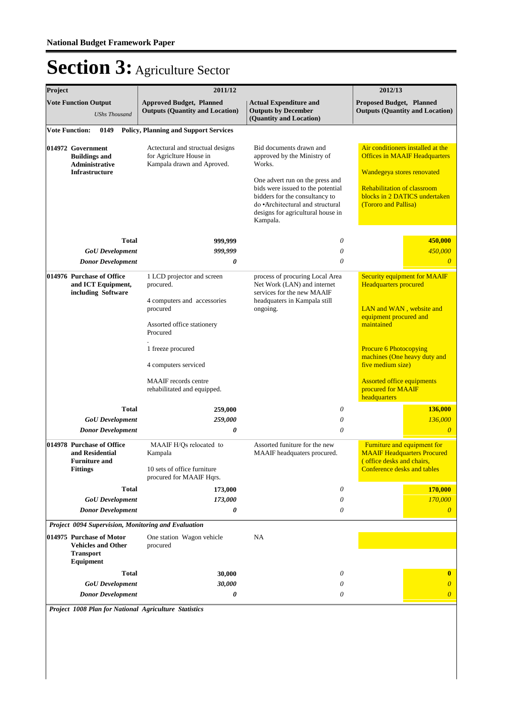| Project |                                                                                                                                                      | 2011/12                                                                                                                                                                                                                          |                                                                                                                                                                                                                                                                 | 2012/13                                                                                                                                                                                                                                                                                                  |
|---------|------------------------------------------------------------------------------------------------------------------------------------------------------|----------------------------------------------------------------------------------------------------------------------------------------------------------------------------------------------------------------------------------|-----------------------------------------------------------------------------------------------------------------------------------------------------------------------------------------------------------------------------------------------------------------|----------------------------------------------------------------------------------------------------------------------------------------------------------------------------------------------------------------------------------------------------------------------------------------------------------|
|         | <b>Vote Function Output</b><br><b>UShs Thousand</b>                                                                                                  | <b>Approved Budget, Planned</b><br><b>Outputs (Quantity and Location)</b>                                                                                                                                                        | <b>Actual Expenditure and</b><br><b>Outputs by December</b><br>(Quantity and Location)                                                                                                                                                                          | <b>Proposed Budget, Planned</b><br><b>Outputs (Quantity and Location)</b>                                                                                                                                                                                                                                |
|         | <b>Vote Function:</b><br>0149                                                                                                                        | <b>Policy, Planning and Support Services</b>                                                                                                                                                                                     |                                                                                                                                                                                                                                                                 |                                                                                                                                                                                                                                                                                                          |
|         | 014972 Government<br><b>Buildings and</b><br>Administrative<br>Infrastructure                                                                        | Actectural and structual designs<br>for AgricIture House in<br>Kampala drawn and Aproved.                                                                                                                                        | Bid documents drawn and<br>approved by the Ministry of<br>Works.<br>One advert run on the press and<br>bids were issued to the potential<br>bidders for the consultancy to<br>do •Architectural and structural<br>designs for agricultural house in<br>Kampala. | Air conditioners installed at the<br><b>Offices in MAAIF Headquarters</b><br>Wandegeya stores renovated<br><b>Rehabilitation of classroom</b><br>blocks in 2 DATICS undertaken<br>(Tororo and Pallisa)                                                                                                   |
|         | Total                                                                                                                                                | 999,999                                                                                                                                                                                                                          | 0                                                                                                                                                                                                                                                               | 450,000                                                                                                                                                                                                                                                                                                  |
|         | <b>GoU</b> Development                                                                                                                               | 999.999                                                                                                                                                                                                                          | 0                                                                                                                                                                                                                                                               | 450,000                                                                                                                                                                                                                                                                                                  |
|         | <b>Donor Development</b>                                                                                                                             | 0                                                                                                                                                                                                                                | $\theta$                                                                                                                                                                                                                                                        | $\theta$                                                                                                                                                                                                                                                                                                 |
|         | 014976 Purchase of Office<br>and ICT Equipment,<br>including Software                                                                                | 1 LCD projector and screen<br>procured.<br>4 computers and accessories<br>procured<br>Assorted office stationery<br>Procured<br>1 freeze procured<br>4 computers serviced<br>MAAIF records centre<br>rehabilitated and equipped. | process of procuring Local Area<br>Net Work (LAN) and internet<br>services for the new MAAIF<br>headquaters in Kampala still<br>ongoing.                                                                                                                        | <b>Security equipment for MAAIF</b><br><b>Headquarters</b> procured<br>LAN and WAN, website and<br>equipment procured and<br>maintained<br><b>Procure 6 Photocopying</b><br>machines (One heavy duty and<br>five medium size)<br><b>Assorted office equipments</b><br>procured for MAAIF<br>headquarters |
|         | <b>Total</b>                                                                                                                                         | 259,000                                                                                                                                                                                                                          | 0                                                                                                                                                                                                                                                               | 136,000                                                                                                                                                                                                                                                                                                  |
|         | <b>GoU</b> Development                                                                                                                               | 259,000<br>0                                                                                                                                                                                                                     | 0<br>0                                                                                                                                                                                                                                                          | 136,000<br>$\theta$                                                                                                                                                                                                                                                                                      |
|         | <b>Donor Development</b><br>014978 Purchase of Office<br>and Residential<br><b>Furniture and</b><br><b>Fittings</b>                                  | MAAIF H/Qs relocated to<br>Kampala<br>10 sets of office furniture<br>procured for MAAIF Hqrs.                                                                                                                                    | Assorted funiture for the new<br>MAAIF headquaters procured.                                                                                                                                                                                                    | Furniture and equipment for<br><b>MAAIF Headquarters Procured</b><br>(office desks and chairs,<br><b>Conference desks and tables</b>                                                                                                                                                                     |
|         | Total                                                                                                                                                | 173,000                                                                                                                                                                                                                          | $\theta$                                                                                                                                                                                                                                                        | 170,000                                                                                                                                                                                                                                                                                                  |
|         | <b>GoU</b> Development                                                                                                                               | 173,000                                                                                                                                                                                                                          | 0                                                                                                                                                                                                                                                               | 170,000                                                                                                                                                                                                                                                                                                  |
|         | <b>Donor Development</b>                                                                                                                             | 0                                                                                                                                                                                                                                | 0                                                                                                                                                                                                                                                               | $\theta$                                                                                                                                                                                                                                                                                                 |
|         | Project 0094 Supervision, Monitoring and Evaluation<br>014975 Purchase of Motor<br><b>Vehicles and Other</b><br><b>Transport</b><br><b>Equipment</b> | One station Wagon vehicle<br>procured                                                                                                                                                                                            | NA                                                                                                                                                                                                                                                              |                                                                                                                                                                                                                                                                                                          |
|         | <b>Total</b>                                                                                                                                         | 30,000                                                                                                                                                                                                                           | 0                                                                                                                                                                                                                                                               | $\bf{0}$                                                                                                                                                                                                                                                                                                 |
|         | <b>GoU</b> Development                                                                                                                               | 30,000                                                                                                                                                                                                                           | 0                                                                                                                                                                                                                                                               | $\boldsymbol{\theta}$                                                                                                                                                                                                                                                                                    |
|         | <b>Donor Development</b>                                                                                                                             | 0                                                                                                                                                                                                                                | 0                                                                                                                                                                                                                                                               | $\boldsymbol{0}$                                                                                                                                                                                                                                                                                         |

*Project 1008 Plan for National Agriculture Statistics*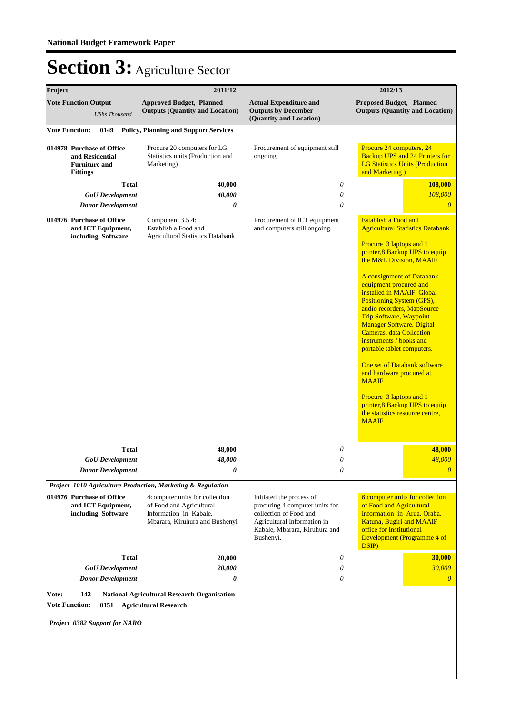| Project |                                                                                         | 2011/12                                                                                                                |                                                                                                                                                                   | 2012/13                                                                                                                                                                                                                                                                                                                                                                                                                                                                                                                                                                                                                                                                     |
|---------|-----------------------------------------------------------------------------------------|------------------------------------------------------------------------------------------------------------------------|-------------------------------------------------------------------------------------------------------------------------------------------------------------------|-----------------------------------------------------------------------------------------------------------------------------------------------------------------------------------------------------------------------------------------------------------------------------------------------------------------------------------------------------------------------------------------------------------------------------------------------------------------------------------------------------------------------------------------------------------------------------------------------------------------------------------------------------------------------------|
|         | <b>Vote Function Output</b><br><b>UShs Thousand</b>                                     | <b>Approved Budget, Planned</b><br><b>Outputs (Quantity and Location)</b>                                              | <b>Actual Expenditure and</b><br><b>Outputs by December</b><br>(Quantity and Location)                                                                            | Proposed Budget, Planned<br><b>Outputs (Quantity and Location)</b>                                                                                                                                                                                                                                                                                                                                                                                                                                                                                                                                                                                                          |
|         | <b>Vote Function:</b><br>0149                                                           | <b>Policy, Planning and Support Services</b>                                                                           |                                                                                                                                                                   |                                                                                                                                                                                                                                                                                                                                                                                                                                                                                                                                                                                                                                                                             |
|         | 014978 Purchase of Office<br>and Residential<br><b>Furniture and</b><br><b>Fittings</b> | Procure 20 computers for LG<br>Statistics units (Production and<br>Marketing)                                          | Procurement of equipment still<br>ongoing.                                                                                                                        | Procure 24 computers, 24<br><b>Backup UPS and 24 Printers for</b><br><b>LG Statistics Units (Production</b><br>and Marketing)                                                                                                                                                                                                                                                                                                                                                                                                                                                                                                                                               |
|         | <b>Total</b>                                                                            | 40,000                                                                                                                 | 0                                                                                                                                                                 | 108,000                                                                                                                                                                                                                                                                                                                                                                                                                                                                                                                                                                                                                                                                     |
|         | <b>GoU</b> Development                                                                  | 40,000                                                                                                                 | $\boldsymbol{\mathit{0}}$                                                                                                                                         | 108,000                                                                                                                                                                                                                                                                                                                                                                                                                                                                                                                                                                                                                                                                     |
|         | <b>Donor Development</b>                                                                | 0                                                                                                                      | $\theta$                                                                                                                                                          | $\overline{0}$                                                                                                                                                                                                                                                                                                                                                                                                                                                                                                                                                                                                                                                              |
|         | 014976 Purchase of Office<br>and ICT Equipment,<br>including Software                   | Component 3.5.4:<br>Establish a Food and<br><b>Agricultural Statistics Databank</b>                                    | Procurement of ICT equipment<br>and computers still ongoing.                                                                                                      | <b>Establish a Food and</b><br><b>Agricultural Statistics Databank</b><br>Procure 3 laptops and 1<br>printer,8 Backup UPS to equip<br>the M&E Division, MAAIF<br>A consignment of Databank<br>equipment procured and<br>installed in MAAIF: Global<br>Positioning System (GPS),<br>audio recorders, MapSource<br><b>Trip Software, Waypoint</b><br><b>Manager Software, Digital</b><br><b>Cameras, data Collection</b><br>instruments / books and<br>portable tablet computers.<br>One set of Databank software<br>and hardware procured at<br><b>MAAIF</b><br>Procure 3 laptops and 1<br>printer, 8 Backup UPS to equip<br>the statistics resource centre,<br><b>MAAIF</b> |
|         | <b>Total</b>                                                                            | 48,000                                                                                                                 | 0                                                                                                                                                                 | 48,000                                                                                                                                                                                                                                                                                                                                                                                                                                                                                                                                                                                                                                                                      |
|         | <b>GoU</b> Development                                                                  | 48,000                                                                                                                 | 0                                                                                                                                                                 | 48,000                                                                                                                                                                                                                                                                                                                                                                                                                                                                                                                                                                                                                                                                      |
|         | <b>Donor Development</b>                                                                | 0                                                                                                                      | $\boldsymbol{\mathit{0}}$                                                                                                                                         | $\boldsymbol{\theta}$                                                                                                                                                                                                                                                                                                                                                                                                                                                                                                                                                                                                                                                       |
|         |                                                                                         | Project 1010 Agriculture Production, Marketing & Regulation                                                            |                                                                                                                                                                   |                                                                                                                                                                                                                                                                                                                                                                                                                                                                                                                                                                                                                                                                             |
|         | 014976 Purchase of Office<br>and ICT Equipment,<br>including Software                   | 4computer units for collection<br>of Food and Agricultural<br>Information in Kabale,<br>Mbarara, Kiruhura and Bushenyi | Initiated the process of<br>procuring 4 computer units for<br>collection of Food and<br>Agricultural Information in<br>Kabale, Mbarara, Kiruhura and<br>Bushenyi. | 6 computer units for collection<br>of Food and Agricultural<br>Information in Arua, Oraba,<br>Katuna, Bugiri and MAAIF<br>office for Institutional<br>Development (Programme 4 of<br>DSIP)                                                                                                                                                                                                                                                                                                                                                                                                                                                                                  |
|         | <b>Total</b>                                                                            | 20,000                                                                                                                 | 0                                                                                                                                                                 | 30,000                                                                                                                                                                                                                                                                                                                                                                                                                                                                                                                                                                                                                                                                      |
|         | <b>GoU</b> Development                                                                  | 20,000                                                                                                                 | 0                                                                                                                                                                 | 30,000                                                                                                                                                                                                                                                                                                                                                                                                                                                                                                                                                                                                                                                                      |
|         | <b>Donor Development</b>                                                                | 0                                                                                                                      | 0                                                                                                                                                                 | $\theta$                                                                                                                                                                                                                                                                                                                                                                                                                                                                                                                                                                                                                                                                    |
| Vote:   | 142<br><b>Vote Function:</b><br>Project 0382 Support for NARO                           | <b>National Agricultural Research Organisation</b><br>0151 Agricultural Research                                       |                                                                                                                                                                   |                                                                                                                                                                                                                                                                                                                                                                                                                                                                                                                                                                                                                                                                             |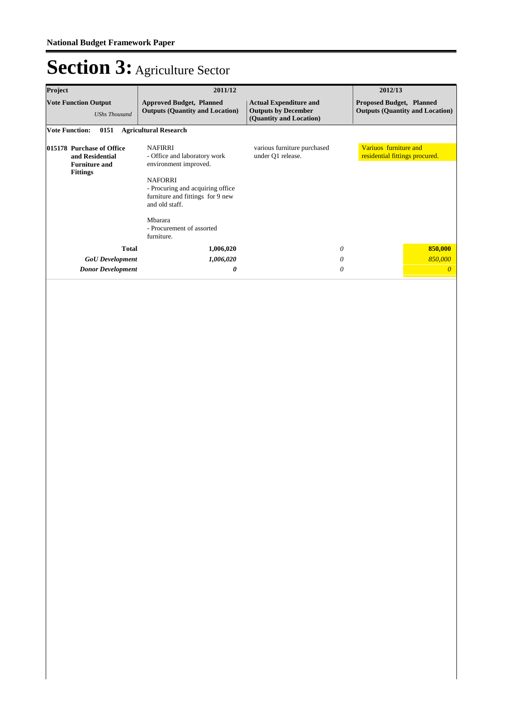| Project                                                                                 | 2011/12                                                                                                                                                                                                                                   |                                                                                        | 2012/13                                                 |                                        |
|-----------------------------------------------------------------------------------------|-------------------------------------------------------------------------------------------------------------------------------------------------------------------------------------------------------------------------------------------|----------------------------------------------------------------------------------------|---------------------------------------------------------|----------------------------------------|
| <b>Vote Function Output</b><br><b>UShs Thousand</b>                                     | <b>Approved Budget, Planned</b><br><b>Outputs (Quantity and Location)</b>                                                                                                                                                                 | <b>Actual Expenditure and</b><br><b>Outputs by December</b><br>(Quantity and Location) | <b>Proposed Budget, Planned</b>                         | <b>Outputs (Quantity and Location)</b> |
| <b>Vote Function:</b><br>0151                                                           | <b>Agricultural Research</b>                                                                                                                                                                                                              |                                                                                        |                                                         |                                        |
| 015178 Purchase of Office<br>and Residential<br><b>Furniture and</b><br><b>Fittings</b> | <b>NAFIRRI</b><br>- Office and laboratory work<br>environment improved.<br><b>NAFORRI</b><br>- Procuring and acquiring office<br>furniture and fittings for 9 new<br>and old staff.<br>Mbarara<br>- Procurement of assorted<br>furniture. | various furniture purchased<br>under Q1 release.                                       | Variuos furniture and<br>residential fittings procured. |                                        |
| <b>Total</b>                                                                            | 1,006,020                                                                                                                                                                                                                                 | 0                                                                                      |                                                         | 850,000                                |
| <b>GoU</b> Development                                                                  | 1,006,020                                                                                                                                                                                                                                 | 0                                                                                      |                                                         | 850,000                                |
| <b>Donor Development</b>                                                                | 0                                                                                                                                                                                                                                         | 0                                                                                      |                                                         | $\theta$                               |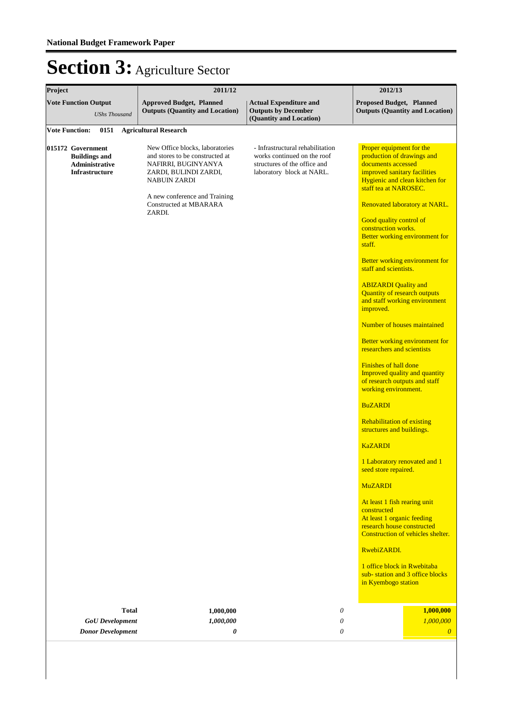| Project                                                                              | 2011/12                                                                                                                                                                                                               | 2012/13                                                                                                                      |                                                                                                                                                                                                                                                                                                                                                                                                                                                                                                                                                                                                                                                                                                                                                                                                                                                                                                                                                                                                                                                                                                                                 |  |
|--------------------------------------------------------------------------------------|-----------------------------------------------------------------------------------------------------------------------------------------------------------------------------------------------------------------------|------------------------------------------------------------------------------------------------------------------------------|---------------------------------------------------------------------------------------------------------------------------------------------------------------------------------------------------------------------------------------------------------------------------------------------------------------------------------------------------------------------------------------------------------------------------------------------------------------------------------------------------------------------------------------------------------------------------------------------------------------------------------------------------------------------------------------------------------------------------------------------------------------------------------------------------------------------------------------------------------------------------------------------------------------------------------------------------------------------------------------------------------------------------------------------------------------------------------------------------------------------------------|--|
| <b>Vote Function Output</b><br><b>UShs Thousand</b>                                  | <b>Approved Budget, Planned</b><br><b>Outputs (Quantity and Location)</b>                                                                                                                                             | <b>Actual Expenditure and</b><br><b>Outputs by December</b><br>(Quantity and Location)                                       | Proposed Budget, Planned<br><b>Outputs (Quantity and Location)</b>                                                                                                                                                                                                                                                                                                                                                                                                                                                                                                                                                                                                                                                                                                                                                                                                                                                                                                                                                                                                                                                              |  |
| <b>Vote Function:</b><br>0151                                                        | <b>Agricultural Research</b>                                                                                                                                                                                          |                                                                                                                              |                                                                                                                                                                                                                                                                                                                                                                                                                                                                                                                                                                                                                                                                                                                                                                                                                                                                                                                                                                                                                                                                                                                                 |  |
| 015172 Government<br><b>Buildings and</b><br>Administrative<br><b>Infrastructure</b> | New Office blocks, laboratories<br>and stores to be constructed at<br>NAFIRRI, BUGINYANYA<br>ZARDI, BULINDI ZARDI,<br><b>NABUIN ZARDI</b><br>A new conference and Training<br><b>Constructed at MBARARA</b><br>ZARDI. | - Infrastructural rehabilitation<br>works continued on the roof<br>structures of the office and<br>laboratory block at NARL. | Proper equipment for the<br>production of drawings and<br>documents accessed<br>improved sanitary facilities<br>Hygienic and clean kitchen for<br>staff tea at NAROSEC.<br>Renovated laboratory at NARL.<br>Good quality control of<br>construction works.<br>Better working environment for<br>staff.<br>Better working environment for<br>staff and scientists.<br><b>ABIZARDI</b> Quality and<br><b>Quantity of research outputs</b><br>and staff working environment<br>improved.<br>Number of houses maintained<br>Better working environment for<br>researchers and scientists<br>Finishes of hall done<br><b>Improved quality and quantity</b><br>of research outputs and staff<br>working environment.<br><b>BuZARDI</b><br><b>Rehabilitation of existing</b><br>structures and buildings.<br><b>KaZARDI</b><br>1 Laboratory renovated and 1<br>seed store repaired.<br><b>MuZARDI</b><br>At least 1 fish rearing unit<br>constructed<br>At least 1 organic feeding<br>research house constructed<br>Construction of vehicles shelter.<br>RwebiZARDI.<br>1 office block in Rwebitaba<br>sub-station and 3 office blocks |  |
|                                                                                      |                                                                                                                                                                                                                       |                                                                                                                              | in Kyembogo station                                                                                                                                                                                                                                                                                                                                                                                                                                                                                                                                                                                                                                                                                                                                                                                                                                                                                                                                                                                                                                                                                                             |  |
| <b>Total</b><br><b>GoU</b> Development<br><b>Donor Development</b>                   | 1,000,000<br>1,000,000<br>0                                                                                                                                                                                           | 0<br>0<br>0                                                                                                                  | 1,000,000<br>1,000,000<br>$\theta$                                                                                                                                                                                                                                                                                                                                                                                                                                                                                                                                                                                                                                                                                                                                                                                                                                                                                                                                                                                                                                                                                              |  |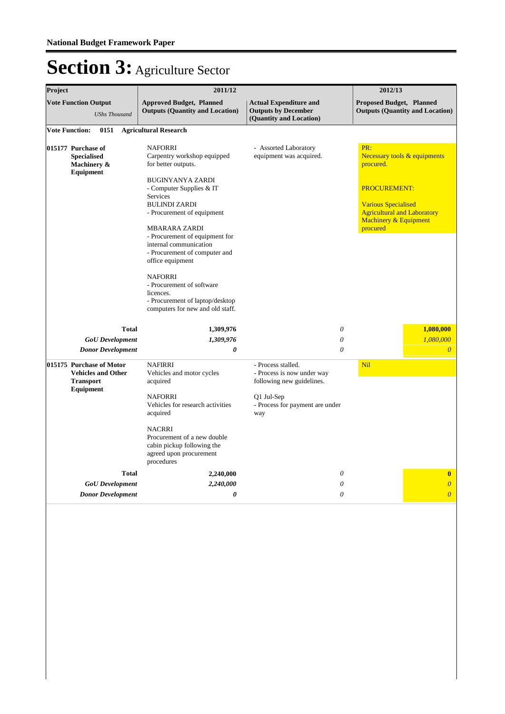| Project |                                                                                        | 2011/12                                                                                                                                                                                                                                                                                                                                                                                                                                                                          |                                                                                                                                       | 2012/13                                                                                                                                                     |                                        |
|---------|----------------------------------------------------------------------------------------|----------------------------------------------------------------------------------------------------------------------------------------------------------------------------------------------------------------------------------------------------------------------------------------------------------------------------------------------------------------------------------------------------------------------------------------------------------------------------------|---------------------------------------------------------------------------------------------------------------------------------------|-------------------------------------------------------------------------------------------------------------------------------------------------------------|----------------------------------------|
|         | <b>Vote Function Output</b><br><b>UShs Thousand</b>                                    | <b>Approved Budget, Planned</b><br><b>Outputs (Quantity and Location)</b>                                                                                                                                                                                                                                                                                                                                                                                                        | <b>Actual Expenditure and</b><br><b>Outputs by December</b><br>(Quantity and Location)                                                | <b>Proposed Budget, Planned</b>                                                                                                                             | <b>Outputs (Quantity and Location)</b> |
|         | <b>Vote Function:</b><br>0151                                                          | <b>Agricultural Research</b>                                                                                                                                                                                                                                                                                                                                                                                                                                                     |                                                                                                                                       |                                                                                                                                                             |                                        |
|         | 015177 Purchase of<br><b>Specialised</b><br>Machinery &<br><b>Equipment</b>            | <b>NAFORRI</b><br>Carpentry workshop equipped<br>for better outputs.<br><b>BUGINYANYA ZARDI</b><br>- Computer Supplies & IT<br><b>Services</b><br><b>BULINDI ZARDI</b><br>- Procurement of equipment<br><b>MBARARA ZARDI</b><br>- Procurement of equipment for<br>internal communication<br>- Procurement of computer and<br>office equipment<br><b>NAFORRI</b><br>- Procurement of software<br>licences.<br>- Procurement of laptop/desktop<br>computers for new and old staff. | - Assorted Laboratory<br>equipment was acquired.                                                                                      | PR:<br>procured.<br><b>PROCUREMENT:</b><br><b>Various Specialised</b><br><b>Agricultural and Laboratory</b><br><b>Machinery &amp; Equipment</b><br>procured | Necessary tools & equipments           |
|         | <b>Total</b>                                                                           | 1,309,976                                                                                                                                                                                                                                                                                                                                                                                                                                                                        | $\theta$                                                                                                                              |                                                                                                                                                             | 1,080,000                              |
|         | <b>GoU</b> Development                                                                 | 1,309,976                                                                                                                                                                                                                                                                                                                                                                                                                                                                        | $\theta$                                                                                                                              |                                                                                                                                                             | 1,080,000                              |
|         | <b>Donor Development</b>                                                               | 0                                                                                                                                                                                                                                                                                                                                                                                                                                                                                | 0                                                                                                                                     |                                                                                                                                                             | $\overline{0}$                         |
|         | 015175 Purchase of Motor<br><b>Vehicles and Other</b><br><b>Transport</b><br>Equipment | <b>NAFIRRI</b><br>Vehicles and motor cycles<br>acquired<br><b>NAFORRI</b><br>Vehicles for research activities<br>acquired<br><b>NACRRI</b><br>Procurement of a new double<br>cabin pickup following the<br>agreed upon procurement<br>procedures                                                                                                                                                                                                                                 | - Process stalled.<br>- Process is now under way<br>following new guidelines.<br>Q1 Jul-Sep<br>- Process for payment are under<br>way | Nil                                                                                                                                                         |                                        |
|         | <b>Total</b>                                                                           | 2,240,000                                                                                                                                                                                                                                                                                                                                                                                                                                                                        | $\theta$                                                                                                                              |                                                                                                                                                             | $\bf{0}$                               |
|         | <b>GoU</b> Development<br><b>Donor Development</b>                                     | 2,240,000<br>0                                                                                                                                                                                                                                                                                                                                                                                                                                                                   | 0<br>$\theta$                                                                                                                         |                                                                                                                                                             | $\overline{0}$<br>$\overline{0}$       |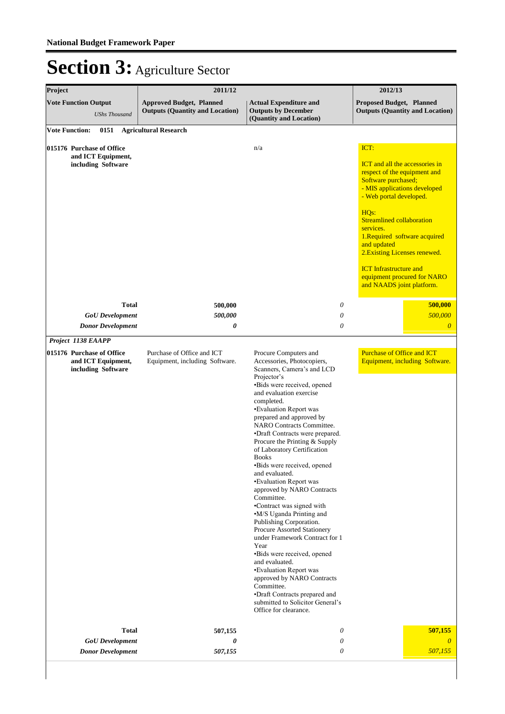| Project                                                               | 2011/12                                                                   | 2012/13                                                                                                                                                                                                                                                                                                                                                                                                                                                                                                                                                                                                                                                                                                                                                                                                                                                                                        |                                                                                                                                                         |  |  |
|-----------------------------------------------------------------------|---------------------------------------------------------------------------|------------------------------------------------------------------------------------------------------------------------------------------------------------------------------------------------------------------------------------------------------------------------------------------------------------------------------------------------------------------------------------------------------------------------------------------------------------------------------------------------------------------------------------------------------------------------------------------------------------------------------------------------------------------------------------------------------------------------------------------------------------------------------------------------------------------------------------------------------------------------------------------------|---------------------------------------------------------------------------------------------------------------------------------------------------------|--|--|
| <b>Vote Function Output</b><br><b>UShs Thousand</b>                   | <b>Approved Budget, Planned</b><br><b>Outputs (Quantity and Location)</b> | <b>Actual Expenditure and</b><br><b>Outputs by December</b><br>(Quantity and Location)                                                                                                                                                                                                                                                                                                                                                                                                                                                                                                                                                                                                                                                                                                                                                                                                         | Proposed Budget, Planned<br><b>Outputs (Quantity and Location)</b>                                                                                      |  |  |
| <b>Vote Function:</b>                                                 | 0151 Agricultural Research                                                |                                                                                                                                                                                                                                                                                                                                                                                                                                                                                                                                                                                                                                                                                                                                                                                                                                                                                                |                                                                                                                                                         |  |  |
| 015176 Purchase of Office<br>and ICT Equipment,                       |                                                                           | n/a                                                                                                                                                                                                                                                                                                                                                                                                                                                                                                                                                                                                                                                                                                                                                                                                                                                                                            | ICT:                                                                                                                                                    |  |  |
| including Software                                                    |                                                                           |                                                                                                                                                                                                                                                                                                                                                                                                                                                                                                                                                                                                                                                                                                                                                                                                                                                                                                | <b>ICT</b> and all the accessories in<br>respect of the equipment and<br>Software purchased;<br>- MIS applications developed<br>- Web portal developed. |  |  |
|                                                                       |                                                                           |                                                                                                                                                                                                                                                                                                                                                                                                                                                                                                                                                                                                                                                                                                                                                                                                                                                                                                | HQ <sub>s</sub> :<br><b>Streamlined collaboration</b><br>services.<br>1. Required software acquired<br>and updated<br>2. Existing Licenses renewed.     |  |  |
|                                                                       |                                                                           |                                                                                                                                                                                                                                                                                                                                                                                                                                                                                                                                                                                                                                                                                                                                                                                                                                                                                                | <b>ICT</b> Infrastructure and<br>equipment procured for NARO<br>and NAADS joint platform.                                                               |  |  |
| <b>Total</b>                                                          | 500,000                                                                   | 0                                                                                                                                                                                                                                                                                                                                                                                                                                                                                                                                                                                                                                                                                                                                                                                                                                                                                              | 500,000                                                                                                                                                 |  |  |
| <b>GoU</b> Development<br><b>Donor Development</b>                    | 500,000<br>0                                                              | 0<br>0                                                                                                                                                                                                                                                                                                                                                                                                                                                                                                                                                                                                                                                                                                                                                                                                                                                                                         | 500,000<br>$\boldsymbol{\theta}$                                                                                                                        |  |  |
| Project 1138 EAAPP                                                    |                                                                           |                                                                                                                                                                                                                                                                                                                                                                                                                                                                                                                                                                                                                                                                                                                                                                                                                                                                                                |                                                                                                                                                         |  |  |
| 015176 Purchase of Office<br>and ICT Equipment,<br>including Software | Purchase of Office and ICT<br>Equipment, including Software.              | Procure Computers and<br>Accessories, Photocopiers,<br>Scanners, Camera's and LCD<br>Projector's<br>•Bids were received, opened<br>and evaluation exercise<br>completed.<br>•Evaluation Report was<br>prepared and approved by<br><b>NARO</b> Contracts Committee.<br>•Draft Contracts were prepared.<br>Procure the Printing & Supply<br>of Laboratory Certification<br><b>Books</b><br>•Bids were received, opened<br>and evaluated.<br>•Evaluation Report was<br>approved by NARO Contracts<br>Committee.<br>•Contract was signed with<br>•M/S Uganda Printing and<br>Publishing Corporation.<br>Procure Assorted Stationery<br>under Framework Contract for 1<br>Year<br>•Bids were received, opened<br>and evaluated.<br>•Evaluation Report was<br>approved by NARO Contracts<br>Committee.<br>•Draft Contracts prepared and<br>submitted to Solicitor General's<br>Office for clearance. | <b>Purchase of Office and ICT</b><br>Equipment, including Software.                                                                                     |  |  |
| <b>Total</b>                                                          | 507,155                                                                   | 0                                                                                                                                                                                                                                                                                                                                                                                                                                                                                                                                                                                                                                                                                                                                                                                                                                                                                              | 507,155                                                                                                                                                 |  |  |
| <b>GoU</b> Development                                                | 0                                                                         | 0<br>0                                                                                                                                                                                                                                                                                                                                                                                                                                                                                                                                                                                                                                                                                                                                                                                                                                                                                         | $\theta$<br>507,155                                                                                                                                     |  |  |
| <b>Donor Development</b>                                              | 507,155                                                                   |                                                                                                                                                                                                                                                                                                                                                                                                                                                                                                                                                                                                                                                                                                                                                                                                                                                                                                |                                                                                                                                                         |  |  |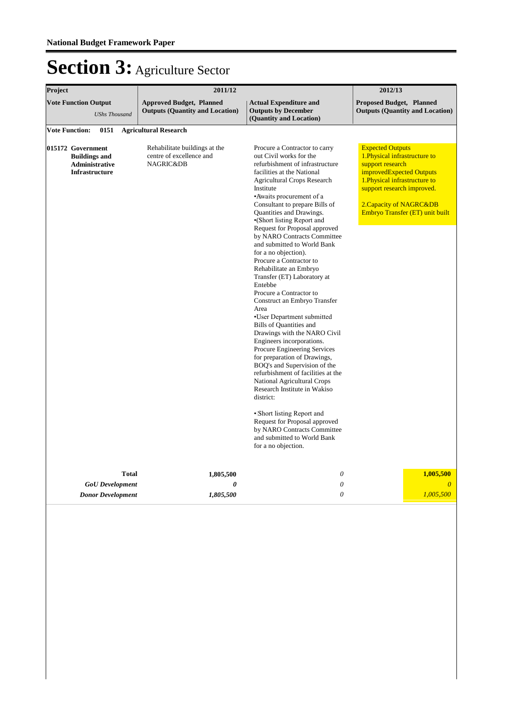| Project<br>2011/12                                                                   |                                                                                   | 2012/13                                                                                                                                                                                                                                                                                                                                                                                                                                                                                                                                                                                                                                                                                                                                                                                                                                                                                                                                                                                                                                                                                          |                                                                                                                                                                                                                                       |
|--------------------------------------------------------------------------------------|-----------------------------------------------------------------------------------|--------------------------------------------------------------------------------------------------------------------------------------------------------------------------------------------------------------------------------------------------------------------------------------------------------------------------------------------------------------------------------------------------------------------------------------------------------------------------------------------------------------------------------------------------------------------------------------------------------------------------------------------------------------------------------------------------------------------------------------------------------------------------------------------------------------------------------------------------------------------------------------------------------------------------------------------------------------------------------------------------------------------------------------------------------------------------------------------------|---------------------------------------------------------------------------------------------------------------------------------------------------------------------------------------------------------------------------------------|
| <b>Vote Function Output</b><br><b>UShs Thousand</b>                                  | <b>Approved Budget, Planned</b><br><b>Outputs (Quantity and Location)</b>         | <b>Proposed Budget, Planned</b><br><b>Outputs (Quantity and Location)</b>                                                                                                                                                                                                                                                                                                                                                                                                                                                                                                                                                                                                                                                                                                                                                                                                                                                                                                                                                                                                                        |                                                                                                                                                                                                                                       |
| <b>Vote Function:</b><br>0151                                                        | <b>Agricultural Research</b>                                                      |                                                                                                                                                                                                                                                                                                                                                                                                                                                                                                                                                                                                                                                                                                                                                                                                                                                                                                                                                                                                                                                                                                  |                                                                                                                                                                                                                                       |
| 015172 Government<br><b>Buildings and</b><br>Administrative<br><b>Infrastructure</b> | Rehabilitate buildings at the<br>centre of excellence and<br><b>NAGRIC&amp;DB</b> | Procure a Contractor to carry<br>out Civil works for the<br>refurbishment of infrastructure<br>facilities at the National<br><b>Agricultural Crops Research</b><br>Institute<br>•Awaits procurement of a<br>Consultant to prepare Bills of<br>Quantities and Drawings.<br>•(Short listing Report and<br>Request for Proposal approved<br>by NARO Contracts Committee<br>and submitted to World Bank<br>for a no objection).<br>Procure a Contractor to<br>Rehabilitate an Embryo<br>Transfer (ET) Laboratory at<br>Entebbe<br>Procure a Contractor to<br>Construct an Embryo Transfer<br>Area<br>•User Department submitted<br><b>Bills of Quantities and</b><br>Drawings with the NARO Civil<br>Engineers incorporations.<br>Procure Engineering Services<br>for preparation of Drawings,<br>BOQ's and Supervision of the<br>refurbishment of facilities at the<br>National Agricultural Crops<br>Research Institute in Wakiso<br>district:<br>• Short listing Report and<br>Request for Proposal approved<br>by NARO Contracts Committee<br>and submitted to World Bank<br>for a no objection. | <b>Expected Outputs</b><br>1. Physical infrastructure to<br>support research<br>improvedExpected Outputs<br>1. Physical infrastructure to<br>support research improved.<br>2. Capacity of NAGRC&DB<br>Embryo Transfer (ET) unit built |
| <b>Total</b><br>1,805,500                                                            |                                                                                   | $\theta$                                                                                                                                                                                                                                                                                                                                                                                                                                                                                                                                                                                                                                                                                                                                                                                                                                                                                                                                                                                                                                                                                         | 1,005,500                                                                                                                                                                                                                             |
| <b>GoU</b> Development                                                               | $\boldsymbol{\theta}$                                                             | 0                                                                                                                                                                                                                                                                                                                                                                                                                                                                                                                                                                                                                                                                                                                                                                                                                                                                                                                                                                                                                                                                                                | $\overline{0}$                                                                                                                                                                                                                        |
| <b>Donor Development</b>                                                             | 1,805,500                                                                         | $\theta$                                                                                                                                                                                                                                                                                                                                                                                                                                                                                                                                                                                                                                                                                                                                                                                                                                                                                                                                                                                                                                                                                         | 1,005,500                                                                                                                                                                                                                             |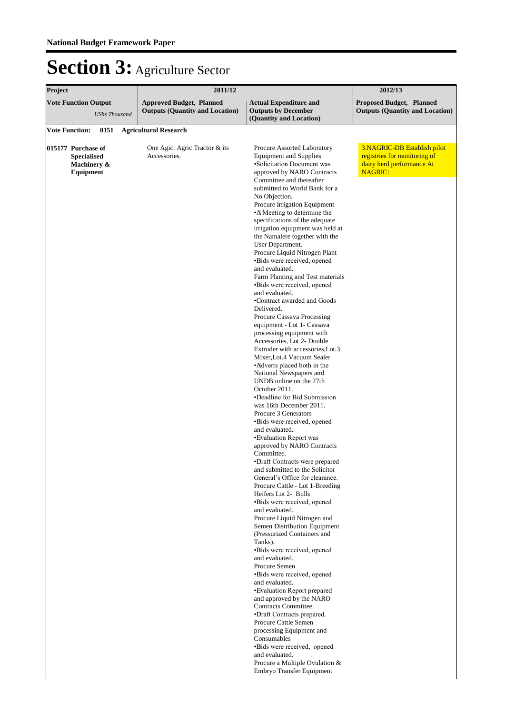| Project<br>2011/12                                                   |                                                                           | 2012/13                                                                                                                                                                                                                                                                                                                                                                                                                                                                                                                                                                                                                                                                                                                                                                                                                                                                                                                                                                                                                                                                                                                                                                                                                                                                                                                                                                                                                                                                                                                                                                                                                                                                                                                                                                                                            |                                                                                                            |  |
|----------------------------------------------------------------------|---------------------------------------------------------------------------|--------------------------------------------------------------------------------------------------------------------------------------------------------------------------------------------------------------------------------------------------------------------------------------------------------------------------------------------------------------------------------------------------------------------------------------------------------------------------------------------------------------------------------------------------------------------------------------------------------------------------------------------------------------------------------------------------------------------------------------------------------------------------------------------------------------------------------------------------------------------------------------------------------------------------------------------------------------------------------------------------------------------------------------------------------------------------------------------------------------------------------------------------------------------------------------------------------------------------------------------------------------------------------------------------------------------------------------------------------------------------------------------------------------------------------------------------------------------------------------------------------------------------------------------------------------------------------------------------------------------------------------------------------------------------------------------------------------------------------------------------------------------------------------------------------------------|------------------------------------------------------------------------------------------------------------|--|
| <b>Vote Function Output</b><br><b>UShs Thousand</b>                  | <b>Approved Budget, Planned</b><br><b>Outputs (Quantity and Location)</b> | <b>Actual Expenditure and</b><br><b>Outputs by December</b><br>(Quantity and Location)                                                                                                                                                                                                                                                                                                                                                                                                                                                                                                                                                                                                                                                                                                                                                                                                                                                                                                                                                                                                                                                                                                                                                                                                                                                                                                                                                                                                                                                                                                                                                                                                                                                                                                                             | <b>Proposed Budget, Planned</b><br><b>Outputs (Quantity and Location)</b>                                  |  |
| 0151<br><b>Vote Function:</b>                                        | <b>Agricultural Research</b>                                              |                                                                                                                                                                                                                                                                                                                                                                                                                                                                                                                                                                                                                                                                                                                                                                                                                                                                                                                                                                                                                                                                                                                                                                                                                                                                                                                                                                                                                                                                                                                                                                                                                                                                                                                                                                                                                    |                                                                                                            |  |
| 015177 Purchase of<br><b>Specialised</b><br>Machinery &<br>Equipment | One Agic. Agric Tractor & its<br>Accessories.                             | Procure Assorted Laboratory<br><b>Equipment and Supplies</b><br>•Solicitation Document was<br>approved by NARO Contracts<br>Committee and thereafter<br>submitted to World Bank for a<br>No Objection.<br>Procure Irrigation Equipment<br>•A Meeting to determine the<br>specifications of the adequate<br>irrigation equipment was held at<br>the Namalere together with the<br>User Department.<br>Procure Liquid Nitrogen Plant<br>•Bids were received, opened<br>and evaluated.<br>Farm Planting and Test materials<br>•Bids were received, opened<br>and evaluated.<br>•Contract awarded and Goods<br>Delivered.<br>Procure Cassava Processing<br>equipment - Lot 1- Cassava<br>processing equipment with<br>Accessories, Lot 2- Double<br>Extruder with accessories, Lot.3<br>Mixer, Lot.4 Vacuum Sealer<br>•Adverts placed both in the<br>National Newspapers and<br>UNDB online on the 27th<br>October 2011.<br>•Deadline for Bid Submission<br>was 16th December 2011.<br>Procure 3 Generators<br>•Bids were received, opened<br>and evaluated.<br>•Evaluation Report was<br>approved by NARO Contracts<br>Committee.<br>•Draft Contracts were prepared<br>and submitted to the Solicitor<br>General's Office for clearance.<br>Procure Cattle - Lot 1-Breeding<br>Heifers Lot 2- Bulls<br>•Bids were received, opened<br>and evaluated.<br>Procure Liquid Nitrogen and<br>Semen Distribution Equipment<br>(Pressurized Containers and<br>Tanks).<br>•Bids were received, opened<br>and evaluated.<br>Procure Semen<br>•Bids were received, opened<br>and evaluated.<br>•Evaluation Report prepared<br>and approved by the NARO<br>Contracts Committee.<br>•Draft Contracts prepared.<br>Procure Cattle Semen<br>processing Equipment and<br>Consumables<br>•Bids were received, opened<br>and evaluated. | 3.NAGRIC-DB Establish pilot<br>registries for monitoring of<br>dairy herd performance At<br><b>NAGRIC:</b> |  |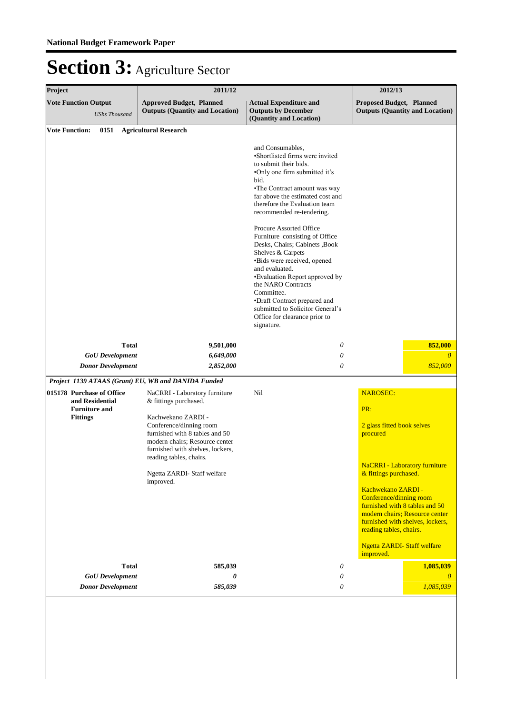| Project               |                                                                                         | 2011/12                                                                                                                                                                                                                                                                                                                                                                                                                                                                                                                                                                                                               | 2012/13                                                                                |                                                                                                                                                                                  |  |
|-----------------------|-----------------------------------------------------------------------------------------|-----------------------------------------------------------------------------------------------------------------------------------------------------------------------------------------------------------------------------------------------------------------------------------------------------------------------------------------------------------------------------------------------------------------------------------------------------------------------------------------------------------------------------------------------------------------------------------------------------------------------|----------------------------------------------------------------------------------------|----------------------------------------------------------------------------------------------------------------------------------------------------------------------------------|--|
|                       | <b>Vote Function Output</b><br><b>UShs Thousand</b>                                     | <b>Approved Budget, Planned</b><br><b>Outputs (Quantity and Location)</b>                                                                                                                                                                                                                                                                                                                                                                                                                                                                                                                                             | <b>Actual Expenditure and</b><br><b>Outputs by December</b><br>(Quantity and Location) | Proposed Budget, Planned<br><b>Outputs (Quantity and Location)</b>                                                                                                               |  |
|                       | 0151                                                                                    | <b>Agricultural Research</b>                                                                                                                                                                                                                                                                                                                                                                                                                                                                                                                                                                                          |                                                                                        |                                                                                                                                                                                  |  |
| <b>Vote Function:</b> |                                                                                         | and Consumables,<br>•Shortlisted firms were invited<br>to submit their bids.<br>•Only one firm submitted it's<br>bid.<br>•The Contract amount was way<br>far above the estimated cost and<br>therefore the Evaluation team<br>recommended re-tendering.<br>Procure Assorted Office<br>Furniture consisting of Office<br>Desks, Chairs; Cabinets , Book<br>Shelves & Carpets<br>•Bids were received, opened<br>and evaluated.<br>•Evaluation Report approved by<br>the NARO Contracts<br>Committee.<br>•Draft Contract prepared and<br>submitted to Solicitor General's<br>Office for clearance prior to<br>signature. |                                                                                        |                                                                                                                                                                                  |  |
|                       | <b>Total</b>                                                                            | 9,501,000                                                                                                                                                                                                                                                                                                                                                                                                                                                                                                                                                                                                             | 0                                                                                      | 852,000                                                                                                                                                                          |  |
|                       | <b>GoU</b> Development                                                                  | 6,649,000                                                                                                                                                                                                                                                                                                                                                                                                                                                                                                                                                                                                             | 0                                                                                      | $\theta$                                                                                                                                                                         |  |
|                       | <b>Donor Development</b>                                                                | 2,852,000                                                                                                                                                                                                                                                                                                                                                                                                                                                                                                                                                                                                             | $\theta$                                                                               | 852,000                                                                                                                                                                          |  |
|                       |                                                                                         | Project 1139 ATAAS (Grant) EU, WB and DANIDA Funded                                                                                                                                                                                                                                                                                                                                                                                                                                                                                                                                                                   |                                                                                        |                                                                                                                                                                                  |  |
|                       | 015178 Purchase of Office<br>and Residential<br><b>Furniture and</b><br><b>Fittings</b> | NaCRRI - Laboratory furniture<br>& fittings purchased.<br>Kachwekano ZARDI -<br>Conference/dinning room<br>furnished with 8 tables and 50<br>modern chairs; Resource center<br>furnished with shelves, lockers,<br>reading tables, chairs.                                                                                                                                                                                                                                                                                                                                                                            | Nil                                                                                    | <b>NAROSEC:</b><br>PR:<br>2 glass fitted book selves<br>procured                                                                                                                 |  |
|                       |                                                                                         | Ngetta ZARDI-Staff welfare                                                                                                                                                                                                                                                                                                                                                                                                                                                                                                                                                                                            |                                                                                        | <b>NaCRRI</b> - Laboratory furniture<br>& fittings purchased.                                                                                                                    |  |
|                       |                                                                                         | improved.                                                                                                                                                                                                                                                                                                                                                                                                                                                                                                                                                                                                             |                                                                                        | Kachwekano ZARDI -<br>Conference/dinning room<br>furnished with 8 tables and 50<br>modern chairs; Resource center<br>furnished with shelves, lockers,<br>reading tables, chairs. |  |
|                       |                                                                                         |                                                                                                                                                                                                                                                                                                                                                                                                                                                                                                                                                                                                                       |                                                                                        | <b>Ngetta ZARDI-Staff welfare</b><br>improved.                                                                                                                                   |  |
|                       | <b>Total</b>                                                                            | 585,039                                                                                                                                                                                                                                                                                                                                                                                                                                                                                                                                                                                                               | 0                                                                                      | 1,085,039                                                                                                                                                                        |  |
|                       | <b>GoU</b> Development<br><b>Donor Development</b>                                      | 0<br>585,039                                                                                                                                                                                                                                                                                                                                                                                                                                                                                                                                                                                                          | 0<br>0                                                                                 | $\theta$<br>1,085,039                                                                                                                                                            |  |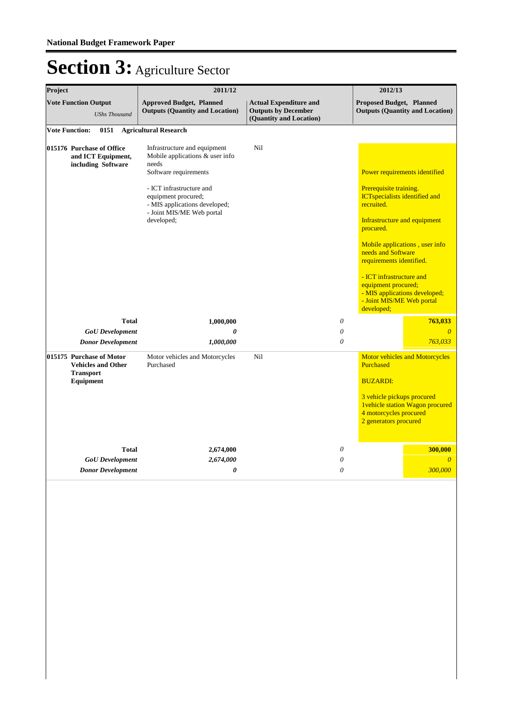| Project<br>2011/12<br><b>Vote Function Output</b><br><b>Approved Budget, Planned</b><br><b>Actual Expenditure and</b><br><b>Outputs (Quantity and Location)</b><br><b>Outputs by December</b><br><b>UShs Thousand</b><br>(Quantity and Location) |                                                                       |                                                                                                                                                                                                                                  | 2012/13 |                           |                                                                                                                                                                                                                                                                                                                                             |                                        |
|--------------------------------------------------------------------------------------------------------------------------------------------------------------------------------------------------------------------------------------------------|-----------------------------------------------------------------------|----------------------------------------------------------------------------------------------------------------------------------------------------------------------------------------------------------------------------------|---------|---------------------------|---------------------------------------------------------------------------------------------------------------------------------------------------------------------------------------------------------------------------------------------------------------------------------------------------------------------------------------------|----------------------------------------|
|                                                                                                                                                                                                                                                  |                                                                       |                                                                                                                                                                                                                                  |         |                           | <b>Proposed Budget, Planned</b><br><b>Outputs (Quantity and Location)</b>                                                                                                                                                                                                                                                                   |                                        |
| <b>Vote Function:</b>                                                                                                                                                                                                                            | 0151                                                                  | <b>Agricultural Research</b>                                                                                                                                                                                                     |         |                           |                                                                                                                                                                                                                                                                                                                                             |                                        |
|                                                                                                                                                                                                                                                  | 015176 Purchase of Office<br>and ICT Equipment,<br>including Software | Infrastructure and equipment<br>Mobile applications & user info<br>needs<br>Software requirements<br>- ICT infrastructure and<br>equipment procured;<br>- MIS applications developed;<br>- Joint MIS/ME Web portal<br>developed; | Ni1     |                           | Power requirements identified<br>Prerequisite training.<br><b>ICTspecialists identified and</b><br>recruited.<br>Infrastructure and equipment<br>procured.<br>needs and Software<br>requirements identified.<br>- ICT infrastructure and<br>equipment procured;<br>- MIS applications developed;<br>- Joint MIS/ME Web portal<br>developed; | Mobile applications, user info         |
|                                                                                                                                                                                                                                                  | <b>Total</b>                                                          | 1,000,000                                                                                                                                                                                                                        |         | $\boldsymbol{\mathit{0}}$ |                                                                                                                                                                                                                                                                                                                                             | 763,033                                |
|                                                                                                                                                                                                                                                  | <b>GoU</b> Development                                                | 0                                                                                                                                                                                                                                |         | $\boldsymbol{\mathit{0}}$ |                                                                                                                                                                                                                                                                                                                                             | $\theta$                               |
|                                                                                                                                                                                                                                                  | <b>Donor Development</b>                                              | 1,000,000                                                                                                                                                                                                                        |         | $\boldsymbol{\theta}$     |                                                                                                                                                                                                                                                                                                                                             | 763,033                                |
| 015175 Purchase of Motor<br><b>Vehicles and Other</b><br><b>Transport</b><br><b>Equipment</b>                                                                                                                                                    |                                                                       | Motor vehicles and Motorcycles<br>Purchased                                                                                                                                                                                      | Nil     |                           | Purchased<br><b>BUZARDI:</b><br>3 vehicle pickups procured                                                                                                                                                                                                                                                                                  | <b>Motor vehicles and Motorcycles</b>  |
|                                                                                                                                                                                                                                                  |                                                                       |                                                                                                                                                                                                                                  |         |                           | 4 motorcycles procured<br>2 generators procured                                                                                                                                                                                                                                                                                             | <b>1vehicle station Wagon procured</b> |
|                                                                                                                                                                                                                                                  | <b>Total</b>                                                          | 2,674,000                                                                                                                                                                                                                        |         | $\boldsymbol{\mathit{0}}$ |                                                                                                                                                                                                                                                                                                                                             | 300,000                                |
|                                                                                                                                                                                                                                                  | <b>GoU</b> Development                                                | 2,674,000                                                                                                                                                                                                                        |         | $\boldsymbol{\theta}$     |                                                                                                                                                                                                                                                                                                                                             | $\theta$                               |
|                                                                                                                                                                                                                                                  | <b>Donor Development</b>                                              | 0                                                                                                                                                                                                                                |         | $\boldsymbol{\theta}$     |                                                                                                                                                                                                                                                                                                                                             | 300,000                                |
|                                                                                                                                                                                                                                                  |                                                                       |                                                                                                                                                                                                                                  |         |                           |                                                                                                                                                                                                                                                                                                                                             |                                        |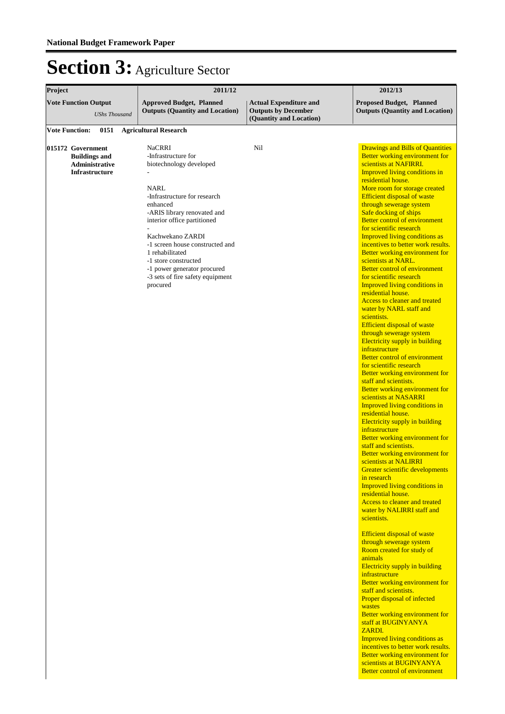| Project                                                                              | 2011/12                                                                                                                                                                                                                                                                                                                                                            | 2012/13                                                                                |                                                                                                                                                                                                                                                                                                                                                                                                                                                                                                                                                                                                                                                                                                                                                                                                                                                                                                                                                                                                                                                                                                                                                                                                                                                                                                                                                                                                                                                                                                                                                                                                                                                                                                                                                                                                                                                                                                                                                                                                       |  |  |
|--------------------------------------------------------------------------------------|--------------------------------------------------------------------------------------------------------------------------------------------------------------------------------------------------------------------------------------------------------------------------------------------------------------------------------------------------------------------|----------------------------------------------------------------------------------------|-------------------------------------------------------------------------------------------------------------------------------------------------------------------------------------------------------------------------------------------------------------------------------------------------------------------------------------------------------------------------------------------------------------------------------------------------------------------------------------------------------------------------------------------------------------------------------------------------------------------------------------------------------------------------------------------------------------------------------------------------------------------------------------------------------------------------------------------------------------------------------------------------------------------------------------------------------------------------------------------------------------------------------------------------------------------------------------------------------------------------------------------------------------------------------------------------------------------------------------------------------------------------------------------------------------------------------------------------------------------------------------------------------------------------------------------------------------------------------------------------------------------------------------------------------------------------------------------------------------------------------------------------------------------------------------------------------------------------------------------------------------------------------------------------------------------------------------------------------------------------------------------------------------------------------------------------------------------------------------------------------|--|--|
| <b>Vote Function Output</b><br><b>UShs Thousand</b>                                  | <b>Approved Budget, Planned</b><br><b>Outputs (Quantity and Location)</b>                                                                                                                                                                                                                                                                                          | <b>Actual Expenditure and</b><br><b>Outputs by December</b><br>(Quantity and Location) | <b>Proposed Budget, Planned</b><br><b>Outputs (Quantity and Location)</b>                                                                                                                                                                                                                                                                                                                                                                                                                                                                                                                                                                                                                                                                                                                                                                                                                                                                                                                                                                                                                                                                                                                                                                                                                                                                                                                                                                                                                                                                                                                                                                                                                                                                                                                                                                                                                                                                                                                             |  |  |
| <b>Vote Function:</b><br>0151                                                        | <b>Agricultural Research</b>                                                                                                                                                                                                                                                                                                                                       |                                                                                        |                                                                                                                                                                                                                                                                                                                                                                                                                                                                                                                                                                                                                                                                                                                                                                                                                                                                                                                                                                                                                                                                                                                                                                                                                                                                                                                                                                                                                                                                                                                                                                                                                                                                                                                                                                                                                                                                                                                                                                                                       |  |  |
| 015172 Government<br><b>Buildings and</b><br>Administrative<br><b>Infrastructure</b> | <b>NaCRRI</b><br>-Infrastructure for<br>biotechnology developed<br>NARL<br>-Infrastructure for research<br>enhanced<br>-ARIS library renovated and<br>interior office partitioned<br>Kachwekano ZARDI<br>-1 screen house constructed and<br>1 rehabilitated<br>-1 store constructed<br>-1 power generator procured<br>-3 sets of fire safety equipment<br>procured | Nil                                                                                    | <b>Drawings and Bills of Quantities</b><br>Better working environment for<br>scientists at NAFIRRI.<br><b>Improved living conditions in</b><br>residential house.<br>More room for storage created<br><b>Efficient disposal of waste</b><br>through sewerage system<br>Safe docking of ships<br><b>Better control of environment</b><br>for scientific research<br>Improved living conditions as<br>incentives to better work results.<br>Better working environment for<br>scientists at NARL.<br><b>Better control of environment</b><br>for scientific research<br><b>Improved living conditions in</b><br>residential house.<br><b>Access to cleaner and treated</b><br>water by NARL staff and<br>scientists.<br><b>Efficient disposal of waste</b><br>through sewerage system<br><b>Electricity supply in building</b><br>infrastructure<br><b>Better control of environment</b><br>for scientific research<br>Better working environment for<br>staff and scientists.<br>Better working environment for<br>scientists at NASARRI<br><b>Improved living conditions in</b><br>residential house.<br><b>Electricity supply in building</b><br>infrastructure<br>Better working environment for<br>staff and scientists.<br>Better working environment for<br>scientists at NALIRRI<br>Greater scientific developments<br>in research<br>Improved living conditions in<br>residential house.<br>Access to cleaner and treated<br>water by NALIRRI staff and<br>scientists.<br><b>Efficient disposal of waste</b><br>through sewerage system<br>Room created for study of<br>animals<br>Electricity supply in building<br>infrastructure<br>Better working environment for<br>staff and scientists.<br>Proper disposal of infected<br>wastes<br>Better working environment for<br>staff at BUGINYANYA<br>ZARDI.<br><b>Improved living conditions as</b><br>incentives to better work results.<br>Better working environment for<br>scientists at BUGINYANYA<br><b>Better control of environment</b> |  |  |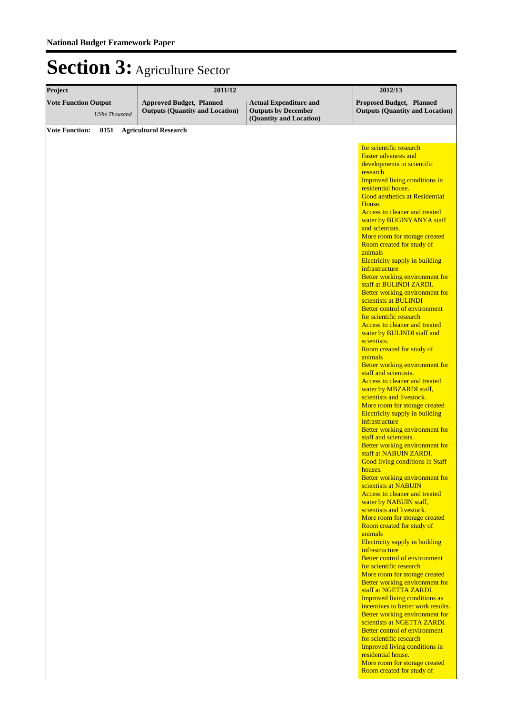| Project                                             |                                                                           |                                                             | 2012/13                                                                                                                                                                                                                                                                                                                                                                                                                                                                                                                                                                                                                   |  |  |
|-----------------------------------------------------|---------------------------------------------------------------------------|-------------------------------------------------------------|---------------------------------------------------------------------------------------------------------------------------------------------------------------------------------------------------------------------------------------------------------------------------------------------------------------------------------------------------------------------------------------------------------------------------------------------------------------------------------------------------------------------------------------------------------------------------------------------------------------------------|--|--|
| <b>Vote Function Output</b><br><b>UShs Thousand</b> | <b>Approved Budget, Planned</b><br><b>Outputs (Quantity and Location)</b> | <b>Actual Expenditure and</b><br><b>Outputs by December</b> | Proposed Budget, Planned<br><b>Outputs (Quantity and Location)</b>                                                                                                                                                                                                                                                                                                                                                                                                                                                                                                                                                        |  |  |
| <b>Vote Function:</b><br>0151                       | 2011/12<br><b>Agricultural Research</b>                                   | (Quantity and Location)                                     | for scientific research<br><b>Faster advances and</b><br>developments in scientific<br>research<br>Improved living conditions in<br>residential house.<br><b>Good aesthetics at Residential</b><br>House.<br>Access to cleaner and treated<br>water by BUGINYANYA staff<br>and scientists.<br>More room for storage created<br>Room created for study of<br>animals<br>Electricity supply in building<br>infrastructure<br>Better working environment for<br>staff at BULINDI ZARDI.<br><b>Better working environment for</b><br>scientists at BULINDI<br><b>Better control of environment</b><br>for scientific research |  |  |
|                                                     |                                                                           |                                                             | <b>Access to cleaner and treated</b><br>water by BULINDI staff and<br>scientists.<br>Room created for study of<br>animals<br>Better working environment for<br>staff and scientists.<br>Access to cleaner and treated<br>water by MBZARDI staff,<br>scientists and livestock.<br>More room for storage created<br><b>Electricity supply in building</b><br>infrastructure                                                                                                                                                                                                                                                 |  |  |
|                                                     |                                                                           |                                                             | Better working environment for<br>staff and scientists.<br>Better working environment for<br>staff at NABUIN ZARDI.<br><b>Good living conditions in Staff</b><br>houses.<br>Better working environment for<br>scientists at NABUIN<br>Access to cleaner and treated<br>water by NABUIN staff,                                                                                                                                                                                                                                                                                                                             |  |  |
|                                                     |                                                                           |                                                             | scientists and livestock.<br>More room for storage created<br>Room created for study of<br>animals<br>Electricity supply in building<br>infrastructure<br><b>Better control of environment</b><br>for scientific research<br>More room for storage created                                                                                                                                                                                                                                                                                                                                                                |  |  |
|                                                     |                                                                           |                                                             | Better working environment for<br>staff at NGETTA ZARDI.<br>Improved living conditions as<br>incentives to better work results.<br>Better working environment for<br>scientists at NGETTA ZARDI.<br><b>Better control of environment</b><br>for scientific research<br>Improved living conditions in<br>residential house.<br>More room for storage created<br>Room created for study of                                                                                                                                                                                                                                  |  |  |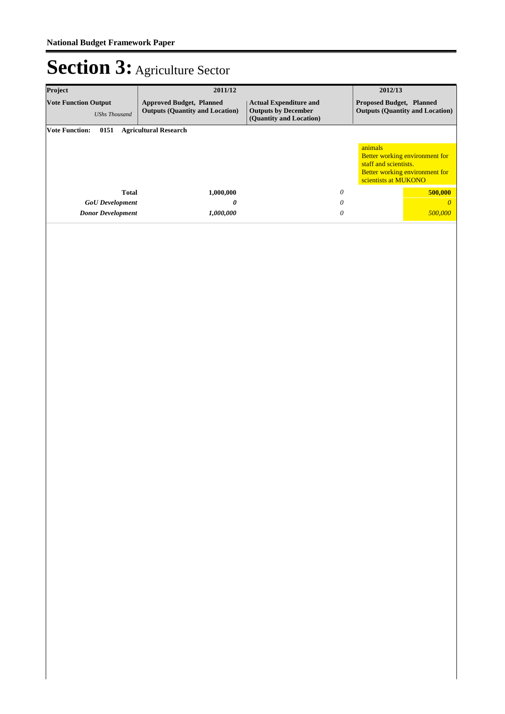| Project<br>2011/12                                  |                                                                           |                                                                                        | 2012/13                                                                                                                      |
|-----------------------------------------------------|---------------------------------------------------------------------------|----------------------------------------------------------------------------------------|------------------------------------------------------------------------------------------------------------------------------|
| <b>Vote Function Output</b><br><b>UShs Thousand</b> | <b>Approved Budget, Planned</b><br><b>Outputs (Quantity and Location)</b> | <b>Actual Expenditure and</b><br><b>Outputs by December</b><br>(Quantity and Location) | Proposed Budget, Planned<br><b>Outputs (Quantity and Location)</b>                                                           |
| 0151<br><b>Vote Function:</b>                       | <b>Agricultural Research</b>                                              |                                                                                        |                                                                                                                              |
|                                                     |                                                                           |                                                                                        | animals<br>Better working environment for<br>staff and scientists.<br>Better working environment for<br>scientists at MUKONO |
| <b>Total</b>                                        | 1,000,000                                                                 | $\boldsymbol{\mathit{0}}$                                                              | 500,000                                                                                                                      |
| <b>GoU</b> Development                              | $\pmb{\theta}$                                                            | $\boldsymbol{\mathit{0}}$                                                              | $\pmb{o}$                                                                                                                    |
| <b>Donor Development</b>                            | 1,000,000                                                                 | ${\cal O}$                                                                             | 500,000                                                                                                                      |
|                                                     |                                                                           |                                                                                        |                                                                                                                              |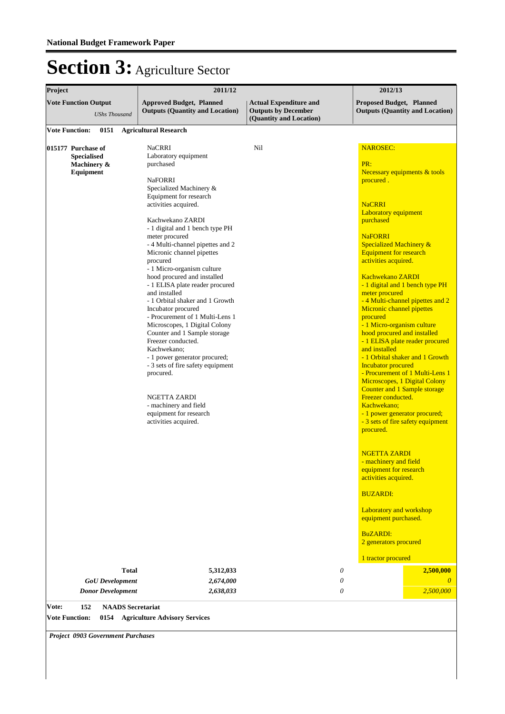| Project               |                                                                      |                          | 2011/12                                                                                                                                                                                                                                                                                                                                                                                                                                                                                                                                                                                                                                                                                                                                                                                                               |                                                                                        |                           | 2012/13                                                                                                                                                                                                                                                                                                                                                                                                                                                                                                                                                                                                                                                                                                                                                                                                                                                                                                                                                                                                                                                                                      |
|-----------------------|----------------------------------------------------------------------|--------------------------|-----------------------------------------------------------------------------------------------------------------------------------------------------------------------------------------------------------------------------------------------------------------------------------------------------------------------------------------------------------------------------------------------------------------------------------------------------------------------------------------------------------------------------------------------------------------------------------------------------------------------------------------------------------------------------------------------------------------------------------------------------------------------------------------------------------------------|----------------------------------------------------------------------------------------|---------------------------|----------------------------------------------------------------------------------------------------------------------------------------------------------------------------------------------------------------------------------------------------------------------------------------------------------------------------------------------------------------------------------------------------------------------------------------------------------------------------------------------------------------------------------------------------------------------------------------------------------------------------------------------------------------------------------------------------------------------------------------------------------------------------------------------------------------------------------------------------------------------------------------------------------------------------------------------------------------------------------------------------------------------------------------------------------------------------------------------|
|                       | <b>Vote Function Output</b>                                          | <b>UShs Thousand</b>     | <b>Approved Budget, Planned</b><br><b>Outputs (Quantity and Location)</b>                                                                                                                                                                                                                                                                                                                                                                                                                                                                                                                                                                                                                                                                                                                                             | <b>Actual Expenditure and</b><br><b>Outputs by December</b><br>(Quantity and Location) |                           | Proposed Budget, Planned<br><b>Outputs (Quantity and Location)</b>                                                                                                                                                                                                                                                                                                                                                                                                                                                                                                                                                                                                                                                                                                                                                                                                                                                                                                                                                                                                                           |
| <b>Vote Function:</b> |                                                                      | 0151                     | <b>Agricultural Research</b>                                                                                                                                                                                                                                                                                                                                                                                                                                                                                                                                                                                                                                                                                                                                                                                          |                                                                                        |                           |                                                                                                                                                                                                                                                                                                                                                                                                                                                                                                                                                                                                                                                                                                                                                                                                                                                                                                                                                                                                                                                                                              |
|                       | 015177 Purchase of<br><b>Specialised</b><br>Machinery &<br>Equipment | <b>Total</b>             | <b>NaCRRI</b><br>Laboratory equipment<br>purchased<br><b>NaFORRI</b><br>Specialized Machinery &<br>Equipment for research<br>activities acquired.<br>Kachwekano ZARDI<br>- 1 digital and 1 bench type PH<br>meter procured<br>- 4 Multi-channel pipettes and 2<br>Micronic channel pipettes<br>procured<br>- 1 Micro-organism culture<br>hood procured and installed<br>- 1 ELISA plate reader procured<br>and installed<br>- 1 Orbital shaker and 1 Growth<br>Incubator procured<br>- Procurement of 1 Multi-Lens 1<br>Microscopes, 1 Digital Colony<br>Counter and 1 Sample storage<br>Freezer conducted.<br>Kachwekano:<br>- 1 power generator procured;<br>- 3 sets of fire safety equipment<br>procured.<br>NGETTA ZARDI<br>- machinery and field<br>equipment for research<br>activities acquired.<br>5,312,033 | Nil                                                                                    | $\boldsymbol{\mathit{0}}$ | <b>NAROSEC:</b><br>PR:<br>Necessary equipments & tools<br>procured.<br><b>NaCRRI</b><br><b>Laboratory equipment</b><br>purchased<br><b>NaFORRI</b><br>Specialized Machinery &<br><b>Equipment for research</b><br>activities acquired.<br><b>Kachwekano ZARDI</b><br>- 1 digital and 1 bench type PH<br>meter procured<br>- 4 Multi-channel pipettes and 2<br><b>Micronic channel pipettes</b><br>procured<br>- 1 Micro-organism culture<br>hood procured and installed<br>- 1 ELISA plate reader procured<br>and installed<br>- 1 Orbital shaker and 1 Growth<br><b>Incubator procured</b><br>- Procurement of 1 Multi-Lens 1<br>Microscopes, 1 Digital Colony<br><b>Counter and 1 Sample storage</b><br>Freezer conducted.<br>Kachwekano;<br>- 1 power generator procured;<br>- 3 sets of fire safety equipment<br>procured.<br><b>NGETTA ZARDI</b><br>- machinery and field<br>equipment for research<br>activities acquired.<br><b>BUZARDI:</b><br><b>Laboratory and workshop</b><br>equipment purchased.<br><b>BuZARDI:</b><br>2 generators procured<br>1 tractor procured<br>2,500,000 |
|                       |                                                                      | <b>GoU</b> Development   | 2,674,000                                                                                                                                                                                                                                                                                                                                                                                                                                                                                                                                                                                                                                                                                                                                                                                                             |                                                                                        | 0                         | $\theta$                                                                                                                                                                                                                                                                                                                                                                                                                                                                                                                                                                                                                                                                                                                                                                                                                                                                                                                                                                                                                                                                                     |
|                       |                                                                      | <b>Donor Development</b> | 2,638,033                                                                                                                                                                                                                                                                                                                                                                                                                                                                                                                                                                                                                                                                                                                                                                                                             |                                                                                        | $\boldsymbol{\mathit{0}}$ | 2,500,000                                                                                                                                                                                                                                                                                                                                                                                                                                                                                                                                                                                                                                                                                                                                                                                                                                                                                                                                                                                                                                                                                    |
| Vote:                 | 152                                                                  | <b>NAADS</b> Secretariat |                                                                                                                                                                                                                                                                                                                                                                                                                                                                                                                                                                                                                                                                                                                                                                                                                       |                                                                                        |                           |                                                                                                                                                                                                                                                                                                                                                                                                                                                                                                                                                                                                                                                                                                                                                                                                                                                                                                                                                                                                                                                                                              |

**Vote Function: 0154 Agriculture Advisory Services**

*Project 0903 Government Purchases*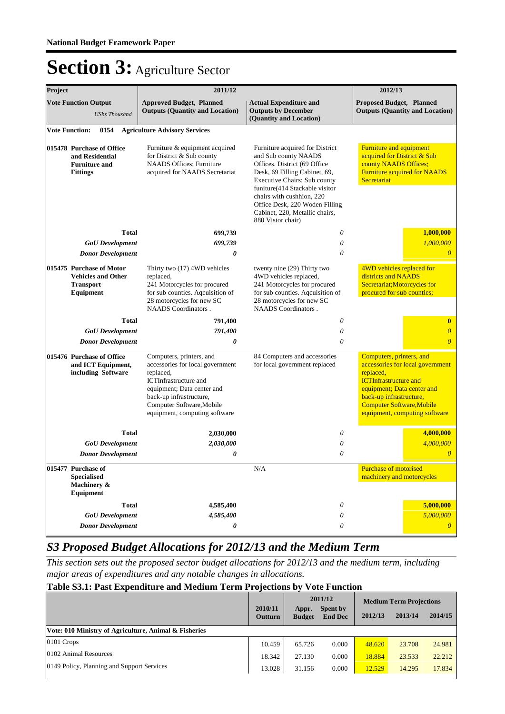| Project                                                                                 |                                                                                        | 2011/12                                                                                                                                                                                                                          | 2012/13                                                                                                                                                                                                                                                                                                           |                                                                                                                                                                                                                                         |
|-----------------------------------------------------------------------------------------|----------------------------------------------------------------------------------------|----------------------------------------------------------------------------------------------------------------------------------------------------------------------------------------------------------------------------------|-------------------------------------------------------------------------------------------------------------------------------------------------------------------------------------------------------------------------------------------------------------------------------------------------------------------|-----------------------------------------------------------------------------------------------------------------------------------------------------------------------------------------------------------------------------------------|
|                                                                                         | <b>Vote Function Output</b><br><b>UShs Thousand</b>                                    | <b>Approved Budget, Planned</b><br><b>Outputs (Quantity and Location)</b>                                                                                                                                                        | <b>Actual Expenditure and</b><br><b>Outputs by December</b><br>(Quantity and Location)                                                                                                                                                                                                                            | Proposed Budget, Planned<br><b>Outputs (Quantity and Location)</b>                                                                                                                                                                      |
|                                                                                         | <b>Vote Function:</b><br>0154                                                          | <b>Agriculture Advisory Services</b>                                                                                                                                                                                             |                                                                                                                                                                                                                                                                                                                   |                                                                                                                                                                                                                                         |
| 015478 Purchase of Office<br>and Residential<br><b>Furniture and</b><br><b>Fittings</b> |                                                                                        | Furniture & equipment acquired<br>for District & Sub county<br><b>NAADS Offices: Furniture</b><br>acquired for NAADS Secretariat                                                                                                 | Furniture acquired for District<br>and Sub county NAADS<br>Offices. District (69 Office)<br>Desk, 69 Filling Cabinet, 69,<br>Executive Chairs; Sub county<br>funiture(414 Stackable visitor<br>chairs with cushhion, 220<br>Office Desk, 220 Woden Filling<br>Cabinet, 220, Metallic chairs,<br>880 Vistor chair) | Furniture and equipment<br>acquired for District & Sub<br>county NAADS Offices;<br><b>Furniture acquired for NAADS</b><br>Secretariat                                                                                                   |
|                                                                                         | <b>Total</b>                                                                           | 699,739                                                                                                                                                                                                                          | $\theta$                                                                                                                                                                                                                                                                                                          | 1,000,000                                                                                                                                                                                                                               |
|                                                                                         | <b>GoU</b> Development                                                                 | 699,739                                                                                                                                                                                                                          | $\theta$                                                                                                                                                                                                                                                                                                          | 1,000,000                                                                                                                                                                                                                               |
|                                                                                         | <b>Donor Development</b>                                                               | 0                                                                                                                                                                                                                                | $\theta$                                                                                                                                                                                                                                                                                                          | $\boldsymbol{\theta}$                                                                                                                                                                                                                   |
|                                                                                         | 015475 Purchase of Motor<br><b>Vehicles and Other</b><br><b>Transport</b><br>Equipment | Thirty two (17) 4WD vehicles<br>replaced,<br>241 Motorcycles for procured<br>for sub counties. Aqcuisition of<br>28 motorcycles for new SC<br><b>NAADS</b> Coordinators.                                                         | twenty nine (29) Thirty two<br>4WD vehicles replaced,<br>241 Motorcycles for procured<br>for sub counties. Aqcuisition of<br>28 motorcycles for new SC<br>NAADS Coordinators.                                                                                                                                     | 4WD vehicles replaced for<br>districts and NAADS<br>Secretariat; Motorcycles for<br>procured for sub counties;                                                                                                                          |
|                                                                                         | <b>Total</b>                                                                           | 791,400                                                                                                                                                                                                                          | $\boldsymbol{\theta}$                                                                                                                                                                                                                                                                                             | $\bf{0}$                                                                                                                                                                                                                                |
|                                                                                         | <b>GoU</b> Development                                                                 | 791,400                                                                                                                                                                                                                          | $\theta$                                                                                                                                                                                                                                                                                                          | $\boldsymbol{0}$                                                                                                                                                                                                                        |
|                                                                                         | <b>Donor Development</b>                                                               | 0                                                                                                                                                                                                                                | $\theta$                                                                                                                                                                                                                                                                                                          | $\overline{0}$                                                                                                                                                                                                                          |
|                                                                                         | 015476 Purchase of Office<br>and ICT Equipment,<br>including Software                  | Computers, printers, and<br>accessories for local government<br>replaced,<br><b>ICTInfrastructure</b> and<br>equipment; Data center and<br>back-up infrastructure,<br>Computer Software, Mobile<br>equipment, computing software | 84 Computers and accessories<br>for local government replaced                                                                                                                                                                                                                                                     | Computers, printers, and<br>accessories for local government<br>replaced,<br><b>ICTInfrastructure and</b><br>equipment; Data center and<br>back-up infrastructure,<br><b>Computer Software, Mobile</b><br>equipment, computing software |
|                                                                                         | <b>Total</b>                                                                           | 2,030,000                                                                                                                                                                                                                        | $\theta$                                                                                                                                                                                                                                                                                                          | 4,000,000                                                                                                                                                                                                                               |
|                                                                                         | <b>GoU</b> Development                                                                 | 2,030,000                                                                                                                                                                                                                        | $\theta$                                                                                                                                                                                                                                                                                                          | 4,000,000                                                                                                                                                                                                                               |
|                                                                                         | <b>Donor Development</b>                                                               | 0                                                                                                                                                                                                                                | 0                                                                                                                                                                                                                                                                                                                 | $\overline{0}$                                                                                                                                                                                                                          |
|                                                                                         | 015477 Purchase of<br><b>Specialised</b><br>Machinery &<br>Equipment                   |                                                                                                                                                                                                                                  | N/A                                                                                                                                                                                                                                                                                                               | <b>Purchase of motorised</b><br>machinery and motorcycles                                                                                                                                                                               |
|                                                                                         | <b>Total</b>                                                                           | 4,585,400                                                                                                                                                                                                                        | $\theta$                                                                                                                                                                                                                                                                                                          | 5,000,000                                                                                                                                                                                                                               |
|                                                                                         | <b>GoU</b> Development                                                                 | 4,585,400                                                                                                                                                                                                                        | $\boldsymbol{\theta}$                                                                                                                                                                                                                                                                                             | 5,000,000                                                                                                                                                                                                                               |
|                                                                                         | <b>Donor Development</b>                                                               | 0                                                                                                                                                                                                                                | $\theta$                                                                                                                                                                                                                                                                                                          | $\boldsymbol{\theta}$                                                                                                                                                                                                                   |

### *S3 Proposed Budget Allocations for 2012/13 and the Medium Term*

*This section sets out the proposed sector budget allocations for 2012/13 and the medium term, including major areas of expenditures and any notable changes in allocations.* 

### **Table S3.1: Past Expenditure and Medium Term Projections by Vote Function**

|                                                       | 2010/11<br>Outturn | Appr.<br><b>Budget</b> | 2011/12<br>Spent by<br><b>End Dec</b> | <b>Medium Term Projections</b><br>2013/14<br>2012/13 |        | 2014/15 |
|-------------------------------------------------------|--------------------|------------------------|---------------------------------------|------------------------------------------------------|--------|---------|
| Vote: 010 Ministry of Agriculture, Animal & Fisheries |                    |                        |                                       |                                                      |        |         |
| 0101 Crops                                            | 10.459             | 65.726                 | 0.000                                 | 48.620                                               | 23.708 | 24.981  |
| 0102 Animal Resources                                 | 18.342             | 27.130                 | 0.000                                 | 18.884                                               | 23.533 | 22.212  |
| 0149 Policy, Planning and Support Services            | 13.028             | 31.156                 | 0.000                                 | 12.529                                               | 14.295 | 17.834  |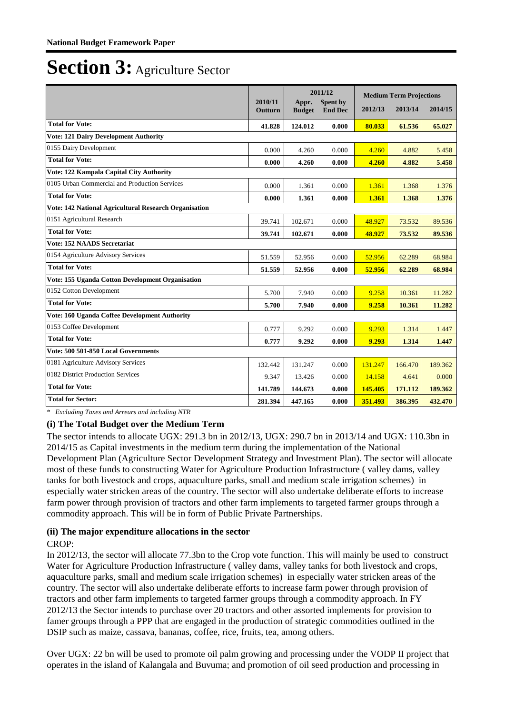|                                                       |                           |                        | 2011/12                    |         | <b>Medium Term Projections</b> |         |
|-------------------------------------------------------|---------------------------|------------------------|----------------------------|---------|--------------------------------|---------|
|                                                       | 2010/11<br><b>Outturn</b> | Appr.<br><b>Budget</b> | Spent by<br><b>End Dec</b> | 2012/13 | 2013/14                        | 2014/15 |
| <b>Total for Vote:</b>                                | 41.828                    | 124.012                | 0.000                      | 80.033  | 61.536                         | 65.027  |
| <b>Vote: 121 Dairy Development Authority</b>          |                           |                        |                            |         |                                |         |
| 0155 Dairy Development                                | 0.000                     | 4.260                  | 0.000                      | 4.260   | 4.882                          | 5.458   |
| <b>Total for Vote:</b>                                | 0.000                     | 4.260                  | 0.000                      | 4.260   | 4.882                          | 5.458   |
| Vote: 122 Kampala Capital City Authority              |                           |                        |                            |         |                                |         |
| 0105 Urban Commercial and Production Services         | 0.000                     | 1.361                  | 0.000                      | 1.361   | 1.368                          | 1.376   |
| <b>Total for Vote:</b>                                | 0.000                     | 1.361                  | 0.000                      | 1.361   | 1.368                          | 1.376   |
| Vote: 142 National Agricultural Research Organisation |                           |                        |                            |         |                                |         |
| 0151 Agricultural Research                            | 39.741                    | 102.671                | 0.000                      | 48.927  | 73.532                         | 89.536  |
| <b>Total for Vote:</b>                                | 39.741                    | 102.671                | 0.000                      | 48.927  | 73.532                         | 89.536  |
| <b>Vote: 152 NAADS Secretariat</b>                    |                           |                        |                            |         |                                |         |
| 0154 Agriculture Advisory Services                    | 51.559                    | 52.956                 | 0.000                      | 52.956  | 62.289                         | 68.984  |
| <b>Total for Vote:</b>                                | 51.559                    | 52.956                 | 0.000                      | 52.956  | 62.289                         | 68.984  |
| Vote: 155 Uganda Cotton Development Organisation      |                           |                        |                            |         |                                |         |
| 0152 Cotton Development                               | 5.700                     | 7.940                  | 0.000                      | 9.258   | 10.361                         | 11.282  |
| <b>Total for Vote:</b>                                | 5.700                     | 7.940                  | 0.000                      | 9.258   | 10.361                         | 11.282  |
| Vote: 160 Uganda Coffee Development Authority         |                           |                        |                            |         |                                |         |
| 0153 Coffee Development                               | 0.777                     | 9.292                  | 0.000                      | 9.293   | 1.314                          | 1.447   |
| <b>Total for Vote:</b>                                | 0.777                     | 9.292                  | 0.000                      | 9.293   | 1.314                          | 1.447   |
| Vote: 500 501-850 Local Governments                   |                           |                        |                            |         |                                |         |
| 0181 Agriculture Advisory Services                    | 132.442                   | 131.247                | 0.000                      | 131.247 | 166.470                        | 189.362 |
| 0182 District Production Services                     | 9.347                     | 13.426                 | 0.000                      | 14.158  | 4.641                          | 0.000   |
| <b>Total for Vote:</b>                                | 141.789                   | 144.673                | 0.000                      | 145.405 | 171.112                        | 189.362 |
| <b>Total for Sector:</b>                              | 281.394                   | 447.165                | 0.000                      | 351.493 | 386.395                        | 432.470 |

*\* Excluding Taxes and Arrears and including NTR*

#### **(i) The Total Budget over the Medium Term**

The sector intends to allocate UGX: 291.3 bn in 2012/13, UGX: 290.7 bn in 2013/14 and UGX: 110.3bn in 2014/15 as Capital investments in the medium term during the implementation of the National Development Plan (Agriculture Sector Development Strategy and Investment Plan). The sector will allocate most of these funds to constructing Water for Agriculture Production Infrastructure ( valley dams, valley tanks for both livestock and crops, aquaculture parks, small and medium scale irrigation schemes) in especially water stricken areas of the country. The sector will also undertake deliberate efforts to increase farm power through provision of tractors and other farm implements to targeted farmer groups through a commodity approach. This will be in form of Public Private Partnerships.

### **(ii) The major expenditure allocations in the sector**

### CROP:

In 2012/13, the sector will allocate 77.3bn to the Crop vote function. This will mainly be used to construct Water for Agriculture Production Infrastructure ( valley dams, valley tanks for both livestock and crops, aquaculture parks, small and medium scale irrigation schemes) in especially water stricken areas of the country. The sector will also undertake deliberate efforts to increase farm power through provision of tractors and other farm implements to targeted farmer groups through a commodity approach. In FY 2012/13 the Sector intends to purchase over 20 tractors and other assorted implements for provision to famer groups through a PPP that are engaged in the production of strategic commodities outlined in the DSIP such as maize, cassava, bananas, coffee, rice, fruits, tea, among others.

Over UGX: 22 bn will be used to promote oil palm growing and processing under the VODP II project that operates in the island of Kalangala and Buvuma; and promotion of oil seed production and processing in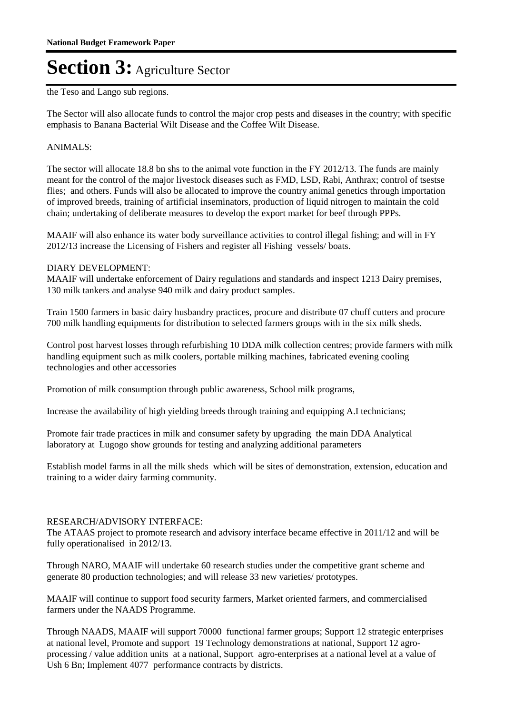the Teso and Lango sub regions.

The Sector will also allocate funds to control the major crop pests and diseases in the country; with specific emphasis to Banana Bacterial Wilt Disease and the Coffee Wilt Disease.

#### ANIMALS:

The sector will allocate 18.8 bn shs to the animal vote function in the FY 2012/13. The funds are mainly meant for the control of the major livestock diseases such as FMD, LSD, Rabi, Anthrax; control of tsestse flies; and others. Funds will also be allocated to improve the country animal genetics through importation of improved breeds, training of artificial inseminators, production of liquid nitrogen to maintain the cold chain; undertaking of deliberate measures to develop the export market for beef through PPPs.

MAAIF will also enhance its water body surveillance activities to control illegal fishing; and will in FY 2012/13 increase the Licensing of Fishers and register all Fishing vessels/ boats.

#### DIARY DEVELOPMENT:

MAAIF will undertake enforcement of Dairy regulations and standards and inspect 1213 Dairy premises, 130 milk tankers and analyse 940 milk and dairy product samples.

Train 1500 farmers in basic dairy husbandry practices, procure and distribute 07 chuff cutters and procure 700 milk handling equipments for distribution to selected farmers groups with in the six milk sheds.

Control post harvest losses through refurbishing 10 DDA milk collection centres; provide farmers with milk handling equipment such as milk coolers, portable milking machines, fabricated evening cooling technologies and other accessories

Promotion of milk consumption through public awareness, School milk programs,

Increase the availability of high yielding breeds through training and equipping A.I technicians;

Promote fair trade practices in milk and consumer safety by upgrading the main DDA Analytical laboratory at Lugogo show grounds for testing and analyzing additional parameters

Establish model farms in all the milk sheds which will be sites of demonstration, extension, education and training to a wider dairy farming community.

#### RESEARCH/ADVISORY INTERFACE:

The ATAAS project to promote research and advisory interface became effective in 2011/12 and will be fully operationalised in 2012/13.

Through NARO, MAAIF will undertake 60 research studies under the competitive grant scheme and generate 80 production technologies; and will release 33 new varieties/ prototypes.

MAAIF will continue to support food security farmers, Market oriented farmers, and commercialised farmers under the NAADS Programme.

Through NAADS, MAAIF will support 70000 functional farmer groups; Support 12 strategic enterprises at national level, Promote and support 19 Technology demonstrations at national, Support 12 agroprocessing / value addition units at a national, Support agro-enterprises at a national level at a value of Ush 6 Bn; Implement 4077 performance contracts by districts.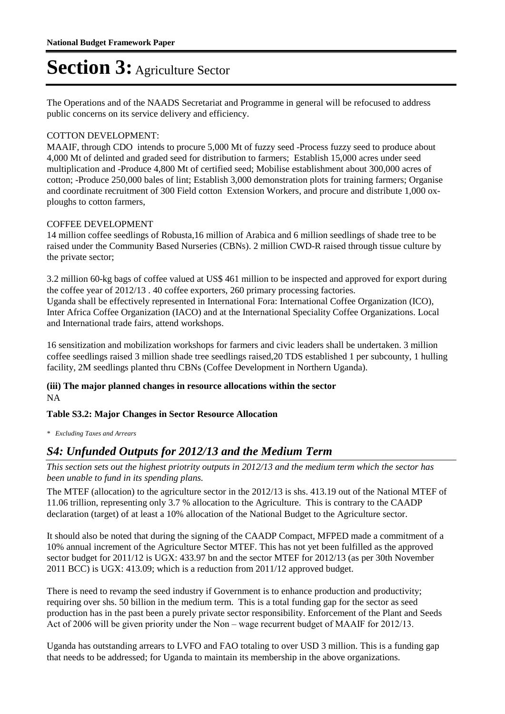The Operations and of the NAADS Secretariat and Programme in general will be refocused to address public concerns on its service delivery and efficiency.

### COTTON DEVELOPMENT:

MAAIF, through CDO intends to procure 5,000 Mt of fuzzy seed -Process fuzzy seed to produce about 4,000 Mt of delinted and graded seed for distribution to farmers; Establish 15,000 acres under seed multiplication and -Produce 4,800 Mt of certified seed; Mobilise establishment about 300,000 acres of cotton; -Produce 250,000 bales of lint; Establish 3,000 demonstration plots for training farmers; Organise and coordinate recruitment of 300 Field cotton Extension Workers, and procure and distribute 1,000 oxploughs to cotton farmers,

### COFFEE DEVELOPMENT

14 million coffee seedlings of Robusta,16 million of Arabica and 6 million seedlings of shade tree to be raised under the Community Based Nurseries (CBNs). 2 million CWD-R raised through tissue culture by the private sector;

3.2 million 60-kg bags of coffee valued at US\$ 461 million to be inspected and approved for export during the coffee year of 2012/13 . 40 coffee exporters, 260 primary processing factories. Uganda shall be effectively represented in International Fora: International Coffee Organization (ICO), Inter Africa Coffee Organization (IACO) and at the International Speciality Coffee Organizations. Local and International trade fairs, attend workshops.

16 sensitization and mobilization workshops for farmers and civic leaders shall be undertaken. 3 million coffee seedlings raised 3 million shade tree seedlings raised,20 TDS established 1 per subcounty, 1 hulling facility, 2M seedlings planted thru CBNs (Coffee Development in Northern Uganda).

### **(iii) The major planned changes in resource allocations within the sector** NA

### **Table S3.2: Major Changes in Sector Resource Allocation**

*\* Excluding Taxes and Arrears*

### *S4: Unfunded Outputs for 2012/13 and the Medium Term*

*This section sets out the highest priotrity outputs in 2012/13 and the medium term which the sector has been unable to fund in its spending plans.*

The MTEF (allocation) to the agriculture sector in the 2012/13 is shs. 413.19 out of the National MTEF of 11.06 trillion, representing only 3.7 % allocation to the Agriculture. This is contrary to the CAADP declaration (target) of at least a 10% allocation of the National Budget to the Agriculture sector.

It should also be noted that during the signing of the CAADP Compact, MFPED made a commitment of a 10% annual increment of the Agriculture Sector MTEF. This has not yet been fulfilled as the approved sector budget for 2011/12 is UGX: 433.97 bn and the sector MTEF for 2012/13 (as per 30th November 2011 BCC) is UGX: 413.09; which is a reduction from 2011/12 approved budget.

There is need to revamp the seed industry if Government is to enhance production and productivity; requiring over shs. 50 billion in the medium term. This is a total funding gap for the sector as seed production has in the past been a purely private sector responsibility. Enforcement of the Plant and Seeds Act of 2006 will be given priority under the Non – wage recurrent budget of MAAIF for 2012/13.

Uganda has outstanding arrears to LVFO and FAO totaling to over USD 3 million. This is a funding gap that needs to be addressed; for Uganda to maintain its membership in the above organizations.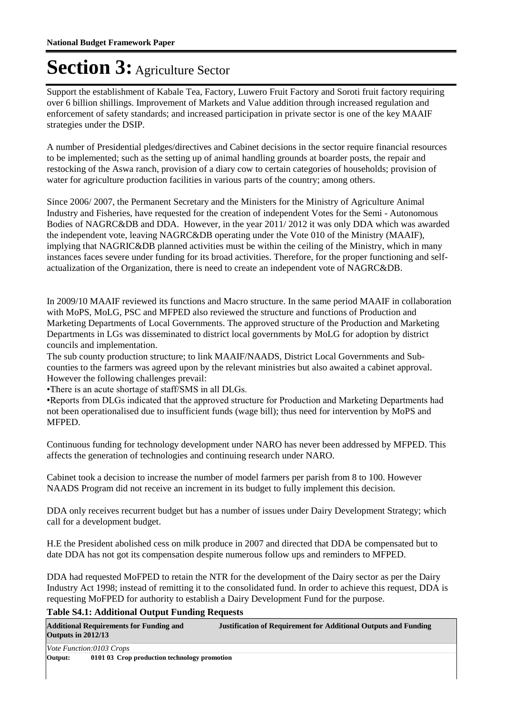Support the establishment of Kabale Tea, Factory, Luwero Fruit Factory and Soroti fruit factory requiring over 6 billion shillings. Improvement of Markets and Value addition through increased regulation and enforcement of safety standards; and increased participation in private sector is one of the key MAAIF strategies under the DSIP.

A number of Presidential pledges/directives and Cabinet decisions in the sector require financial resources to be implemented; such as the setting up of animal handling grounds at boarder posts, the repair and restocking of the Aswa ranch, provision of a diary cow to certain categories of households; provision of water for agriculture production facilities in various parts of the country; among others.

Since 2006/ 2007, the Permanent Secretary and the Ministers for the Ministry of Agriculture Animal Industry and Fisheries, have requested for the creation of independent Votes for the Semi - Autonomous Bodies of NAGRC&DB and DDA. However, in the year 2011/ 2012 it was only DDA which was awarded the independent vote, leaving NAGRC&DB operating under the Vote 010 of the Ministry (MAAIF), implying that NAGRIC&DB planned activities must be within the ceiling of the Ministry, which in many instances faces severe under funding for its broad activities. Therefore, for the proper functioning and selfactualization of the Organization, there is need to create an independent vote of NAGRC&DB.

In 2009/10 MAAIF reviewed its functions and Macro structure. In the same period MAAIF in collaboration with MoPS, MoLG, PSC and MFPED also reviewed the structure and functions of Production and Marketing Departments of Local Governments. The approved structure of the Production and Marketing Departments in LGs was disseminated to district local governments by MoLG for adoption by district councils and implementation.

The sub county production structure; to link MAAIF/NAADS, District Local Governments and Subcounties to the farmers was agreed upon by the relevant ministries but also awaited a cabinet approval. However the following challenges prevail:

• There is an acute shortage of staff/SMS in all DLGs.

• Reports from DLGs indicated that the approved structure for Production and Marketing Departments had not been operationalised due to insufficient funds (wage bill); thus need for intervention by MoPS and MFPED.

Continuous funding for technology development under NARO has never been addressed by MFPED. This affects the generation of technologies and continuing research under NARO.

Cabinet took a decision to increase the number of model farmers per parish from 8 to 100. However NAADS Program did not receive an increment in its budget to fully implement this decision.

DDA only receives recurrent budget but has a number of issues under Dairy Development Strategy; which call for a development budget.

H.E the President abolished cess on milk produce in 2007 and directed that DDA be compensated but to date DDA has not got its compensation despite numerous follow ups and reminders to MFPED.

DDA had requested MoFPED to retain the NTR for the development of the Dairy sector as per the Dairy Industry Act 1998; instead of remitting it to the consolidated fund. In order to achieve this request, DDA is requesting MoFPED for authority to establish a Dairy Development Fund for the purpose.

**Table S4.1: Additional Output Funding Requests**

| <b>Outputs in 2012/13</b> | <b>Additional Requirements for Funding and</b> |  | <b>Justification of Requirement for Additional Outputs and Funding</b> |
|---------------------------|------------------------------------------------|--|------------------------------------------------------------------------|
|                           | Vote Function:0103 Crops                       |  |                                                                        |
| $\Omega$ utnut $\cdot$    | 0101.03 Crop production technology promotion   |  |                                                                        |

01 03 Crop production technology promotion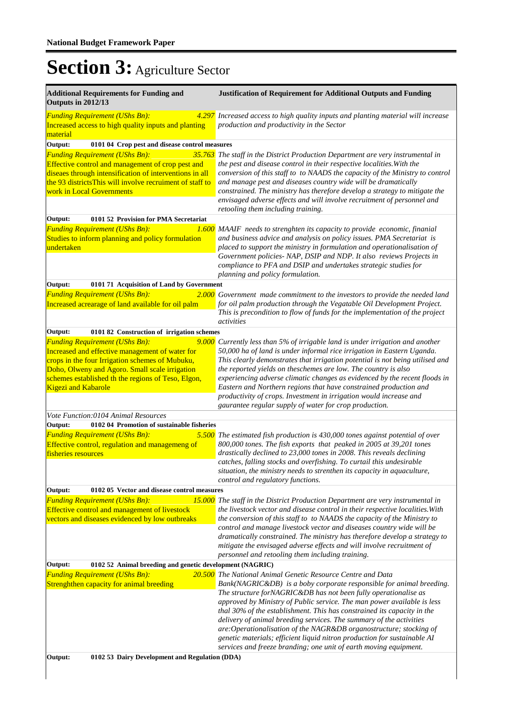| <b>Justification of Requirement for Additional Outputs and Funding</b>                                                                                                                                                                                                                                                                                                                                                                                                                                                                                                                                                                                                                                              |  |  |  |  |  |
|---------------------------------------------------------------------------------------------------------------------------------------------------------------------------------------------------------------------------------------------------------------------------------------------------------------------------------------------------------------------------------------------------------------------------------------------------------------------------------------------------------------------------------------------------------------------------------------------------------------------------------------------------------------------------------------------------------------------|--|--|--|--|--|
| 4.297 Increased access to high quality inputs and planting material will increase<br>production and productivity in the Sector                                                                                                                                                                                                                                                                                                                                                                                                                                                                                                                                                                                      |  |  |  |  |  |
| 0101 04 Crop pest and disease control measures                                                                                                                                                                                                                                                                                                                                                                                                                                                                                                                                                                                                                                                                      |  |  |  |  |  |
| The staff in the District Production Department are very instrumental in<br>the pest and disease control in their respective localities. With the<br>conversion of this staff to to NAADS the capacity of the Ministry to control<br>and manage pest and diseases country wide will be dramatically<br>constrained. The ministry has therefore develop a strategy to mitigate the<br>envisaged adverse effects and will involve recruitment of personnel and<br>retooling them including training.                                                                                                                                                                                                                  |  |  |  |  |  |
|                                                                                                                                                                                                                                                                                                                                                                                                                                                                                                                                                                                                                                                                                                                     |  |  |  |  |  |
| <b>1.600</b> MAAIF needs to strenghten its capacity to provide economic, finanial<br>and business advice and analysis on policy issues. PMA Secretariat is<br>placed to support the ministry in formulation and operationalisation of<br>Government policies- NAP, DSIP and NDP. It also reviews Projects in<br>compliance to PFA and DSIP and undertakes strategic studies for<br>planning and policy formulation.                                                                                                                                                                                                                                                                                                 |  |  |  |  |  |
| 0101 71 Acquisition of Land by Government<br>Output:                                                                                                                                                                                                                                                                                                                                                                                                                                                                                                                                                                                                                                                                |  |  |  |  |  |
| 2.000 Government made commitment to the investors to provide the needed land<br>for oil palm production through the Vegatable Oil Development Project.<br>This is precondition to flow of funds for the implementation of the project<br>activities                                                                                                                                                                                                                                                                                                                                                                                                                                                                 |  |  |  |  |  |
| 0101 82 Construction of irrigation schemes                                                                                                                                                                                                                                                                                                                                                                                                                                                                                                                                                                                                                                                                          |  |  |  |  |  |
| Currently less than 5% of irrigable land is under irrigation and another<br>50,000 ha of land is under informal rice irrigation in Eastern Uganda.<br>This clearly demonstrates that irrigation potential is not being utilised and<br>the reported yields on theschemes are low. The country is also<br>experiencing adverse climatic changes as evidenced by the recent floods in<br>Eastern and Northern regions that have constrained production and<br>productivity of crops. Investment in irrigation would increase and<br>gaurantee regular supply of water for crop production.                                                                                                                            |  |  |  |  |  |
|                                                                                                                                                                                                                                                                                                                                                                                                                                                                                                                                                                                                                                                                                                                     |  |  |  |  |  |
|                                                                                                                                                                                                                                                                                                                                                                                                                                                                                                                                                                                                                                                                                                                     |  |  |  |  |  |
| The estimated fish production is 430,000 tones against potential of over<br>800,000 tones. The fish exports that peaked in 2005 at 39,201 tones<br>drastically declined to 23,000 tones in 2008. This reveals declining<br>catches, falling stocks and overfishing. To curtail this undesirable<br>situation, the ministry needs to strenthen its capacity in aquaculture,<br>control and regulatory functions.                                                                                                                                                                                                                                                                                                     |  |  |  |  |  |
| 0102 05 Vector and disease control measures                                                                                                                                                                                                                                                                                                                                                                                                                                                                                                                                                                                                                                                                         |  |  |  |  |  |
| <b>15.000</b> The staff in the District Production Department are very instrumental in<br>the livestock vector and disease control in their respective localities. With<br>the conversion of this staff to to NAADS the capacity of the Ministry to<br>control and manage livestock vector and diseases country wide will be<br>dramatically constrained. The ministry has therefore develop a strategy to<br>mitigate the envisaged adverse effects and will involve recruitment of<br>personnel and retooling them including training.                                                                                                                                                                            |  |  |  |  |  |
| 0102 52 Animal breeding and genetic development (NAGRIC)                                                                                                                                                                                                                                                                                                                                                                                                                                                                                                                                                                                                                                                            |  |  |  |  |  |
| <b>20.500</b> The National Animal Genetic Resource Centre and Data<br>Bank(NAGRIC&DB) is a boby corporate responsible for animal breeding.<br>The structure forNAGRIC&DB has not been fully operationalise as<br>approved by Ministry of Public service. The man power available is less<br>thal 30% of the establishment. This has constrained its capacity in the<br>delivery of animal breeding services. The summary of the activities<br>are:Operationalisation of the NAGR&DB organostructure; stocking of<br>genetic materials; efficient liquid nitron production for sustainable AI<br>services and freeze branding; one unit of earth moving equipment.<br>0102 53 Dairy Development and Regulation (DDA) |  |  |  |  |  |
|                                                                                                                                                                                                                                                                                                                                                                                                                                                                                                                                                                                                                                                                                                                     |  |  |  |  |  |